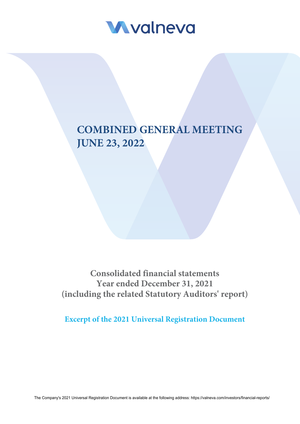

# **COMBINED GENERAL MEETING JUNE 23, 2022**

**Consolidated financial statements Year ended December 31, 2021 (including the related Statutory Auditors' report)**

**Excerpt of the 2021 Universal Registration Document**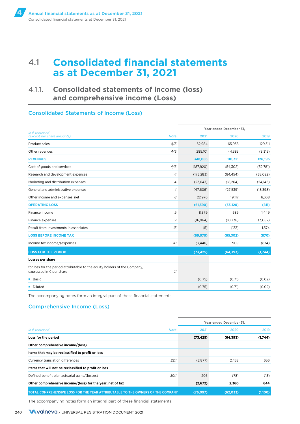**4**

# 4.1 **Consolidated financial statements as at December 31, 2021**

## 4.1.1. **Consolidated statements of income (loss) and comprehensive income (Loss)**

### Consolidated Statements of Income (Loss)

|                                                                                                        |                | Year ended December 31, |           |           |
|--------------------------------------------------------------------------------------------------------|----------------|-------------------------|-----------|-----------|
| In $\epsilon$ thousand<br>(except per share amounts)                                                   | <b>Note</b>    | 2021                    | 2020      | 2019      |
| Product sales                                                                                          | 4/5            | 62,984                  | 65.938    | 129,511   |
| Other revenues                                                                                         | 4/5            | 285,101                 | 44,383    | (3,315)   |
| <b>REVENUES</b>                                                                                        |                | 348,086                 | 110,321   | 126,196   |
| Cost of goods and services                                                                             | 4/6            | (187, 920)              | (54, 302) | (52,781)  |
| Research and development expenses                                                                      | $\overline{4}$ | (173, 283)              | (84, 454) | (38,022)  |
| Marketing and distribution expenses                                                                    | $\overline{4}$ | (23, 643)               | (18, 264) | (24, 145) |
| General and administrative expenses                                                                    | $\overline{4}$ | (47,606)                | (27, 539) | (18, 398) |
| Other income and expenses, net                                                                         | 8              | 22,976                  | 19,117    | 6,338     |
| <b>OPERATING LOSS</b>                                                                                  |                | (61, 390)               | (55, 120) | (811)     |
| Finance income                                                                                         | 9              | 8,379                   | 689       | 1,449     |
| Finance expenses                                                                                       | 9              | (16, 964)               | (10,738)  | (3,082)   |
| Result from investments in associates                                                                  | 15             | (5)                     | (133)     | 1,574     |
| <b>LOSS BEFORE INCOME TAX</b>                                                                          |                | (69, 979)               | (65, 302) | (870)     |
| Income tax income/(expense)                                                                            | 10             | (3, 446)                | 909       | (874)     |
| <b>LOSS FOR THE PERIOD</b>                                                                             |                | (73, 425)               | (64, 393) | (1,744)   |
| Losses per share                                                                                       |                |                         |           |           |
| for loss for the period attributable to the equity holders of the Company,<br>expressed in € per share | 11             |                         |           |           |
| <b>Basic</b>                                                                                           |                | (0.75)                  | (0.71)    | (0.02)    |
| Diluted                                                                                                |                | (0.75)                  | (0.71)    | (0.02)    |

The accompanying notes form an integral part of these financial statements

### Comprehensive Income (Loss)

|                                                                                  |             | Year ended December 31, |           |         |  |  |
|----------------------------------------------------------------------------------|-------------|-------------------------|-----------|---------|--|--|
| In $\epsilon$ thousand                                                           | <b>Note</b> | 2021                    | 2020      | 2019    |  |  |
| Loss for the period                                                              |             | (73, 425)               | (64, 393) | (1,744) |  |  |
| Other comprehensive income/(loss)                                                |             |                         |           |         |  |  |
| Items that may be reclassified to profit or loss                                 |             |                         |           |         |  |  |
| Currency translation differences                                                 | 22.1        | (2,877)                 | 2.438     | 656     |  |  |
| Items that will not be reclassified to profit or loss                            |             |                         |           |         |  |  |
| Defined benefit plan actuarial gains/(losses)                                    | 30.1        | 205                     | (78)      | (13)    |  |  |
| Other comprehensive income/(loss) for the year, net of tax                       |             | (2,672)                 | 2,360     | 644     |  |  |
| ITOTAL COMPREHENSIVE LOSS FOR THE YEAR ATTRIBUTABLE TO THE OWNERS OF THE COMPANY |             | (76,097)                | (62, 033) | (1,100) |  |  |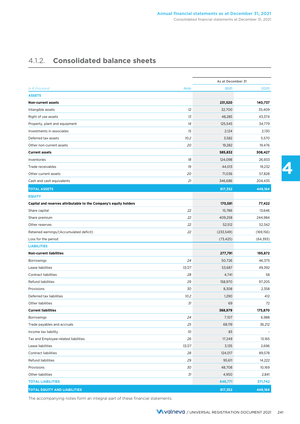# 4.1.2. **Consolidated balance sheets**

|                                                                   |             | As at December 31 |            |
|-------------------------------------------------------------------|-------------|-------------------|------------|
| In $\epsilon$ thousand                                            | <b>Note</b> | 2021              | 2020       |
| <b>ASSETS</b>                                                     |             |                   |            |
| <b>Non-current assets</b>                                         |             | 231,520           | 140,737    |
| Intangible assets                                                 | 12          | 32,700            | 35,409     |
| Right of use assets                                               | 13          | 48,285            | 43,374     |
| Property, plant and equipment                                     | 14          | 125,545           | 34,779     |
| Investments in associates                                         | 15          | 2,124             | 2,130      |
| Deferred tax assets                                               | 10.2        | 3,582             | 5,570      |
| Other non-current assets                                          | 20          | 19,282            | 19,476     |
| <b>Current assets</b>                                             |             | 585,832           | 308,427    |
| Inventories                                                       | 18          | 124,098           | 26,933     |
| Trade receivables                                                 | 19          | 44,013            | 19,232     |
| Other current assets                                              | 20          | 71,036            | 57,828     |
| Cash and cash equivalents                                         | 21          | 346,686           | 204,435    |
| <b>TOTAL ASSETS</b>                                               |             | 817,352           | 449,164    |
| <b>EQUITY</b>                                                     |             |                   |            |
| Capital and reserves attributable to the Company's equity holders |             | 170,581           | 77,422     |
| Share capital                                                     | 22          | 15,786            | 13,646     |
| Share premium                                                     | 22          | 409,258           | 244,984    |
| Other reserves                                                    | 22          | 52,512            | 52,342     |
| Retained earnings/(Accumulated deficit)                           | 22          | (233, 549)        | (169, 156) |
| Loss for the period                                               |             | (73, 425)         | (64, 393)  |
| <b>LIABILITIES</b>                                                |             |                   |            |
| <b>Non-current liabilities</b>                                    |             | 277,791           | 195,872    |
| Borrowings                                                        | 24          | 50,726            | 46,375     |
| Lease liabilities                                                 | 13/27       | 53,687            | 49,392     |
| <b>Contract liabilities</b>                                       | 28          | 4,741             | 58         |
| Refund liabilities                                                | 29          | 158,970           | 97,205     |
| Provisions                                                        | 30          | 8,308             | 2,358      |
| Deferred tax liabilities                                          | 10.2        | 1,290             | 412        |
| Other liabilities                                                 | 31          | 69                | 72         |
| <b>Current liabilities</b>                                        |             | 368,979           | 175,870    |
| <b>Borrowings</b>                                                 | 24          | 7,107             | 6,988      |
| Trade payables and accruals                                       | 25          | 68,119            | 36,212     |
| Income tax liability                                              | 10          | 83                |            |
| Tax and Employee-related liabilities                              | 26          | 17,249            | 13,165     |
| Lease liabilities                                                 | 13/27       | 3,135             | 2,696      |
| <b>Contract liabilities</b>                                       | 28          | 124,017           | 89,578     |
| Refund liabilities                                                | 29          | 95,611            | 14,222     |
| Provisions                                                        | 30          | 48,708            | 10,169     |
| Other liabilities                                                 | 31          | 4,950             | 2,841      |
| <b>TOTAL LIABILITIES</b>                                          |             | 646,771           | 371,742    |
| <b>TOTAL EQUITY AND LIABILITIES</b>                               |             | 817,352           | 449,164    |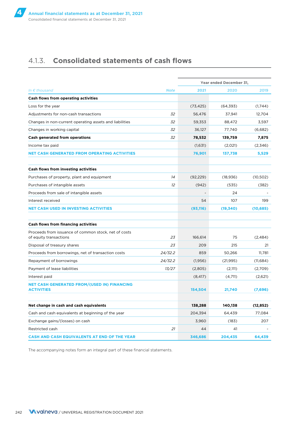## 4.1.3. **Consolidated statements of cash flows**

|                                                                                |             | Year ended December 31, |           |           |
|--------------------------------------------------------------------------------|-------------|-------------------------|-----------|-----------|
| In $\epsilon$ thousand                                                         | <b>Note</b> | 2021                    | 2020      | 2019      |
| <b>Cash flows from operating activities</b>                                    |             |                         |           |           |
| Loss for the year                                                              |             | (73, 425)               | (64, 393) | (1,744)   |
| Adjustments for non-cash transactions                                          | 32          | 56,476                  | 37,941    | 12,704    |
| Changes in non-current operating assets and liabilities                        | 32          | 59,353                  | 88,472    | 3,597     |
| Changes in working capital                                                     | 32          | 36,127                  | 77,740    | (6,682)   |
| <b>Cash generated from operations</b>                                          | 32          | 78,532                  | 139,759   | 7,875     |
| Income tax paid                                                                |             | (1,631)                 | (2,021)   | (2,346)   |
| <b>NET CASH GENERATED FROM OPERATING ACTIVITIES</b>                            |             | 76,901                  | 137,738   | 5,529     |
| <b>Cash flows from investing activities</b>                                    |             |                         |           |           |
| Purchases of property, plant and equipment                                     | 14          | (92, 229)               | (18, 936) | (10, 502) |
| Purchases of intangible assets                                                 | 12          | (942)                   | (535)     | (382)     |
| Proceeds from sale of intangible assets                                        |             |                         | 24        |           |
| Interest received                                                              |             | 54                      | 107       | 199       |
| <b>NET CASH USED IN INVESTING ACTIVITIES</b>                                   |             | (93, 116)               | (19, 340) | (10, 685) |
| Cash flows from financing activities                                           |             |                         |           |           |
| Proceeds from issuance of common stock, net of costs<br>of equity transactions | 23          | 166,614                 | 75        | (2,484)   |
| Disposal of treasury shares                                                    | 23          | 209                     | 215       | 21        |
| Proceeds from borrowings, net of transaction costs                             | 24/32.2     | 859                     | 50,266    | 11,781    |
| Repayment of borrowings                                                        | 24/32.2     | (1,956)                 | (21, 995) | (11,684)  |
| Payment of lease liabilities                                                   | 13/27       | (2,805)                 | (2,111)   | (2,709)   |
| Interest paid                                                                  |             | (8, 417)                | (4,711)   | (2,621)   |
| <b>NET CASH GENERATED FROM/(USED IN) FINANCING</b><br><b>ACTIVITIES</b>        |             | 154,504                 | 21,740    | (7,696)   |
|                                                                                |             |                         |           |           |
| Net change in cash and cash equivalents                                        |             | 138,288                 | 140,138   | (12, 852) |
| Cash and cash equivalents at beginning of the year                             |             | 204,394                 | 64,439    | 77,084    |
| Exchange gains/(losses) on cash                                                |             | 3,960                   | (183)     | 207       |
| Restricted cash                                                                | 21          | 44                      | 41        |           |
| <b>CASH AND CASH EQUIVALENTS AT END OF THE YEAR</b>                            |             | 346,686                 | 204,435   | 64.439    |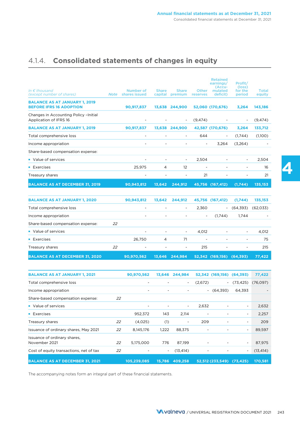# 4.1.4. **Consolidated statements of changes in equity**

| In $\epsilon$ thousand<br>(except number of shares)                    | <b>Note</b> | Number of<br>shares issued | <b>Share</b><br>capital | <b>Share</b><br>premium  | Other<br>reserves | <b>Retained</b><br>earnings/<br>(Accu-<br>mulated<br>deficit) | Profit/<br>(loss)<br>for the<br>period | <b>Total</b><br>equity |
|------------------------------------------------------------------------|-------------|----------------------------|-------------------------|--------------------------|-------------------|---------------------------------------------------------------|----------------------------------------|------------------------|
| <b>BALANCE AS AT JANUARY 1, 2019</b><br><b>BEFORE IFRS 16 ADOPTION</b> |             | 90,917,837                 | 13,638                  | 244,900                  |                   | 52,060 (170,676)                                              | 3,264                                  | 143,186                |
| Changes in Accounting Policy - Initial<br>Application of IFRS 16       |             |                            |                         | $\overline{\phantom{a}}$ | (9,474)           |                                                               | $\overline{\phantom{a}}$               | (9, 474)               |
| <b>BALANCE AS AT JANUARY 1, 2019</b>                                   |             | 90,917,837                 | 13,638                  | 244,900                  |                   | 42,587 (170,676)                                              | 3,264                                  | 133,712                |
| Total comprehensive loss                                               |             | $\overline{\phantom{0}}$   |                         | $\overline{\phantom{a}}$ | 644               | ۰                                                             | (1,744)                                | (1,100)                |
| Income appropriation                                                   |             | $\overline{a}$             |                         |                          | -                 | 3,264                                                         | (3,264)                                |                        |
| Share-based compensation expense:                                      |             |                            |                         |                          |                   |                                                               |                                        |                        |
| • Value of services                                                    |             |                            |                         | $\overline{\phantom{a}}$ | 2,504             |                                                               |                                        | 2,504                  |
| $\blacksquare$ Exercises                                               |             | 25,975                     | 4                       | 12                       |                   |                                                               | ۰                                      | 16                     |
| Treasury shares                                                        |             | $\overline{\phantom{0}}$   |                         |                          | 21                | $\overline{\phantom{0}}$                                      |                                        | 21                     |
| <b>BALANCE AS AT DECEMBER 31, 2019</b>                                 |             | 90,943,812                 | 13.642                  | 244,912                  |                   | 45,756 (167,412)                                              | (1,744)                                | 135,153                |

| <b>BALANCE AS AT JANUARY 1, 2020</b>   |    | 90,943,812 | 13,642                   | 244,912                  |                          | 45,756 (167,412) | (1,744)                  | 135,153  |
|----------------------------------------|----|------------|--------------------------|--------------------------|--------------------------|------------------|--------------------------|----------|
| Total comprehensive loss               |    |            |                          | $\overline{\phantom{a}}$ | 2,360                    | $\sim$           | (64, 393)                | (62,033) |
| Income appropriation                   |    | ۰          | $\overline{\phantom{a}}$ | ۰                        | $\sim$                   | (1,744)          | 1.744                    |          |
| Share-based compensation expense:      | 22 |            |                          |                          |                          |                  |                          |          |
| • Value of services                    |    |            |                          | $\overline{\phantom{a}}$ | 4,012                    |                  | -                        | 4,012    |
| $\blacksquare$ Exercises               |    | 26.750     | 4                        | 71                       | $\overline{\phantom{a}}$ |                  | $\overline{\phantom{a}}$ | 75       |
| Treasury shares                        | 22 |            |                          | $\overline{\phantom{a}}$ | 215                      | -                | ٠                        | 215      |
| <b>BALANCE AS AT DECEMBER 31, 2020</b> |    | 90,970,562 | 13.646                   | 244.984                  |                          | 52,342 (169,156) | (64,393)                 | 77,422   |

| <b>BALANCE AS AT JANUARY 1, 2021</b>          |    | 90,970,562               | 13,646 | 244,984                  |                          | 52,342 (169,156) (64,393) |                          | 77,422    |
|-----------------------------------------------|----|--------------------------|--------|--------------------------|--------------------------|---------------------------|--------------------------|-----------|
| Total comprehensive loss                      |    |                          |        | $\overline{\phantom{a}}$ | (2,672)                  | $\sim$                    | (73, 425)                | (76,097)  |
| Income appropriation                          |    | -                        |        |                          | $\overline{\phantom{0}}$ | (64.393)                  | 64,393                   |           |
| Share-based compensation expense:             | 22 |                          |        |                          |                          |                           |                          |           |
| • Value of services                           |    | $\overline{\phantom{a}}$ |        | $\overline{\phantom{a}}$ | 2,632                    |                           | $\overline{\phantom{a}}$ | 2,632     |
| $\blacksquare$ Exercises                      |    | 952,372                  | 143    | 2,114                    |                          |                           | $\overline{\phantom{a}}$ | 2,257     |
| Treasury shares                               | 22 | (4,025)                  | (1)    | ٠                        | 209                      | -                         | $\overline{\phantom{a}}$ | 209       |
| Issuance of ordinary shares, May 2021         | 22 | 8,145,176                | 1,222  | 88,375                   |                          | -                         | $\overline{\phantom{a}}$ | 89,597    |
| Issuance of ordinary shares,<br>November 2021 | 22 | 5,175,000                | 776    | 87,199                   | ۰                        | $\overline{\phantom{a}}$  | $\overline{\phantom{a}}$ | 87,975    |
| Cost of equity transactions, net of tax       | 22 |                          | $\sim$ | (13, 414)                |                          |                           | $\overline{\phantom{a}}$ | (13, 414) |
| <b>BALANCE AS AT DECEMBER 31, 2021</b>        |    | 105.239.085              | 15.786 | 409.258                  |                          | 52,512 (233,549) (73,425) |                          | 170.581   |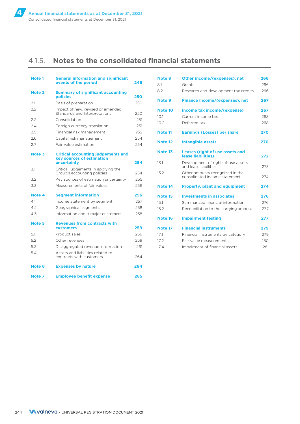# 4.1.5. **Notes to the consolidated financial statements**

| <b>Note 1</b>     | <b>General information and significant</b><br>events of the period                           | 246 |
|-------------------|----------------------------------------------------------------------------------------------|-----|
| Note <sub>2</sub> | <b>Summary of significant accounting</b><br>policies                                         | 250 |
| 2.1               | Basis of preparation                                                                         | 250 |
| 2.2               | Impact of new, revised or amended<br>Standards and Interpretations                           | 250 |
| 2.3               | Consolidation                                                                                | 251 |
| 2.4               | Foreign currency translation                                                                 | 251 |
| 2.5               | Financial risk management                                                                    | 252 |
| 2.6               | Capital risk management                                                                      | 254 |
| 2.7               | Fair value estimation                                                                        | 254 |
| Note 3            | <b>Critical accounting judgements and</b><br><b>key sources of estimation</b><br>uncertainty | 254 |
| 3.1               | Critical judgements in applying the<br>Group's accounting policies                           | 254 |
| 3.2               | Key sources of estimation uncertainty                                                        | 255 |
| 3.3               | Measurements of fair values                                                                  | 256 |
| Note 4            | <b>Segment information</b>                                                                   | 256 |
| 4.1               | Income statement by segment                                                                  | 257 |
| 4.2               | Geographical segments                                                                        | 258 |
| 4.3               | Information about major customers                                                            | 258 |
| Note <sub>5</sub> | <b>Revenues from contracts with</b><br><b>customers</b>                                      | 259 |
| 5.1               | Product sales                                                                                | 259 |
| 5.2               | Other revenues                                                                               | 259 |
| 5.3               | Disaggregated revenue information                                                            | 261 |
| 5.4               | Assets and liabilities related to<br>contracts with customers                                | 264 |
| Note 6            | <b>Expenses by nature</b>                                                                    | 264 |
| Note 7            | <b>Employee benefit expense</b>                                                              | 265 |

| Note 8  | Other income/(expenses), net                                     | 266 |
|---------|------------------------------------------------------------------|-----|
| 8.1     | Grants                                                           | 266 |
| 8.2     | Research and development tax credits                             | 266 |
| Note 9  | Finance income/(expenses), net                                   | 267 |
| Note 10 | Income tax income/(expense)                                      | 267 |
| 10.1    | Current income tax                                               | 268 |
| 10.2    | Deferred tax                                                     | 268 |
| Note 11 | <b>Earnings (Losses) per share</b>                               | 270 |
| Note 12 | <b>Intangible assets</b>                                         | 270 |
| Note 13 | <b>Leases (right of use assets and</b><br>lease liabilities)     | 272 |
| 13.1    | Development of right-of-use assets<br>and lease liabilities      | 273 |
| 13.2    | Other amounts recognized in the<br>consolidated income statement | 274 |
| Note 14 | <b>Property, plant and equipment</b>                             | 274 |
| Note 15 | <b>Investments in associates</b>                                 | 276 |
| 15.1    | Summarized financial information                                 | 276 |
| 15.2    | Reconciliation to the carrying amount                            | 277 |
| Note 16 | <b>Impairment testing</b>                                        | 277 |
| Note 17 | <b>Financial instruments</b>                                     | 279 |
| 171     | Financial instruments by category                                | 279 |
| 17.2    | Fair value measurements                                          | 280 |
| 17.4    | Impairment of financial assets                                   | 281 |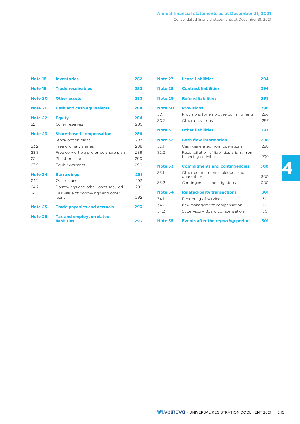| Note 18        | <b>Inventories</b>                                    | 282 |  |
|----------------|-------------------------------------------------------|-----|--|
| Note 19        | <b>Trade receivables</b>                              | 283 |  |
| <b>Note 20</b> | <b>Other assets</b>                                   | 283 |  |
| <b>Note 21</b> | <b>Cash and cash equivalents</b>                      | 284 |  |
| <b>Note 22</b> | <b>Equity</b>                                         | 284 |  |
| 22.1           | Other reserves                                        | 285 |  |
| Note 23        | <b>Share-based compensation</b>                       | 286 |  |
| 23.1           | Stock option plans                                    | 287 |  |
| 23.2           | Free ordinary shares                                  | 288 |  |
| 23.3           | Free convertible preferred share plan                 | 289 |  |
| 23.4           | Phantom shares                                        | 290 |  |
| 23.5           | Equity warrants                                       | 290 |  |
| Note 24        | <b>Borrowings</b>                                     | 291 |  |
| 24.1           | Other Ioans                                           | 292 |  |
| 24.2           | Borrowings and other loans secured                    | 292 |  |
| 24.3           | Fair value of borrowings and other<br>loans           | 292 |  |
| <b>Note 25</b> | <b>Trade payables and accruals</b>                    | 293 |  |
| Note 26        | <b>Tax and employee-related</b><br><b>liabilities</b> | 293 |  |

| Note 27 | <b>Lease liabilities</b>                                           | 294 |
|---------|--------------------------------------------------------------------|-----|
| Note 28 | <b>Contract liabilities</b>                                        | 294 |
| Note 29 | <b>Refund liabilities</b>                                          | 295 |
| Note 30 | <b>Provisions</b>                                                  | 296 |
| 30.1    | Provisions for employee commitments                                | 296 |
| 30.2    | Other provisions                                                   | 297 |
| Note 31 | <b>Other liabilities</b>                                           | 297 |
| Note 32 | <b>Cash flow information</b>                                       | 298 |
| 32.1    | Cash generated from operations                                     | 298 |
| 32.2    | Reconciliation of liabilities arising from<br>financing activities | 299 |
| Note 33 | <b>Commitments and contingencies</b>                               | 300 |
| 33.1    | Other commitments, pledges and<br>quarantees                       | 300 |
| 33.2    | Contingencies and litigations                                      | 300 |
| Note 34 | <b>Related-party transactions</b>                                  | 301 |
| 34.1    | Rendering of services                                              | 301 |
| 34.2    | Key management compensation                                        | 301 |
| 34.3    | Supervisory Board compensation                                     | 301 |
| Note 35 | <b>Events after the reporting period</b>                           | 301 |

**4**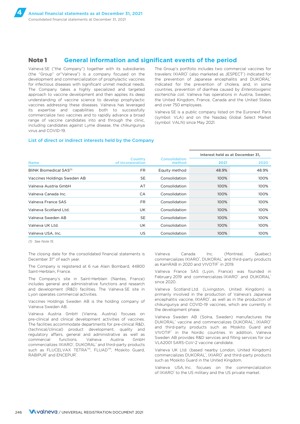### **Note 1 General information and significant events of the period**

Valneva SE ("the Company") together with its subsidiaries (the "Group" or"Valneva") is a company focused on the development and commercialization of prophylactic vaccines for infectious diseases with significant unmet medical needs. The Company takes a highly specialized and targeted approach to vaccine development and then applies its deep understanding of vaccine science to develop prophylactic vaccines addressing these diseases. Valneva has leveraged its expertise and capabilities both to successfully commercialize two vaccines and to rapidly advance a broad range of vaccine candidates into and through the clinic, including candidates against Lyme disease, the chikungunya virus and COVID-19.

The Group's portfolio includes two commercial vaccines for travelers: IXIARO® (also marketed as JESPECT®) indicated for the prevention of Japanese encephalitis and DUKORAL® indicated for the prevention of cholera, and, in some countries, prevention of diarrhea caused by *Enterotoxigenic escherichia coli*. Valneva has operations in Austria, Sweden, the United Kingdom, France, Canada and the United States and over 750 employees.

Valneva SE is a public company listed on the Euronext Paris (symbol: VLA) and on the Nasdaq Global Select Market (symbol: VALN) since May 2021.

#### List of direct or indirect interests held by the Company

|                                     |                                    |                         | Interest held as at December 31, |       |  |
|-------------------------------------|------------------------------------|-------------------------|----------------------------------|-------|--|
| <b>Name</b>                         | <b>Country</b><br>of incorporation | Consolidation<br>method | 2021                             | 2020  |  |
| BliNK Biomedical SAS <sup>(1)</sup> | FR.                                | Equity method           | 48.9%                            | 48.9% |  |
| Vaccines Holdings Sweden AB         | <b>SE</b>                          | Consolidation           | 100%                             | 100%  |  |
| Valneva Austria GmbH                | AT                                 | Consolidation           | 100%                             | 100%  |  |
| Valneva Canada Inc.                 | CA                                 | Consolidation           | 100%                             | 100%  |  |
| Valneva France SAS                  | <b>FR</b>                          | Consolidation           | 100%                             | 100%  |  |
| Valneva Scotland Ltd.               | <b>UK</b>                          | Consolidation           | 100%                             | 100%  |  |
| Valneva Sweden AB                   | <b>SE</b>                          | Consolidation           | 100%                             | 100%  |  |
| Valneva UK Ltd.                     | <b>UK</b>                          | Consolidation           | 100%                             | 100%  |  |
| Valneva USA, Inc.                   | US.                                | Consolidation           | 100%                             | 100%  |  |

*(1) See Note 15.*

The closing date for the consolidated financial statements is December 31<sup>st</sup> of each year.

The Company is registered at 6 rue Alain Bombard, 44800 Saint-Herblain, France.

The Company's site in Saint-Herblain (Nantes, France) includes general and administrative functions and research and development (R&D) facilities. The Valneva SE site in Lyon operates commercial activities.

Vaccines Holdings Sweden AB is the holding company of Valneva Sweden AB.

Valneva Austria GmbH (Vienna, Austria) focuses on pre-clinical and clinical development activities of vaccines. The facilities accommodate departments for pre-clinical R&D, (technical/clinical) product development, quality and regulatory affairs, general and administrative as well as commercial functions. Valneva Austria GmbH commercializes IXIARO<sup>®</sup>, DUKORAL<sup>®</sup> and third-party products such as FLUCELVAX TETRA™, FLUAD™, Moskito Guard, RABIPUR<sup>®</sup> and ENCEPUR<sup>®</sup>.

Valneva Canada Inc. (Montreal, Quebec) commercializes IXIARO®, DUKORAL® and third-party products as KamRAB in 2020 and VIVOTIF® in 2019.

Valneva France SAS (Lyon, France) was founded in February 2019 and commercializes IXIARO® and DUKORAL® since 2020.

Valneva Scotland Ltd. (Livingston, United Kingdom) is primarily involved in the production of Valneva's Japanese encephalitis vaccine, IXIARO<sup>®</sup>, as well as in the production of chikungunya and COVID-19 vaccines, which are currently in the development phase.

Valneva Sweden AB (Solna, Sweden) manufactures the DUKORAL® vaccine and commercializes DUKORAL®, IXIARO® and third-party products such as Moskito Guard and VIVOTIF® in the Nordic countries. In addition, Valneva Sweden AB provides R&D services and filling services for our VLA2001 SARS-CoV-2 vaccine candidate.

Valneva UK Ltd. (based nearby London, United Kingdom) commercializes DUKORAL<sup>®</sup>, IXIARO® and third-party products such as Moskito Guard in the United Kingdom.

Valneva USA, Inc. focuses on the commercialization of IXIARO<sup>®</sup> to the US military and the US private market.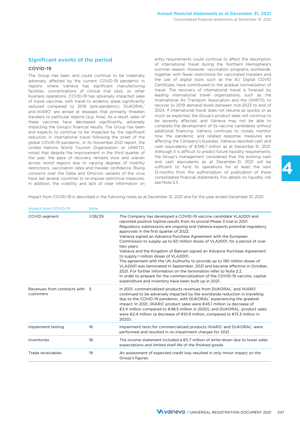### Significant events of the period

#### **COVID-19**

adversely affected by the current COVID-19 pandemic in the use of digital tools such as the EU Digital COVID<br>regions where Valneya, has significant manufacturing Certificate, have contributed to the gradual normalization o regions where Valneva has significant manufacturing Certificate, have-contributed-to-the-gradual-normalization-<br>facilities concentrations of clinical trial sites or other travel. The recovery of international-travel is for facilities, concentrations of clinical trial sites, or other travel. The recovery of international travel is forecast by<br>husiness-onerations COVID-19-has-adversely-impacted-sales leading international travel organizations, business operations. COVID-19 has adversely impacted sales leading international travel organizations, such as the of travel vaccines with travel to endemic areas significantly liternational Air Transport Association and t of travel vaccines, with travel to endemic areas significantly International Air Transport Association and the UNWTO, to<br>reduced compared to 2019 (pre-pandemic) DUKORAL recover to 2019 demand levels between mid-2023 to end reduced compared to 2019 (pre-pandemic). DUKORAL recover to 2019 demand levels between mid-2023 to end of reduced compared to a reduced compared to a reduced to a reduced compared to reduced that primarily threation 2024. and IXIARO" are aimed at diseases that primarily threaten and 2024. If international travel does not resume as quickly or as and the termation and  $100\%$ travelers to particular regions (*e.g.* Asia). As a result, sales of much as expected, the Group's product sales will continue to these vaccines have decreased significantly, adversely be severely affected, and Valneva may not be able to<br>impacting the Group's financial results. The Group has been complete the development of its vaccine candidates wit impacting the Group's financial results. The Group has been complete the development of its vaccine candidates without impact to continue to be impacted by the significant additional financing. Valneva continues to closely and expects to continue to be impacted by the significant and additional financing. Valneva continues to closely monitor and related response measures are and related response measures are reduction in international travel following the onset of the bow the pandemic and related response measures are<br>GDMD-19 pandemic In its November 2021 report the affecting the Company's business. Valneva reported cash and global COVID-19 pandemic. In its November 2021 report, the affecting the Company's business. Valneva reported cash and<br>United Nations, World Tourism, Organization, or UNWTO cash equivalents of €346.7 million as at Decembe United Nations World Tourism Organization, or UNWTO, cash equivalents of €346.7 million as at December 31, 2021.<br>National that december the improvement in the third quarter of Although it is difficult to predict future li noted that despite the improvement in the third quarter of Although it is difficult to predict future liquidity requirements,<br>the vear, the pace of recovery remains slow and uneven the Group's management considered that th the year, the pace of recovery remains slow and uneven across world regions due to varying degrees of mobility and cash equivalents as at December 31, 2021 will be restrictions vaccination rates and traveler confidence Pising sufficient to fund its operations for at least the restrictions, vaccination rates and traveler confidence. Rising sufficient to fund its operations for at least the next reserve restrictions, vaccination rates and Omicron variants of the virus 12 months from the authoriza concerns over the Delta and Omicron variants of the virus and 2 months from the authorization of publication of these<br>have led several countries to re-impose restrictive measures consolidated financial statements. For deta have led several countries to re-impose restrictive measures. Consolidated<br>In addition, the volatility and lack of clear information on see Note 2.5. In addition, the volatility and lack of clear information on

entry requirements could continue to affect the resumption of international travel during the Northern Hemisphere's summer season. However, vaccination programs worldwide, The Group has been and could continue to be materially together with fewer restrictions for vaccinated travelers and<br>adversely affected by the current COVID-19 pandemic in the use of digital tools such as the EU Digital CO

Impact from COVID-19 is described in the following notes as at December 31, 2021 and for the year ended December 31, 2021:

| <b>Impact from COVID-19</b>                 | <b>Note</b> |                                                                                                                                                                                                                                                                                                                                                                                                                                                                                                                                                                                                                                                                                                                                                                                                                                                                                                                                            |
|---------------------------------------------|-------------|--------------------------------------------------------------------------------------------------------------------------------------------------------------------------------------------------------------------------------------------------------------------------------------------------------------------------------------------------------------------------------------------------------------------------------------------------------------------------------------------------------------------------------------------------------------------------------------------------------------------------------------------------------------------------------------------------------------------------------------------------------------------------------------------------------------------------------------------------------------------------------------------------------------------------------------------|
| COVID segment                               | 1/28/29     | The Company has developed a COVID-19 vaccine candidate VLA2001 and<br>reported positive topline results from its pivotal Phase 3 trial in 2021.<br>Regulatory submissions are ongoing and Valneva expects potential regulatory<br>approvals in the first quarter of 2022.<br>Valneva signed an Advance Purchase Agreement with the European<br>Commission to supply up to 60 million doses of VLA2001, for a period of over<br>two years.<br>Valneva and the Kingdom of Bahrain signed an Advance Purchase Agreement<br>to supply 1 million doses of VLA2001.<br>The agreement with the UK Authority to provide up to 190 million doses of<br>VLA2001 was terminated in September, 2021 and became effective in October,<br>2021. For further information on the termination refer to Note 2.2.<br>In order to prepare for the commercialization of the COVID-19 vaccine, capital<br>expenditure and inventory have been built up in 2021. |
| Revenues from contracts with 5<br>customers |             | In 2021, commercialized products revenues from DUKORAL <sup>*</sup> and IXIARO <sup>*</sup><br>continued to be adversely impacted by the worldwide reduction in travelling<br>due to the COVID-19 pandemic, with DUKORAL <sup>®</sup> experiencing the greatest<br>impact. In 2021, IXIARO <sup>*</sup> product sales were €45.1 million (a decrease of<br>€3.4 million compared to €48.5 million in 2020), and DUKORAL product sales<br>were €2.4 million (a decrease of €10.9 million, compared to €13.3 million in<br>2020).                                                                                                                                                                                                                                                                                                                                                                                                            |
| Impairment testing                          | 16          | Impairment tests for commercialized products IXIARO <sup>+</sup> and DUKORAL <sup>+</sup> were<br>performed and resulted in no impairment charges for 2021.                                                                                                                                                                                                                                                                                                                                                                                                                                                                                                                                                                                                                                                                                                                                                                                |
| Inventories                                 | 18          | The income statement included a $\epsilon$ 5.7 million of write-down due to lower sales<br>expectations and limited shelf life of the finished goods                                                                                                                                                                                                                                                                                                                                                                                                                                                                                                                                                                                                                                                                                                                                                                                       |
| Trade receivables                           | 19          | An assessment of expected credit loss resulted in only minor impact on the<br>Group's figures                                                                                                                                                                                                                                                                                                                                                                                                                                                                                                                                                                                                                                                                                                                                                                                                                                              |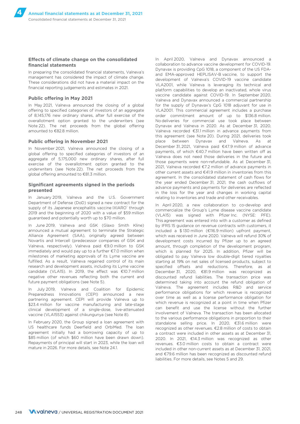#### **Effects of climate change on the consolidated financial statements**

In preparing the consolidated financial statements, Valneva's management has considered the impact of climate change. These considerations did not have a material impact on the financial reporting judgements and estimates in 2021.

#### **Public offering in May 2021**

In May 2021, Valneva announced the closing of a global offering to specified categories of investors of an aggregate of 8,145,176 new ordinary shares, after full exercise of the overallotment option granted to the underwriters (see Note 22). The net proceeds from the global offering amounted to €82.8 million.

#### **Public offering in November 2021**

In November 2021, Valneva announced the closing of a global offering to specified categories of investors of an aggregate of 5,175,000 new ordinary shares, after full exercise of the overallotment option granted to the underwriters (see Note 22). The net proceeds from the global offering amounted to €81.3 million.

#### **Significant agreements signed in the periods presented**

In January 2019, Valneva and the U.S. Government Department of Defense (DoD) signed a new contract for the supply of its Japanese encephalitis vaccine IXIARO<sup>®</sup> through 2019 and the beginning of 2020 with a value of \$59 million guaranteed and potentially worth up to \$70 million.

In June 2019, Valneva and GSK (Glaxo Smith Kline) announced a mutual agreement to terminate the Strategic Alliance Agreement (SAA), originally agreed between Novartis and Intercell (predecessor companies of GSK and Valneva, respectively). Valneva paid €9.0 million to GSK immediately and would pay up to a further €7.0 million when milestones of marketing approvals of its Lyme vaccine are fulfilled. As a result, Valneva regained control of its main research and development assets, including its Lyme vaccine candidate (VLA15). In 2019, the effect was €10.7 million negative other revenues reflecting both the current and future payment obligations (see Note 5).

In July 2019, Valneva and Coalition for Epidemic Preparedness Innovations (CEPI) announced a new partnering agreement. CEPI will provide Valneva up to \$23.4 million for vaccine manufacturing and late-stage clinical development of a single-dose, live-attenuated vaccine (VLA1553) against chikungunya (see Note 8).

In February 2020, the Group signed a loan agreement with US healthcare funds Deerfield and OrbiMed. The loan agreement initially had a borrowing capacity of up to \$85 million (of which \$60 million have been drawn down). Repayments of principal will start in 2023, while the loan will mature in 2026. For more details, see Note 24.1.

In April 2020, Valneva and Dynavax announced a collaboration to advance vaccine development for COVID-19. Dynavax is providing CpG 1018, a component of the US FDAand EMA-approved HEPLISAV-B vaccine, to support the development of Valneva's COVID-19 vaccine candidate VLA2001, while Valneva is leveraging its technical and platform capabilities to develop an inactivated, whole virus vaccine candidate against COVID-19. In September 2020, Valneva and Dynavax announced a commercial partnership for the supply of Dynavax's CpG 1018 adjuvant for use in VLA2001. This commercial agreement includes a purchase order commitment amount of up to \$136.8 million. No deliveries for commercial use took place between Dynavax and Valneva in 2020. As at December 31, 2020, Valneva recorded €31.1 million in advance payments from this agreement (see Note 20). During 2021, deliveries took place between Dynavax and Valneva. As at December 31, 2021, Valneva paid €47.9 million of advance payments, of which €40.7 million have been written off as Valneva does not need those deliveries in the future and those payments were non-refundable. As at December 31, 2021, Valneva recorded €7.2 million of advance payments in other current assets and €41.9 million in inventories from this agreement. In the consolidated statement of cash flows for the year ended December 31, 2021, the cash outflows of advance payments and payments for deliveries are reflected in the loss for the year and changes in working capital relating to inventories and trade and other receivables.

In April 2020, a new collaboration to co-develop and commercialize the Group's Lyme disease vaccine candidate (VLA15) was signed with Pfizer Inc. (NYSE: PFE). This agreement was entered into with a customer as defined by IFRS 15 guidance on revenue contracts with customers, it included a \$ 130 million (€116.9 million) upfront payment, which was received in June 2020. Valneva will refund 30% of development costs incurred by Pfizer up to an agreed amount, through completion of the development program. which is planned for 2025. In addition, Pfizer will be obligated to pay Valneva low double-digit tiered royalties starting at 19% on net sales of licensed products, subject to specified offsets and reductions. Therefore, as at December 31, 2020, €81.9 million was recognized as discounted refund liabilities. The transaction price was determined taking into account the refund obligation of Valneva. The agreement includes R&D and service performance obligations for which revenue is recognized over time as well as a license performance obligation for which revenue is recognized at a point in time when Pfizer can benefit and use the license without the further involvement of Valneva. The transaction has been allocated to the various performance obligations in proportion to their standalone selling price. In 2020, €31.6 million were recognized as other revenues. €2.8 million of costs to obtain a contract were included in other assets as at December 31, 2020. In 2021, €14.3 million was recognized as other revenues. €3.0 million costs to obtain a contract were included in other non-current assets as at December 31, 2021, and €79.6 million has been recognized as discounted refund liabilities. For more details, see Notes 5 and 29.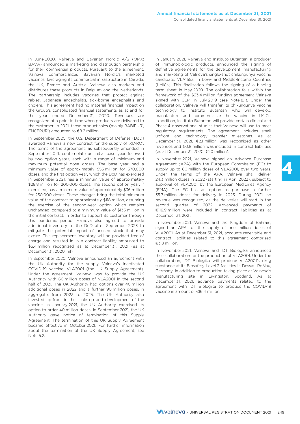In June 2020, Valneva and Bavarian Nordic A/S (OMX: BAVA) announced a marketing and distribution partnership for their commercial products. Pursuant to the agreement, Valneva commercializes Bavarian Nordic's marketed vaccines, leveraging its commercial infrastructure in Canada, the UK, France and Austria. Valneva also markets and distributes these products in Belgium and the Netherlands. The partnership includes vaccines that protect against rabies, Japanese encephalitis, tick-borne encephalitis and cholera. This agreement had no material financial impact on the Group's consolidated financial statements as at and for the year ended December 31, 2020. Revenues are recognized at a point in time when products are delivered to the customer. In 2021, those product sales (mainly RABIPUR<sup>®</sup>, ENCEPUR® ) amounted to €8.2 million.

In September 2020, the U.S. Department of Defense (DoD) awarded Valneva a new contract for the supply of IXIARO®. The terms of the agreement, as subsequently amended in September 2021, contemplate an initial base year followed by two option years, each with a range of minimum and maximum potential dose orders. The base year had a minimum value of approximately \$53 million for 370,000 doses, and the first option year, which the DoD has exercised in September 2021, has a minimum value of approximately \$28.8 million for 200,000 doses. The second option year, if exercised, has a minimum value of approximately \$36 million for 250,000 doses. These changes bring the total minimum value of the contract to approximately \$118 million, assuming the exercise of the second-year option which remains unchanged, compared to a minimum value of \$135 million in the initial contract. In order to support its customer through this pandemic period, Valneva also agreed to provide additional inventory to the DoD after September 2023 to mitigate the potential impact of unused stock that may expire. This replacement inventory will be provided free of charge and resulted in in a contract liability amounted to \$5.4 million recognized as at December 31, 2021 (as at December 31, 2020: nil).

In September 2020, Valneva announced an agreement with the UK Authority for the supply Valneva's inactivated COVID-19 vaccine, VLA2001 (the UK Supply Agreement). Under the agreement, Valneva was to provide the UK Authority with 60 million doses of VLA2001 in the second half of 2021. The UK Authority had options over 40 million additional doses in 2022 and a further 90 million doses, in aggregate, from 2023 to 2025. The UK Authority also invested up-front in the scale up and development of the vaccine. In January 2021, the UK Authority exercised its option to order 40 million doses. In September 2021, the UK Authority gave notice of termination of this Supply Agreement. The termination of this UK Supply Agreement became effective in October 2021. For further information about the termination of the UK Supply Agreement, see Note 5.2.

In January 2021, Valneva and Instituto Butantan, a producer of immunobiologic products, announced the signing of definitive agreements for the development, manufacturing and marketing of Valneva's single-shot chikungunya vaccine candidate, VLA1553, in Low- and Middle-Income Countries (LMICs). This finalization follows the signing of a binding term sheet in May 2020. The collaboration falls within the framework of the \$23.4 million funding agreement Valneva signed with CEPI in July 2019 (see Note 8.1). Under the collaboration, Valneva will transfer its chikungunya vaccine technology to Instituto Butantan, who will develop, manufacture and commercialize the vaccine in LMICs. In addition, Instituto Butantan will provide certain clinical and Phase 4 observational studies that Valneva will use to meet regulatory requirements. The agreement includes small upfront and technology transfer milestones. As at December 31, 2021, €2.1 million was recognized as other revenues and €0.8 million was included in contract liabilities (as at December 31, 2020: €1.0 million).

In November 2021, Valneva signed an Advance Purchase Agreement (APA) with the European Commission (EC) to supply up to 60 million doses of VLA2001, over two years. Under the terms of the APA, Valneva shall deliver 24.3 million doses in 2022 (starting in April 2022), subject to approval of VLA2001 by the European Medicines Agency (EMA). The EC has an option to purchase a further 35.7 million doses for delivery in 2023. During 2021, no revenue was recognized, as the deliveries will start in the second quarter of 2022. Advanced payments of €116.9 million were included in contract liabilities as at December 31, 2021.

In November 2021, Valneva and the Kingdom of Bahrain, signed an APA for the supply of one million doses of VLA2001. As at December 31, 2021, accounts receivable and contract liabilities related to this agreement comprised €3.8 million.

In November 2021, Valneva and IDT Biologika announced their collaboration for the production of VLA2001. Under the collaboration, IDT Biologika will produce VLA2001's drug substance at its Biosafety Level 3 facilities in Dessau-Roßlau, Germany, in addition to production taking place at Valneva's manufacturing site in Livingston, Scotland. As at December 31, 2021, advance payments related to the agreement with IDT Biologika to produce the COVID-19 vaccine in amount of €16.4 million.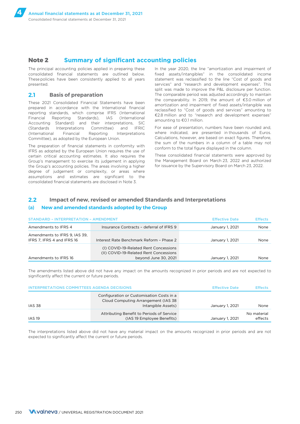### **Note 2 Summary of significant accounting policies**

The principal accounting policies applied in preparing these consolidated financial statements are outlined below. These policies have been consistently applied to all years presented.

### **2.1 Basis of preparation**

These 2021 Consolidated Financial Statements have been prepared in accordance with the International financial reporting standards, which comprise IFRS (International Financial Reporting Standards), IAS (International Accounting Standard) and their interpretations, SIC (Standards Interpretations Committee) and IFRIC (International Financial Reporting Interpretations Committee), as adopted by the European Union.

The preparation of financial statements in conformity with IFRS as adopted by the European Union requires the use of certain critical accounting estimates. It also requires the Group's management to exercise its judgement in applying the Group's accounting policies. The areas involving a higher degree of judgement or complexity, or areas where assumptions and estimates are significant to the consolidated financial statements are disclosed in Note 3.

In the year 2020, the line "amortization and impairment of fixed assets/intangibles" in the consolidated income statement was reclassified to the line "Cost of goods and services" and "research and development expenses". This split was made to improve the P&L disclosure per function. The comparable period was adjusted accordingly to maintain the comparability. In 2019, the amount of €3.0 million of amortization and impairment of fixed assets/intangible was reclassified to "Cost of goods and services" amounting to €2.8 million and to "research and development expenses" amounting to €0.1 million.

For ease of presentation, numbers have been rounded and, where indicated, are presented in thousands of Euros. Calculations, however, are based on exact figures. Therefore, the sum of the numbers in a column of a table may not conform to the total figure displayed in the column.

These consolidated financial statements were approved by the Management Board on March 23, 2022 and authorized for issuance by the Supervisory Board on March 23, 2022.

### **2.2 Impact of new, revised or amended Standards and Interpretations**

#### (a) **New and amended standards adopted by the Group**

| <b>STANDARD - INTERPRETATION - AMENDMENT</b><br><b>Effective Date</b> |                                                                                                         |                 |      |
|-----------------------------------------------------------------------|---------------------------------------------------------------------------------------------------------|-----------------|------|
| Amendments to IFRS 4                                                  | Insurance Contracts - deferral of IFRS 9                                                                | January 1, 2021 | None |
| Amendments to IFRS 9, IAS 39,<br>IFRS 7, IFRS 4 and IFRS 16           | Interest Rate Benchmark Reform - Phase 2                                                                | January 1, 2021 | None |
| Amendments to IFRS 16                                                 | (I) COVID-19-Related Rent Concessions<br>(II) COVID-19-Related Rent Concessions<br>beyond June 30, 2021 | January 1, 2021 | None |

The amendments listed above did not have any impact on the amounts recognized in prior periods and are not expected to significantly affect the current or future periods.

| <b>INTERPRETATIONS COMMITTEES AGENDA DECISIONS</b> |                                                                                                        | <b>Effective Date</b> | <b>Effects</b>         |
|----------------------------------------------------|--------------------------------------------------------------------------------------------------------|-----------------------|------------------------|
| <b>IAS 38</b>                                      | Configuration or Customisation Costs in a<br>Cloud Computing Arrangement (IAS 38<br>Intangible Assets) | January 1, 2021       | None                   |
| <b>IAS 19</b>                                      | Attributing Benefit to Periods of Service<br>(IAS 19 Employee Benefits)                                | January 1, 2021       | No material<br>effects |

The interpretations listed above did not have any material impact on the amounts recognized in prior periods and are not expected to significantly affect the current or future periods.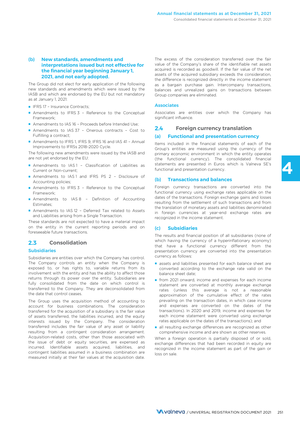### (b) **New standards, amendments and interpretations issued but not effective for the financial year beginning January 1, 2021, and not early adopted.**

The Group did not elect for early application of the following new standards and amendments which were issued by the IASB and which are endorsed by the EU but not mandatory as at January 1, 2021:

- IFRS 17 Insurance Contracts;
- Amendments to IFRS 3 Reference to the Conceptual Framework;
- Amendments to IAS 16 Proceeds before Intended Use;
- Amendments to IAS 37 Onerous contracts Cost to Fulfilling a contract;
- Amendments to IFRS 1, IFRS 9, IFRS 16 and IAS 41 Annual Improvements to IFRSs 2018-2020 Cycle.

The following new amendments were issued by the IASB and are not yet endorsed by the EU:

- Amendments to IAS1 Classification of Liabilities as Current or Non-current;
- Amendments to IAS1 and IFRS PS 2 Disclosure of Accounting policies;
- Amendments to IFRS 3 Reference to the Conceptual Framework;
- Amendments to IAS 8 Definition of Accounting Estimates;
- Amendments to IAS 12 Deferred Tax related to Assets and Liabilities arising from a Single Transaction.

These standards are not expected to have a material impact on the entity in the current reporting periods and on foreseeable future transactions.

### **2.3 Consolidation**

### Subsidiaries

Subsidiaries are entities over which the Company has control. The Company controls an entity when the Company is exposed to, or has rights to, variable returns from its involvement with the entity and has the ability to affect those returns through its power over the entity. Subsidiaries are fully consolidated from the date on which control is transferred to the Company. They are deconsolidated from the date that control ceases.

The Group uses the acquisition method of accounting to account for business combinations. The consideration transferred for the acquisition of a subsidiary is the fair value of assets transferred, the liabilities incurred, and the equity interests issued by the Company. The consideration transferred includes the fair value of any asset or liability resulting from a contingent consideration arrangement. Acquisition-related costs, other than those associated with the issue of debt or equity securities, are expensed as incurred. Identifiable assets acquired, liabilities, and contingent liabilities assumed in a business combination are measured initially at their fair values at the acquisition date.

The excess of the consideration transferred over the fair value of the Company's share of the identifiable net assets acquired is recorded as goodwill. If the fair value of the net assets of the acquired subsidiary exceeds the consideration, the difference is recognized directly in the income statement as a bargain purchase gain. Intercompany transactions, balances and unrealized gains on transactions between Group companies are eliminated.

#### **Associates**

Associates are entities over which the Company has significant influence

### **2.4 Foreign currency translation**

#### (a) **Functional and presentation currency**

Items included in the financial statements of each of the Group's entities are measured using the currency of the primary economic environment in which the entity operates (the functional currency). The consolidated financial statements are presented in Euros which is Valneva SE's functional and presentation currency.

#### (b) **Transactions and balances**

Foreign currency transactions are converted into the functional currency using exchange rates applicable on the dates of the transactions. Foreign exchange gains and losses resulting from the settlement of such transactions and from the translation of monetary assets and liabilities denominated in foreign currencies at year-end exchange rates are recognized in the income statement.

#### (c) **Subsidiaries**

The results and financial position of all subsidiaries (none of which having the currency of a hyperinflationary economy) that have a functional currency different from the presentation currency are converted into the presentation currency as follows:

- assets and liabilities presented for each balance sheet are converted according to the exchange rate valid on the balance sheet date;
- from 2021 onward, income and expenses for each income statement are converted at monthly average exchange rates (unless this average is not a reasonable approximation of the cumulative effect of the rates prevailing on the transaction dates, in which case income and expenses are converted on the dates of the transactions). In 2020 and 2019, income and expenses for each income statement were converted using exchange rates applicable on the dates of the transactions); and
- all resulting exchange differences are recognized as other comprehensive income and are shown as other reserves.

When a foreign operation is partially disposed of or sold, exchange differences that had been recorded in equity are recognized in the income statement as part of the gain or loss on sale.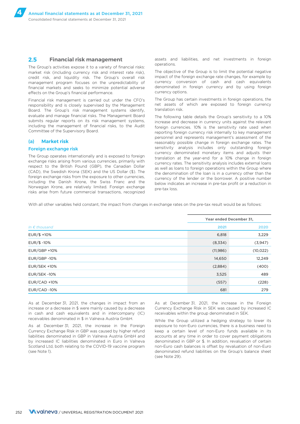### **2.5 Financial risk management**

The Group's activities expose it to a variety of financial risks: market risk (including currency risk and interest rate risk), credit risk, and liquidity risk. The Group's overall risk management program focuses on the unpredictability of financial markets and seeks to minimize potential adverse effects on the Group's financial performance.

Financial risk management is carried out under the CFO's responsibility and is closely supervised by the Management Board. The Group's risk management systems identify, evaluate and manage financial risks. The Management Board submits regular reports on its risk management systems, including the management of financial risks, to the Audit Committee of the Supervisory Board.

### (a) **Market risk**

#### Foreign exchange risk

The Group operates internationally and is exposed to foreign exchange risks arising from various currencies, primarily with respect to the British Pound (GBP), the Canadian Dollar (CAD), the Swedish Krona (SEK) and the US Dollar (\$). The foreign exchange risks from the exposure to other currencies, including the Danish Krone, the Swiss Franc and the Norwegian Krone, are relatively limited. Foreign exchange risks arise from future commercial transactions, recognized

assets and liabilities, and net investments in foreign operations.

The objective of the Group is to limit the potential negative impact of the foreign exchange rate changes, for example by currency conversion of cash and cash equivalents denominated in foreign currency and by using foreign currency options.

The Group has certain investments in foreign operations, the net assets of which are exposed to foreign currency translation risk.

The following table details the Group's sensitivity to a 10% increase and decrease in currency units against the relevant foreign currencies. 10% is the sensitivity rate used when reporting foreign currency risk internally to key management personnel and represents management's assessment of the reasonably possible change in foreign exchange rates. The sensitivity analysis includes only outstanding foreign currency denominated monetary items and adjusts their translation at the year-end for a 10% change in foreign currency rates. The sensitivity analysis includes external loans as well as loans to foreign operations within the Group where the denomination of the loan is in a currency other than the currency of the lender or the borrower. A positive number below indicates an increase in pre-tax profit or a reduction in pre-tax loss.

With all other variables held constant, the impact from changes in exchange rates on the pre-tax result would be as follows:

|                        | Year ended December 31, |           |  |
|------------------------|-------------------------|-----------|--|
| In $\epsilon$ thousand | 2021                    | 2020      |  |
| EUR/\$ +10%            | 6,818                   | 3,229     |  |
| $EUR/\$ -10\%$         | (8,334)                 | (3,947)   |  |
| EUR/GBP +10%           | (11, 986)               | (10, 022) |  |
| EUR/GBP-10%            | 14,650                  | 12,249    |  |
| <b>EUR/SEK +10%</b>    | (2,884)                 | (400)     |  |
| EUR/SEK-10%            | 3,525                   | 489       |  |
| $EUR/CAD + 10%$        | (557)                   | (228)     |  |
| EUR/CAD -10%           | 681                     | 279       |  |

As at December 31, 2021, the changes in impact from an increase or a decrease in \$ were mainly caused by a decrease in cash and cash equivalents and in intercompany (IC) receivables denominated in \$ in Valneva Austria GmbH.

As at December 31, 2021, the increase in the Foreign Currency Exchange Risk in GBP was caused by higher refund liabilities denominated in GBP in Valneva Austria GmbH and by increased IC liabilities denominated in Euro in Valneva Scotland Ltd, both relating to the COVID-19 vaccine program (see Note 1).

As at December 31, 2021, the increase in the Foreign Currency Exchange Risk in SEK was caused by increased IC receivables within the group denominated in SEK.

While the Group utilized a hedging strategy to lower its exposure to non-Euro currencies, there is a business need to keep a certain level of non-Euro funds available in its accounts at any time in order to cover payment obligations denominated in GBP or \$. In addition, revaluation of certain non-Euro cash balances is offset by revaluation of non-Euro denominated refund liabilities on the Group's balance sheet (see Note 29).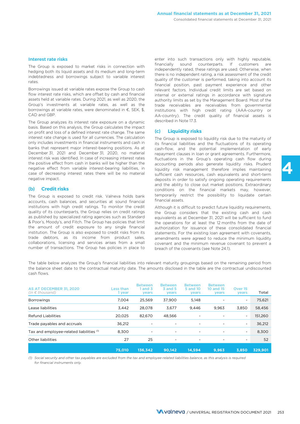#### Interest rate risks

The Group is exposed to market risks in connection with hedging both its liquid assets and its medium and long-term indebtedness and borrowings subject to variable interest rates.

Borrowings issued at variable rates expose the Group to cash flow interest rate risks, which are offset by cash and financial assets held at variable rates. During 2021, as well as 2020, the Group's investments at variable rates, as well as the borrowings at variable rates, were denominated in €, SEK, \$, CAD and GBP.

The Group analyzes its interest rate exposure on a dynamic basis. Based on this analysis, the Group calculates the impact on profit and loss of a defined interest rate change. The same interest rate change is used for all currencies. The calculation only includes investments in financial instruments and cash in banks that represent major interest-bearing positions. As at December 31, 2021 and December 31, 2020, no material interest risk was identified. In case of increasing interest rates the positive effect from cash in banks will be higher than the negative effect from variable interest-bearing liabilities, in case of decreasing interest rates there will be no material negative impact.

#### (b) **Credit risks**

The Group is exposed to credit risk. Valneva holds bank accounts, cash balances, and securities at sound financial institutions with high credit ratings. To monitor the credit quality of its counterparts, the Group relies on credit ratings as published by specialized rating agencies such as Standard & Poor's, Moody's, and Fitch. The Group has policies that limit the amount of credit exposure to any single financial institution. The Group is also exposed to credit risks from its trade debtors, as its income from product sales, collaborations, licensing and services arises from a small number of transactions. The Group has policies in place to

enter into such transactions only with highly reputable, financially sound counterparts. If customers are independently rated, these ratings are used. Otherwise, when there is no independent rating, a risk assessment of the credit quality of the customer is performed, taking into account its financial position, past payment experience and other relevant factors. Individual credit limits are set based on internal or external ratings in accordance with signature authority limits as set by the Management Board. Most of the trade receivables are receivables from governmental institutions with high credit rating (AAA-country or AA-country). The credit quality of financial assets is described in Note 17.3.

### (c) **Liquidity risks**

The Group is exposed to liquidity risk due to the maturity of its financial liabilities and the fluctuations of its operating cash-flow, and the potential implementation of early repayment clauses in loan or grant agreements. Furthermore, fluctuations in the Group's operating cash flow during accounting periods also generate liquidity risks. Prudent liquidity risk management therefore implies maintaining sufficient cash resources, cash equivalents and short-term deposits in order to satisfy ongoing operating requirements and the ability to close out market positions. Extraordinary conditions on the financial markets may, however, temporarily restrict the possibility to liquidate certain financial assets.

**4**

Although it is difficult to predict future liquidity requirements, the Group considers that the existing cash and cash equivalents as at December 31, 2021 will be sufficient to fund the operations for at least the 12 months from the date of authorization for issuance of these consolidated financial statements. For the existing loan agreement with covenants, amendments were agreed to reduce the minimum liquidity covenant and the minimum revenue covenant to prevent a breach of the covenants (see Note 24.1).

The table below analyzes the Group's financial liabilities into relevant maturity groupings based on the remaining period from the balance sheet date to the contractual maturity date. The amounts disclosed in the table are the contractual undiscounted cash flows.

| AS AT DECEMBER 31, 2020<br>(in $\epsilon$ thousand) | Less than<br>1 year | <b>Between</b><br>1 and $3$<br>years | <b>Between</b><br><b>3 and 5</b><br>years | <b>Between</b><br>5 and 10<br>years | <b>Between</b><br>10 and 15<br>years | Over 15<br>years         | Total   |
|-----------------------------------------------------|---------------------|--------------------------------------|-------------------------------------------|-------------------------------------|--------------------------------------|--------------------------|---------|
| <b>Borrowings</b>                                   | 7,004               | 25.569                               | 37.900                                    | 5.148                               |                                      | ۰                        | 75,621  |
| Lease liabilities                                   | 3,442               | 28,078                               | 3,677                                     | 9.446                               | 9,963                                | 3,850                    | 58,456  |
| Refund Liabilities                                  | 20.025              | 82.670                               | 48.566                                    | $\overline{\phantom{a}}$            |                                      | $\overline{\phantom{a}}$ | 151,260 |
| Trade payables and accruals                         | 36.212              |                                      | -                                         |                                     | ۰                                    | $\overline{\phantom{a}}$ | 36,212  |
| Tax and employee-related liabilities (1)            | 8.300               | ۰                                    | ۰                                         | ۰                                   | ۰                                    | $\overline{\phantom{a}}$ | 8,300   |
| Other liabilities                                   | 27                  | 25                                   | $\overline{\phantom{a}}$                  | $\overline{\phantom{a}}$            | $\overline{\phantom{0}}$             | ۰                        | 52      |
|                                                     | 75,010              | 136.342                              | 90.142                                    | 14.594                              | 9.963                                | 3.850                    | 329.901 |

*(1) Social security and other tax payables are excluded from the tax and employee-related liabilities balance, as this analysis is required for financial instruments only.*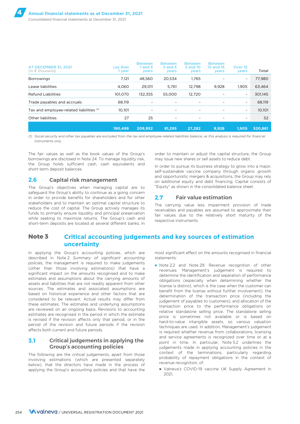| <b>AT DECEMBER 31, 2021</b><br>$(in \in thousand)$ | es than.<br>l year | <b>Between</b><br>1 and 3<br>years | <b>Between</b><br><b>3 and 5</b><br>years | <b>Between</b><br>5 and 10<br>years | <b>Between</b><br>10 and 15<br>years | Over 15<br>years         | Total   |
|----------------------------------------------------|--------------------|------------------------------------|-------------------------------------------|-------------------------------------|--------------------------------------|--------------------------|---------|
| <b>Borrowings</b>                                  | 7,121              | 48.560                             | 20.534                                    | 1.765                               |                                      | $\overline{\phantom{a}}$ | 77,980  |
| Lease liabilities                                  | 4.060              | 29.011                             | 5.761                                     | 12.798                              | 9,928                                | 1.905                    | 63,464  |
| Refund Liabilities                                 | 101.070            | 132.355                            | 55.000                                    | 12.720                              |                                      | $\overline{\phantom{a}}$ | 301,145 |
| Trade payables and accruals                        | 68.119             | $\overline{\phantom{0}}$           | $\overline{\phantom{a}}$                  | -                                   | ٠                                    | $\overline{\phantom{a}}$ | 68,119  |
| Tax and employee-related liabilities (1)           | 10.101             | ٠                                  | $\overline{\phantom{a}}$                  |                                     |                                      | $\overline{\phantom{a}}$ | 10.101  |
| Other liabilities                                  | 27                 | 25                                 | $\overline{\phantom{a}}$                  | -                                   |                                      | ٠                        | 52      |
|                                                    | 190,499            | 209,952                            | 81.295                                    | 27.282                              | 9,928                                | 1.905                    | 520,861 |

*(1) Social security and other tax payables are excluded from the tax and employee-related liabilities balance, as this analysis is required for financial instruments only.*

The fair values as well as the book values of the Group's borrowings are disclosed in Note 24. To manage liquidity risk, the Group holds sufficient cash, cash equivalents and short-term deposit balances.

### **2.6 Capital risk management**

The Group's objectives when managing capital are to safeguard the Group's ability to continue as a going concern in order to provide benefits for shareholders and for other stakeholders and to maintain an optimal capital structure to reduce the cost of capital. The Group actively manages its funds to primarily ensure liquidity and principal preservation while seeking to maximize returns. The Group's cash and short-term deposits are located at several different banks. In order to maintain or adjust the capital structure, the Group may issue new shares or sell assets to reduce debt.

In order to pursue its business strategy to grow into a major, self-sustainable vaccine company through organic growth and opportunistic mergers & acquisitions, the Group may rely on additional equity and debt financing. Capital consists of "Equity" as shown in the consolidated balance sheet.

### **2.7 Fair value estimation**

The carrying value less impairment provision of trade receivables and payables are assumed to approximate their fair values due to the relatively short maturity of the respective instruments.

### **Note 3 Critical accounting judgements and key sources of estimation uncertainty**

In applying the Group's accounting policies, which are described in Note 2 *Summary of significant accounting policies*, the management is required to make judgements (other than those involving estimations) that have a significant impact on the amounts recognised and to make estimates and assumptions about the carrying amounts of assets and liabilities that are not readily apparent from other sources. The estimates and associated assumptions are based on historical experience and other factors that are considered to be relevant. Actual results may differ from these estimates. The estimates and underlying assumptions are reviewed on an ongoing basis. Revisions to accounting estimates are recognised in the period in which the estimate is revised if the revision affects only that period, or in the period of the revision and future periods if the revision affects both current and future periods.

### **3.1 Critical judgements in applying the Group's accounting policies**

The following are the critical judgements, apart from those involving estimations (which are presented separately below), that the directors have made in the process of applying the Group's accounting policies and that have the most significant effect on the amounts recognised in financial statements:

- Note 2.2 and Note 29: Revenue recognition of other revenues: Management's judgement is required to determine the identification and separation of performance obligations (especially when determining whether the license is distinct, which is the case when the customer can benefit from the license without further involvement), the determination of the transaction price (including the judgement of payables to customers), and allocation of the transaction price to the performance obligations on relative standalone selling price. The standalone selling price is sometimes not available or is based on hard-to-value intangible assets, so various valuation techniques are used. In addition, Management's judgement is required whether revenue from collaborations, licensing and service agreements is recognized over time or at a point in time. In particular, Note 5.2 underlines the judgements made in applying accounting policies in the context of the terminations, particularly regarding probability of repayment obligations in the context of revenue recognition, of:
	- Valneva's COVID-19 vaccine UK Supply Agreement in 2021,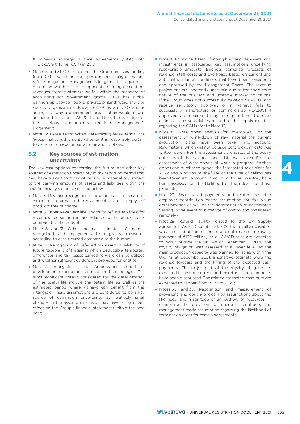- Valneva's strategic alliance agreements (SAA) with GlaxoSmithKline (GSK) in 2019;
- Notes 8 and 31: Other income: The Group receives funding from CEPI, which include performance obligations and refund obligations. Management's judgement is required to determine whether such components of an agreement are revenues from customers or fall within the standard of accounting for government grants. CEPI has global partnership between public, private, philanthropic, and civil society organizations. Because CEPI is an NGO and is acting in a way a government organization would, it was accounted for under IAS 20. In addition, the valuation of the various components required Management's judgement;
- Note 13: Lease term: When determining lease terms, the Group makes judgements whether it is reasonably certain to exercise renewal or early termination options.

### **3.2 Key sources of estimation uncertainty**

The key assumptions concerning the future, and other key sources of estimation uncertainty in the reporting period that may have a significant risk of causing a material adjustment to the carrying amounts of assets and liabilities within the next financial year, are discussed below:

- Note 5: Revenue recognition of product sales: estimate of expected returns and replacements, and supply of products free of charge;
- Note 5: Other Revenues: likelihoods for refund liabilities; for revenues recognition in accordance to the actual costs compared to the budget;
- Notes 8 and 31: Other income: estimates of income recognized and repayments from grants, measured according to cost incurred compared to the budget;
- Note 10: Recognition of deferred tax assets: availability of future taxable profit against which deductible temporary differences and tax losses carried forward can be utilized and whether sufficient evidence is provided for entities;
- Note 12: Intangible assets: Amortization period of development expenditures and acquired technologies; The most significant criteria considered for the determination of the useful life include the patent life as well as the estimated period where Valneva can benefit from this intangible. These assumptions are considered to be a key source of estimation uncertainty as relatively small changes in the assumptions used may have a significant effect on the Group's financial statements within the next year;
- Note 16 Impairment test of intangible, tangible assets, and investments in associates: key assumptions underlying recoverable amounts; Budgets comprise forecasts of revenue, staff costs and overheads based on current and anticipated market conditions that have been considered and approved by the Management Board. The revenue projections are inherently uncertain due to the short-term nature of the business and unstable market conditions. If the Group does not successfully develop VLA2001 and receive regulatory approval, or if Valneva fails to successfully manufacture or commercialize VLA2001 if approved, an impairment may be required. For the main estimates and sensitivities related to the impairment test regarding the CGU refer to Note 16;
- Note 18: Write down analysis for inventories: For the assessment of write-down of raw material the current production plans have been taken into account. Raw material which will not be used before expiry date was written down. For this assessment the status of the expiry dates as of the balance sheet date was taken. For the assessment of write-downs of work in progress, finished goods and purchased goods, the forecasted sales plans for 2022 and a minimum shelf life at the time of selling has been taken into account. In addition, those inventory have been assessed on the likelihood of the release of those products;

**4**

- Note 23: Share-based payments and related expected employer contribution costs: assumption for fair value determination as well as the determination of accelerated vesting in the event of a change of control (as considered remotely);
- Note 29: Refund liability related to the UK Supply agreement: As at December 31, 2021 the royalty obligation was assessed at the maximum amount (maximum royalty payment of €100 million), as all COVID sales are expected to occur outside the UK. As of December 31, 2020 the royalty obligation was assessed at a lower level, as the main production capacity was planned for sales within the UK. As at December 2021, a sensitive estimate were the revenue forecast and the timing of the expected cash payments. The major part of the royalty obligation is expected to be non-current, and therefore thoese amounts have been discounted. The related estimated cash-outs are expected to happen from 2022 to 2026;
- Notes 30 and 33: Recognition and measurement of provisions and contingencies: key assumptions about the likelihood and magnitude of an outflow of resources. In estimating the provision for onerous contracts, the management made assumption regarding the likelihood of termination costs for certain agreements.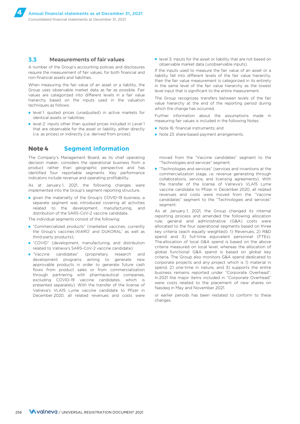### **3.3 Measurements of fair values**

A number of the Group's accounting policies and disclosures require the measurement of fair values, for both financial and non-financial assets and liabilities.

When measuring the fair value of an asset or a liability, the Group uses observable market data as far as possible. Fair values are categorized into different levels in a fair value hierarchy based on the inputs used in the valuation techniques as follows:

- level 1: quoted prices (unadjusted) in active markets for identical assets or liabilities;
- level 2: inputs other than quoted prices included in Level 1 that are observable for the asset or liability, either directly (*i.e.* as prices) or indirectly (*i.e.* derived from prices);

### **Note 4 Segment information**

The Company's Management Board, as its chief operating decision maker, considers the operational business from a product rather than geographic perspective and has identified four reportable segments. Key performance indicators include revenue and operating profitability.

As at January 1, 2021, the following changes were implemented into the Group's segment reporting structure.

■ given the materiality of the Group's COVID-19 business, a separate segment was introduced covering all activities related to the development, manufacturing, and distribution of the SARS-CoV-2 vaccine candidate.

The individual segments consist of the following:

- "Commercialized products" (marketed vaccines, currently the Group's vaccines IXIARO® and DUKORAL® as well as third-party products);
- "COVID" (development, manufacturing, and distribution related to Valneva's SARS-CoV-2 vaccine candidate);
- "Vaccine candidates" (proprietary research and development programs aiming to generate new approvable products in order to generate future cash flows from product sales or from commercialization through partnering with pharmaceutical companies, excluding COVID-19 vaccine candidates, which is presented separately). With the transfer of the license of Valneva's VLA15 Lyme vaccine candidate to Pfizer in December 2020, all related revenues and costs were

■ level 3: inputs for the asset or liability that are not based on observable market data (unobservable inputs).

If the inputs used to measure the fair value of an asset or a liability fall into different levels of the fair value hierarchy, then the fair value measurement is categorized in its entirety in the same level of the fair value hierarchy as the lowest level input that is significant to the entire measurement.

The Group recognizes transfers between levels of the fair value hierarchy at the end of the reporting period during which the change has occurred.

Further information about the assumptions made in measuring fair values is included in the following Notes:

- Note 16: financial instruments; and
- Note 23: share-based payment arrangements.

moved from the "Vaccine candidates" segment to the "Technologies and services" segment;

■ "Technologies and services" (services and inventions at the commercialization stage, *i.e.* revenue generating through collaborations, service, and licensing agreements). With the transfer of the license of Valneva's VLA15 Lyme vaccine candidate to Pfizer in December 2020, all related revenues and costs were moved from the "Vaccine candidates" segment to the "Technologies and services" segment.

As at January 1, 2021, the Group changed its internal reporting process and amended the following allocation rule: general and administrative (G&A) costs were allocated to the four operational segments based on three key criteria (each equally weighted): 1) Revenues, 2) R&D spend and 3) full-time equivalent personnel (FTEs). The allocation of local G&A spend is based on the above criteria measured on local level, whereas the allocation of global functional G&A spend is based on global key criteria. The Group also monitors G&A spend dedicated to corporate projects and any project which is 1) material in spend, 2) one-time in nature, and 3) supports the entire business remains reported under "Corporate Overhead". In 2021 the major items included in "Corporate Overhead" were costs related to the placement of new shares on Nasdaq in May and November 2021.

or earlier periods has been restated to conform to these changes.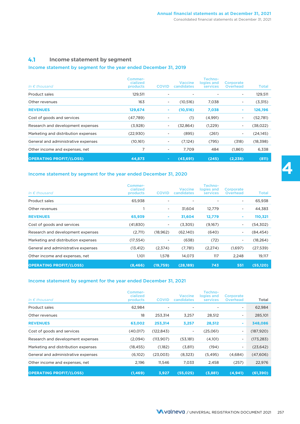### **4.1 Income statement by segment**

### Income statement by segment for the year ended December 31, 2019

| In $\epsilon$ thousand              | Commer-<br>cialized<br>products | <b>COVID</b>             | <b>Vaccine</b><br>candidates | Techno-<br>logies and<br>services | Corporate<br><b>Overhead</b> | <b>Total</b> |
|-------------------------------------|---------------------------------|--------------------------|------------------------------|-----------------------------------|------------------------------|--------------|
| Product sales                       | 129,511                         |                          | $\overline{\phantom{0}}$     |                                   | ۰.                           | 129,511      |
| Other revenues                      | 163                             | -                        | (10, 516)                    | 7,038                             |                              | (3,315)      |
| <b>REVENUES</b>                     | 129,674                         | ۰                        | (10, 516)                    | 7,038                             | ٠                            | 126,196      |
| Cost of goods and services          | (47,789)                        |                          | (1)                          | (4,991)                           | ۰.                           | (52,781)     |
| Research and development expenses   | (3,928)                         |                          | (32, 864)                    | (1,229)                           | ۰.                           | (38,022)     |
| Marketing and distribution expenses | (22,930)                        | $\overline{\phantom{0}}$ | (895)                        | (261)                             | $\overline{\phantom{a}}$     | (24, 145)    |
| General and administrative expenses | (10, 161)                       | ۰                        | (7,124)                      | (795)                             | (318)                        | (18,398)     |
| Other income and expenses, net      | 7                               | ۰                        | 7,709                        | 484                               | (1,861)                      | 6,338        |
| <b>OPERATING PROFIT/(LOSS)</b>      | 44,873                          | $\sim$                   | (43,691)                     | (245)                             | (2, 238)                     | (811)        |

### Income statement by segment for the year ended December 31, 2020

| In $\epsilon$ thousand              | Commer-<br>cialized<br>products | <b>COVID</b>             | <b>Vaccine</b><br>candidates | Techno-<br>logies and<br>services | Corporate<br><b>Overhead</b> | Total     |
|-------------------------------------|---------------------------------|--------------------------|------------------------------|-----------------------------------|------------------------------|-----------|
| Product sales                       | 65,938                          |                          |                              |                                   | $\overline{\phantom{a}}$     | 65,938    |
| Other revenues                      |                                 | ۰                        | 31.604                       | 12,779                            | ۰.                           | 44,383    |
| <b>REVENUES</b>                     | 65,939                          | ۰                        | 31,604                       | 12,779                            | ٠                            | 110,321   |
| Cost of goods and services          | (41, 830)                       | $\overline{\phantom{0}}$ | (3,305)                      | (9,167)                           | ۰.                           | (54, 302) |
| Research and development expenses   | (2,711)                         | (18, 962)                | (62,140)                     | (640)                             | ۰.                           | (84, 454) |
| Marketing and distribution expenses | (17, 554)                       |                          | (638)                        | (72)                              | ۰.                           | (18, 264) |
| General and administrative expenses | (13, 412)                       | (2,374)                  | (7,781)                      | (2,274)                           | (1,697)                      | (27, 539) |
| Other income and expenses, net      | 1,101                           | 1,578                    | 14,073                       | 117                               | 2,248                        | 19,117    |
| <b>OPERATING PROFIT/(LOSS)</b>      | (8, 466)                        | (19,759)                 | (28, 189)                    | 743                               | 551                          | (55, 120) |

### Income statement by segment for the year ended December 31, 2021

| In $\epsilon$ thousand              | Commer-<br>cialized<br>products | <b>COVID</b> | <b>Vaccine</b><br><b>candidates</b> | Techno-<br>logies and<br>services | Corporate<br><b>Overhead</b> | Total      |
|-------------------------------------|---------------------------------|--------------|-------------------------------------|-----------------------------------|------------------------------|------------|
| Product sales                       | 62,984                          |              |                                     |                                   | -                            | 62,984     |
| Other revenues                      | 18                              | 253,314      | 3,257                               | 28,512                            | ٠                            | 285,101    |
| <b>REVENUES</b>                     | 63,002                          | 253,314      | 3,257                               | 28,512                            | ٠                            | 348,086    |
| Cost of goods and services          | (40, 017)                       | (122, 843)   |                                     | (25,061)                          | -                            | (187, 920) |
| Research and development expenses   | (2,094)                         | (113,907)    | (53,181)                            | (4,101)                           | ٠                            | (173, 283) |
| Marketing and distribution expenses | (18, 455)                       | (1,182)      | (3,811)                             | (194)                             | -                            | (23, 642)  |
| General and administrative expenses | (6,102)                         | (23,003)     | (8,323)                             | (5, 495)                          | (4,684)                      | (47,606)   |
| Other income and expenses, net      | 2,196                           | 11,546       | 7,033                               | 2,458                             | (257)                        | 22,976     |
| <b>OPERATING PROFIT/(LOSS)</b>      | (1, 469)                        | 3.927        | (55, 025)                           | (3,881)                           | (4,941)                      | (61, 390)  |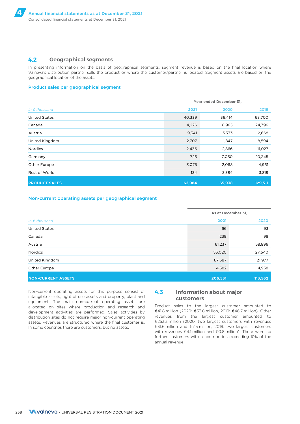### **4.2 Geographical segments**

In presenting information on the basis of geographical segments, segment revenue is based on the final location where Valneva's distribution partner sells the product or where the customer/partner is located. Segment assets are based on the geographical location of the assets.

#### Product sales per geographical segment

|                        | Year ended December 31, |        |         |  |  |
|------------------------|-------------------------|--------|---------|--|--|
| In $\epsilon$ thousand | 2021                    | 2020   | 2019    |  |  |
| <b>United States</b>   | 40,339                  | 36,414 | 63,700  |  |  |
| Canada                 | 4,226                   | 8,965  | 24,396  |  |  |
| Austria                | 9,341                   | 3,333  | 2,668   |  |  |
| United Kingdom         | 2,707                   | 1,847  | 8,594   |  |  |
| <b>Nordics</b>         | 2,436                   | 2,866  | 11,027  |  |  |
| Germany                | 726                     | 7,060  | 10,345  |  |  |
| Other Europe           | 3,075                   | 2,068  | 4,961   |  |  |
| Rest of World          | 134                     | 3,384  | 3,819   |  |  |
| <b>PRODUCT SALES</b>   | 62,984                  | 65,938 | 129,511 |  |  |

#### Non-current operating assets per geographical segment

|                           | As at December 31, |         |  |
|---------------------------|--------------------|---------|--|
| In $\epsilon$ thousand    | 2021               | 2020    |  |
| <b>United States</b>      | 66                 | 93      |  |
| Canada                    | 239                | 98      |  |
| Austria                   | 61,237             | 58,896  |  |
| Nordics                   | 53,020             | 27,540  |  |
| United Kingdom            | 87,387             | 21,977  |  |
| Other Europe              | 4,582              | 4,958   |  |
| <b>NON-CURRENT ASSETS</b> | 206,531            | 113,562 |  |

Non-current operating assets for this purpose consist of intangible assets, right of use assets and property, plant and equipment. The main non-current operating assets are allocated on sites where production and research and development activities are performed. Sales activities by distribution sites do not require major non-current operating assets. Revenues are structured where the final customer is. In some countries there are customers, but no assets.

### **4.3 Information about major customers**

Product sales to the largest customer amounted to €41.8 million (2020: €33.8 million, 2019: €46.7 million). Other revenues from the largest customer amounted to €253.3 million (2020: two largest customers with revenues €31.6 million and €7.5 million, 2019: two largest customers with revenues €4.1 million and €0.8 million). There were no further customers with a contribution exceeding 10% of the annual revenue.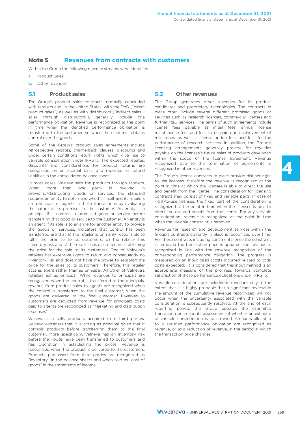### **Note 5 Revenues from contracts with customers**

Within the Group the following revenue streams were identified:

- a. Product Sales
- **b.** Other revenues

### **5.1 Product sales**

The Group's product sales contracts, normally concluded with retailers and, in the United States, with the DoD ("direct product sales") as well as with distributors ("indirect sales – sales through distributors"), generally include one performance obligation. Revenue is recognized at the point in time when the identified performance obligation is transferred to the customer, so when the customer obtains control over the goods.

Some of the Group's product sales agreements include retrospective rebates, charge-back clauses, discounts and under certain conditions return rights which give rise to variable consideration under IFRS 15. The expected rebates, discounts and considerations for product returns are recognized on an accrual basis and reported as refund liabilities in the consolidated balance sheet.

In most cases, Valneva sells the products through retailers. When more than one party is involved in providing/distributing goods or services, the standard requires an entity to determine whether itself and its retailers are principals or agents in these transactions by evaluating the nature of its promises to the customer. An entity is a principal if it controls a promised good or service before transferring that good or service to the customer. An entity is an agent if its role is to arrange for another entity to provide the goods or services. Indicators that control has been transferred are that a) the retailer is primarily responsible to fulfill the promise to its customers, b) the retailer has inventory risk and c) the retailer has discretion in establishing the price for the sale to its customers. One of Valneva's retailers has extensive rights to return and consequently no inventory risk and does not have the power to establish the price for the sales to its customers. Therefore, this retailer acts as agent rather than as principal. All other of Valneva's retailers act as principal. While revenues to principals are recognized when the control is transferred to the principals, revenue from product sales to agents are recognized when the control is transferred to the final customer, when the goods are delivered to the final customer. Payables to customers are deducted from revenue for principals, costs paid to agents are recognized as "Marketing and distribution expenses".

Valneva also sells products acquired from third parties. Valneva considers that it is acting as principal given that it controls products before transferring them to the final customer. More specifically, Valneva has an inventory risk before the goods have been transferred to customers and has discretion in establishing the prices. Revenue is recognized when the product is delivered to the customers. Products purchased from third parties are recognized as "inventory" in the balance sheets and when sold as "cost of goods" in the statements of income.

### **5.2 Other revenues**

The Group generates other revenues for its product candidates and proprietary technologies. The contracts in place often include several different promised goods or services such as research licenses, commercial licenses and further R&D services. The terms of such agreements include license fees payable as initial fees, annual license maintenance fees and fees to be paid upon achievement of milestones, as well as license option fees and fees for the performance of research services. In addition, the Group's licensing arrangements generally provide for royalties payable on the licensee's future sales of products developed within the scope of the license agreement. Revenue recognized due to the termination of agreements is recognized in other revenues.

**4**

The Group's license contracts in place provide distinct right to use licenses, therefore the revenue is recognized at the point in time at which the licensee is able to direct the use and benefit from the license. The consideration for licensing contracts may consist of fixed and variable parts. In case of right-to-use licenses, the fixed part of the consideration is recognized at the point in time when the licensee is able to direct the use and benefit from the license. For any variable consideration, revenue is recognized at the point in time when the variable constraint is removed.

Revenue for research and development services within the Group's contracts currently in place is recognized over time. For those contracts including constraints, once the constraint is removed the transaction price is updated and revenue is recognized in line with the revenue recognition of the corresponding performance obligation. The progress is measured on an input basis (costs incurred related to total costs expected). It is considered that this input method is an appropriate measure of the progress towards complete satisfaction of these performance obligations under IFRS 15.

Variable considerations are included in revenues only to the extent that it is highly probable that a significant reversal in the amount of the cumulative revenue recognized will not occur when the uncertainty associated with the variable consideration is subsequently resolved. At the end of each reporting period, the Group updates the estimated transaction price and its assessment of whether an estimate of variable consideration is constrained. Amounts allocated to a satisfied performance obligation are recognized as revenue, or as a reduction of revenue, in the period in which the transaction price changes.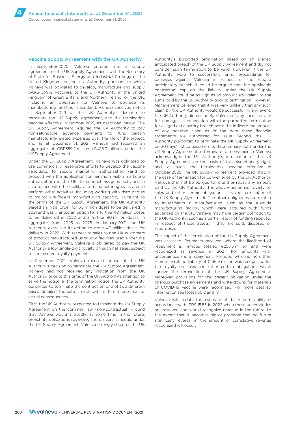#### Vaccine Supply Agreement with the UK Authority

In September 2020, Valneva entered into a supply agreement, or the UK Supply Agreement, with the Secretary of State for Business, Energy and Industrial Strategy of the United Kingdom, or the UK Authority, pursuant to which Valneva was obligated to develop, manufacture and supply SARS-CoV-2 vaccines, to the UK Authority in the United Kingdom of Great Britain, and Northern Ireland, or the UK, including an obligation for Valneva to upgrade its manufacturing facilities in Scotland. Valneva received notice in September 2021 of the UK Authority's decision to terminate the UK Supply Agreement, and the termination became effective in October 2021, as described below. The UK Supply Agreement required the UK Authority to pay non-refundable advance payments to fund certain manufacturing-related expenses over the life of the project, and as at December 31, 2021 Valneva had received an aggregate of GBP359.2 million (€408.3 million) under the UK Supply Agreement.

Under the UK Supply Agreement, Valneva was obligated to use commercially reasonable efforts to develop the vaccine candidate, to secure marketing authorization (and to proceed with the application for minimum viable marketing authorization) in the UK, to conduct assigned activities in accordance with the facility and manufacturing plans and to perform other activities, including working with third parties to maintain sufficient manufacturing capacity. Pursuant to the terms of the UK Supply Agreement, the UK Authority placed an initial order for 60 million doses to be delivered in 2021 and was granted an option for a further 40 million doses to be delivered in 2022 and a further 90 million doses, in aggregate, from 2023 to 2025. In January 2021, the UK Authority exercised its option to order 40 million doses for delivery in 2022. With respect to sales to non-UK customers of product manufactured using any facilities used under the UK Supply Agreement, Valneva is obligated to pay the UK Authority a low single-digit royalty on such net sales, subject to a maximum royalty payment.

In September 2021, Valneva received notice of the UK Authority's decision to terminate the UK Supply Agreement. Valneva had not received any indication from the UK Authority, prior to this time, of the UK Authority's intention to serve the notice. In the termination notice, the UK Authority purported to terminate the contract on one of two different bases detailed thereafter, each with different potential or actual consequences.

First, the UK Authority purported to terminate the UK Supply Agreement on the common law (non-contractual) ground that Valneva would allegedly, at some time in the future, breach its obligations regarding the delivery schedule under the UK Supply Agreement. Valneva strongly disputes the UK Authority's purported termination based on an alleged anticipated breach of the UK Supply Agreement and did not consider such termination to be valid. However, if the UK Authority were to successfully bring proceedings for damages against Valneva in respect of the alleged anticipatory breach, it could be argued that the applicable contractual cap on the liability under the UK Supply Agreement could be as high as an amount equivalent to the sums paid by the UK Authority prior to termination. However, Management believed that it was very unlikely that any such claim by the UK Authority would be successful. In any event, the UK Authority did not notify Valneva of any specific claim for damages in connection with the purported termination for alleged anticipatory breach nor did it indicate the amount of any possible claim as of the date these financial statements are authorized for issue. Second, the UK Authority purported to terminate the UK Supply Agreement on 30 days' notice based on its discretionary right under the UK Supply Agreement to terminate for convenience. Valneva acknowledged the UK Authority's termination of the UK Supply Agreement on the basis of this discretionary right, and, as such, the termination became effective in October 2021. The UK Supply Agreement provided that, in the case of termination for convenience by the UK Authority, Valneva shall not be obliged to refund or repay any amount paid by the UK Authority. The above-mentioned royalty on sales and other certain obligations survived termination of the UK Supply Agreement. The other obligations are related to investments in manufacturing, such as the Alemida manufacturing facility, which were acquired with funds advanced by the UK, Valneva may have certain obligation to the UK Authority, such as a partial return of funding received, in respect of those assets if they are sold, disposed or repurposed.

The impact of the termination of the UK Supply Agreement was assessed. Payments received, where the likelihood of repayment is remote, totaled €253.3 million and were recognized as revenue in 2021. For amounts with uncertainties and a repayment likelihood, which is more than remote, a refund liability of €166.9 million was recognized for the royalty on sales and other certain obligations which survive the termination of the UK Supply Agreement. Moreover, provisions for the present obligation under the onerous purchase agreements and write-downs for materials of COVID-19 vaccine were recognized. For more detailed information see Notes 30.2 and 18.

Valneva will update this estimate of the refund liability in accordance with IFRS 15.55 in 2022 when these uncertainties are resolved and would recognize revenue in the future, to the extent that it becomes highly probable that no future significant reversal in the amount of cumulative revenue recognized will occur.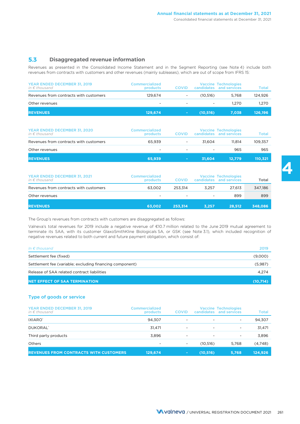### **5.3 Disaggregated revenue information**

Revenues as presented in the Consolidated Income Statement and in the Segment Reporting (see Note 4) include both revenues from contracts with customers and other revenues (mainly subleases), which are out of scope from IFRS 15:

| YEAR ENDED DECEMBER 31, 2019<br>in $\epsilon$ thousand | Commercialized<br>products | <b>COVID</b> |          | <b>Vaccine Technologies</b><br>candidates and services | Total   |
|--------------------------------------------------------|----------------------------|--------------|----------|--------------------------------------------------------|---------|
| Revenues from contracts with customers                 | 129.674                    |              | (10.516) | 5.768                                                  | 124.926 |
| Other revenues                                         | $\overline{\phantom{0}}$   |              | $\sim$   | 1.270                                                  | 1.270   |
| <b>REVENUES</b>                                        | 129.674                    | $\sim$       | (10.516) | 7.038                                                  | 126.196 |

| YEAR ENDED DECEMBER 31, 2020<br>in $\epsilon$ thousand | Commercialized<br>products | <b>COVID</b>             |        | <b>Vaccine Technologies</b><br>candidates and services | Total   |
|--------------------------------------------------------|----------------------------|--------------------------|--------|--------------------------------------------------------|---------|
| Revenues from contracts with customers                 | 65.939                     | ٠                        | 31.604 | 11.814                                                 | 109,357 |
| Other revenues                                         | $\overline{\phantom{0}}$   | $\overline{\phantom{a}}$ | ۰      | 965                                                    | 965     |
| <b>REVENUES</b>                                        | 65,939                     | $\sim$                   | 31.604 | 12.779                                                 | 110,321 |

| YEAR ENDED DECEMBER 31, 2021<br>in $\epsilon$ thousand | Commercialized<br>products | <b>COVID</b>             |                          | <b>Vaccine Technologies</b><br>candidates and services | <b>Total</b> |
|--------------------------------------------------------|----------------------------|--------------------------|--------------------------|--------------------------------------------------------|--------------|
| Revenues from contracts with customers                 | 63.002                     | 253.314                  | 3.257                    | 27.613                                                 | 347.186      |
| Other revenues                                         | ۰                          | $\overline{\phantom{0}}$ | $\overline{\phantom{a}}$ | 899                                                    | 899          |
| <b>REVENUES</b>                                        | 63.002                     | 253.314                  | 3.257                    | 28.512                                                 | 348.086      |

The Group's revenues from contracts with customers are disaggregated as follows:

Valneva's total revenues for 2019 include a negative revenue of €10.7 million related to the June 2019 mutual agreement to terminate its SAA, with its customer GlaxoSmithKline Biologicals SA, or GSK (see Note 3.1), which included recognition of negative revenues related to both current and future payment obligation, which consist of:

| In $\epsilon$ thousand                                   | 2019     |
|----------------------------------------------------------|----------|
| Settlement fee (fixed)                                   | (9,000)  |
| Settlement fee (variable; excluding financing component) | (5,987)  |
| Release of SAA related contract liabilities              | 4.274    |
| <b>NET EFFECT OF SAA TERMINATION.</b>                    | (10,714) |

### Type of goods or service

| YEAR ENDED DECEMBER 31, 2019<br>in $\epsilon$ thousand | Commercialized<br>products | <b>COVID</b> |                          | <b>Vaccine Technologies</b><br>candidates and services | <b>Total</b> |
|--------------------------------------------------------|----------------------------|--------------|--------------------------|--------------------------------------------------------|--------------|
| IXIARO <sup>*</sup>                                    | 94.307                     | $\sim$       | ۰                        | $\overline{\phantom{a}}$                               | 94,307       |
| DUKORAL <sup>®</sup>                                   | 31.471                     | $\sim$       | ۰                        | $\overline{\phantom{a}}$                               | 31,471       |
| Third party products                                   | 3,896                      | -            | $\overline{\phantom{a}}$ | $\overline{\phantom{a}}$                               | 3,896        |
| Others                                                 | $\overline{\phantom{0}}$   | ۰            | (10,516)                 | 5,768                                                  | (4,748)      |
| <b>REVENUES FROM CONTRACTS WITH CUSTOMERS</b>          | 129,674                    | $\sim$       | (10, 516)                | 5,768                                                  | 124,926      |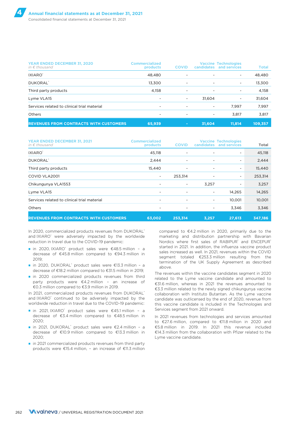| YEAR ENDED DECEMBER 31, 2020<br>in $\epsilon$ thousand | Commercialized<br>products | <b>COVID</b> | <b>candidates</b>        | <b>Vaccine Technologies</b><br>and services | <b>Total</b> |
|--------------------------------------------------------|----------------------------|--------------|--------------------------|---------------------------------------------|--------------|
| IXIARO <sup>*</sup>                                    | 48.480                     |              |                          | $\overline{\phantom{a}}$                    | 48,480       |
| DUKORAL <sup>*</sup>                                   | 13.300                     | -            | ۰                        | $\overline{\phantom{a}}$                    | 13,300       |
| Third party products                                   | 4,158                      | ۰            | -                        | $\overline{\phantom{a}}$                    | 4,158        |
| Lyme VLA15                                             | -                          | ۰            | 31.604                   | -                                           | 31,604       |
| Services related to clinical trial material            | ٠                          |              | $\overline{\phantom{a}}$ | 7.997                                       | 7,997        |
| Others                                                 | -                          |              | ۰                        | 3.817                                       | 3,817        |
| <b>REVENUES FROM CONTRACTS WITH CUSTOMERS</b>          | 65,939                     | $\sim$       | 31.604                   | 11.814                                      | 109,357      |

| YEAR ENDED DECEMBER 31, 2021<br>in $\epsilon$ thousand | <b>Commercialized</b><br>products | <b>COVID</b>             | candidates                   | <b>Vaccine Technologies</b><br>and services | Total   |
|--------------------------------------------------------|-----------------------------------|--------------------------|------------------------------|---------------------------------------------|---------|
| IXIARO <sup>*</sup>                                    | 45,118                            | -                        | ٠                            | $\overline{\phantom{a}}$                    | 45,118  |
| DUKORAL <sup>®</sup>                                   | 2,444                             | ۰                        | $\overline{a}$               | $\qquad \qquad \blacksquare$                | 2,444   |
| Third party products                                   | 15,440                            | ۰                        | ٠                            | $\overline{\phantom{a}}$                    | 15,440  |
| COVID VLA2001                                          | ٠                                 | 253,314                  | $\overline{a}$               | $\overline{\phantom{a}}$                    | 253,314 |
| Chikungunya VLA1553                                    | ٠                                 | $\overline{\phantom{a}}$ | 3.257                        | ٠                                           | 3,257   |
| Lyme VLA15                                             | ٠                                 | ۰                        | $\qquad \qquad \blacksquare$ | 14,265                                      | 14,265  |
| Services related to clinical trial material            | ٠                                 |                          | $\qquad \qquad \blacksquare$ | 10.001                                      | 10,001  |
| Others                                                 | ٠                                 |                          | $\overline{a}$               | 3.346                                       | 3,346   |
| <b>REVENUES FROM CONTRACTS WITH CUSTOMERS</b>          | 63.002                            | 253,314                  | 3,257                        | 27,613                                      | 347,186 |

In 2020, commercialized products revenues from DUKORAL® and IXIARO<sup>®</sup> were adversely impacted by the worldwide reduction in travel due to the COVID-19 pandemic:

- in 2020, IXIARO® product sales were  $€48.5$  million a decrease of €45.8 million compared to €94.3 million in  $2019$
- in 2020, DUKORAL® product sales were €13.3 million a decrease of €18.2 million compared to €31.5 million in 2019;
- in 2020 commercialized products revenues from third party products were €4.2 million – an increase of €0.3 million compared to €3.9 million in 2019.

In 2021, commercialized products revenues from DUKORAL® and IXIARO<sup>®</sup> continued to be adversely impacted by the worldwide reduction in travel due to the COVID-19 pandemic:

- in 2021, IXIARO® product sales were €45.1 million a decrease of €3.4 million compared to €48.5 million in 2020;
- in 2021, DUKORAL® product sales were €2.4 million a decrease of €10.9 million compared to €13.3 million in 2020;
- in 2021 commercialized products revenues from third party products were €15.4 million, – an increase of €11.3 million

compared to €4.2 million in 2020, primarily due to the marketing and distribution partnership with Bavarian Nordics where first sales of RABIPUR® and ENCEPUR® started in 2021. In addition, the influenza vaccine product sales increased as well. In 2021, revenues within the COVID segment totaled €253.3 million resulting from the termination of the UK Supply Agreement as described above.

The revenues within the vaccine candidates segment in 2020 related to the Lyme vaccine candidate and amounted to €31.6 million, whereas in 2021 the revenues amounted to €3.3 million related to the newly signed chikungunya vaccine collaboration with Instituto Butantan. As the Lyme vaccine candidate was outlicensed by the end of 2020, revenue from this vaccine candidate is included in the Technologies and Services segment from 2021 onward.

In 2021 revenues from technologies and services amounted to €27.6 million, compared to €11.8 million in 2020 and €5.8 million in 2019. In 2021 this revenue included €14.3 million from the collaboration with Pfizer related to the Lyme vaccine candidate.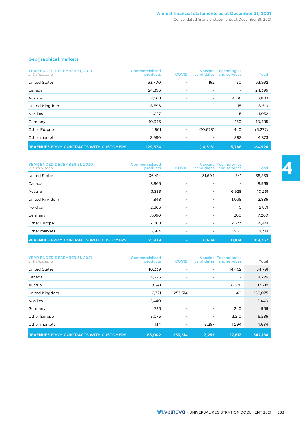### Geographical markets

| YEAR ENDED DECEMBER 31, 2019<br>in $\epsilon$ thousand | Commercialized<br>products | <b>COVID</b> | <b>candidates</b>            | <b>Vaccine Technologies</b><br>and services | <b>Total</b> |
|--------------------------------------------------------|----------------------------|--------------|------------------------------|---------------------------------------------|--------------|
| <b>United States</b>                                   | 63,700                     | ٠            | 162                          | 130                                         | 63,992       |
| Canada                                                 | 24,396                     | -            | ۰                            | ۰                                           | 24,396       |
| Austria                                                | 2,668                      |              | $\qquad \qquad \blacksquare$ | 4,136                                       | 6,803        |
| United Kingdom                                         | 8,596                      | ٠            | ۰                            | 15                                          | 8,610        |
| <b>Nordics</b>                                         | 11,027                     |              | $\qquad \qquad \blacksquare$ | 5                                           | 11,032       |
| Germany                                                | 10,345                     | ۰            | ٠                            | 150                                         | 10,495       |
| Other Europe                                           | 4,961                      | ٠.           | (10,678)                     | 440                                         | (5,277)      |
| Other markets                                          | 3,980                      |              |                              | 893                                         | 4,873        |
| <b>REVENUES FROM CONTRACTS WITH CUSTOMERS</b>          | 129,674                    | $\sim$       | (10, 516)                    | 5,768                                       | 124,926      |

| YEAR ENDED DECEMBER 31, 2020<br>in $\epsilon$ thousand | <b>Commercialized</b><br>products | <b>COVID</b>             | candidates | <b>Vaccine Technologies</b><br>and services | <b>Total</b> |
|--------------------------------------------------------|-----------------------------------|--------------------------|------------|---------------------------------------------|--------------|
| <b>United States</b>                                   | 36,414                            | $\overline{\phantom{a}}$ | 31,604     | 341                                         | 68,359       |
| Canada                                                 | 8,965                             | $\overline{\phantom{a}}$ |            |                                             | 8,965        |
| Austria                                                | 3,333                             | $\overline{\phantom{a}}$ |            | 6,928                                       | 10,261       |
| United Kingdom                                         | 1,848                             | $\overline{\phantom{a}}$ |            | 1.038                                       | 2,886        |
| <b>Nordics</b>                                         | 2,866                             | $\overline{\phantom{a}}$ |            | 5                                           | 2,871        |
| Germany                                                | 7,060                             | $\overline{a}$           | -          | 200                                         | 7,260        |
| Other Europe                                           | 2,068                             | $\overline{a}$           |            | 2.373                                       | 4,441        |
| Other markets                                          | 3.384                             | $\overline{\phantom{a}}$ |            | 930                                         | 4,314        |
| <b>REVENUES FROM CONTRACTS WITH CUSTOMERS</b>          | 65,939                            | $\blacksquare$           | 31,604     | 11,814                                      | 109,357      |

| YEAR ENDED DECEMBER 31, 2021<br>in $\epsilon$ thousand | <b>Commercialized</b><br>products | <b>COVID</b> | <b>candidates</b>            | <b>Vaccine Technologies</b><br>and services | <b>Total</b> |
|--------------------------------------------------------|-----------------------------------|--------------|------------------------------|---------------------------------------------|--------------|
| <b>United States</b>                                   | 40,339                            |              | ۰.                           | 14,452                                      | 54,791       |
| Canada                                                 | 4,226                             | ۰            | ۰                            | $\overline{\phantom{a}}$                    | 4,226        |
| Austria                                                | 9,341                             | ۰            | ۰.                           | 8,376                                       | 17,718       |
| United Kingdom                                         | 2,721                             | 253,314      | ۰                            | 40                                          | 256,075      |
| <b>Nordics</b>                                         | 2,440                             |              | ۰                            | $\overline{\phantom{a}}$                    | 2,440        |
| Germany                                                | 726                               | ۰            | ۰                            | 240                                         | 966          |
| Other Europe                                           | 3,075                             | ۰            | $\qquad \qquad \blacksquare$ | 3,210                                       | 6,286        |
| Other markets                                          | 134                               |              | 3,257                        | 1,294                                       | 4,684        |
| <b>REVENUES FROM CONTRACTS WITH CUSTOMERS</b>          | 63,002                            | 253,314      | 3,257                        | 27,613                                      | 347,186      |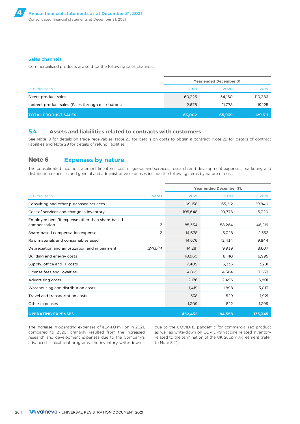#### Sales channels

Commercialized products are sold *via* the following sales channels:

|                                                     | Year ended December 31, |        |         |  |  |
|-----------------------------------------------------|-------------------------|--------|---------|--|--|
| In $\epsilon$ thousand                              | 2021                    | 2020   | 2019    |  |  |
| Direct product sales                                | 60,325                  | 54.160 | 110,386 |  |  |
| Indirect product sales (Sales through distributors) | 2,678                   | 11.778 | 19,125  |  |  |
| <b>TOTAL PRODUCT SALES</b>                          | 63,002                  | 65,939 | 129,511 |  |  |

### **5.4 Assets and liabilities related to contracts with customers**

See Note 19 for details on trade receivables, Note 20 for details on costs to obtain a contract, Note 28 for details of contract liabilities and Note 29 for details of refund liabilities.

### **Note 6 Expenses by nature**

The consolidated income statement line items cost of goods and services, research and development expenses, marketing and distribution expenses and general and administrative expenses include the following items by nature of cost:

|                                                                 |                | Year ended December 31, |         |         |  |  |
|-----------------------------------------------------------------|----------------|-------------------------|---------|---------|--|--|
| In $\epsilon$ thousand                                          | <b>Notes</b>   | 2021                    | 2020    | 2019    |  |  |
| Consulting and other purchased services                         |                | 169,158                 | 65,212  | 29,840  |  |  |
| Cost of services and change in inventory                        |                | 105,648                 | 10,778  | 5,320   |  |  |
| Employee benefit expense other than share-based<br>compensation | $\overline{z}$ | 85,334                  | 58,264  | 46,219  |  |  |
| Share-based compensation expense                                | 7              | 14.678                  | 6,328   | 2,552   |  |  |
| Raw materials and consumables used                              |                | 14,676                  | 12,434  | 9,844   |  |  |
| Depreciation and amortization and impairment                    | 12/13/14       | 14,281                  | 9,939   | 8,607   |  |  |
| Building and energy costs                                       |                | 10,960                  | 8.140   | 6,995   |  |  |
| Supply, office and IT costs                                     |                | 7,409                   | 3,333   | 3,281   |  |  |
| License fees and royalties                                      |                | 4,865                   | 4,384   | 7,553   |  |  |
| Advertising costs                                               |                | 2,176                   | 2,496   | 6,801   |  |  |
| Warehousing and distribution costs                              |                | 1,419                   | 1,898   | 3,013   |  |  |
| Travel and transportation costs                                 |                | 538                     | 529     | 1,921   |  |  |
| Other expenses                                                  |                | 1,309                   | 822     | 1,399   |  |  |
| <b>OPERATING EXPENSES</b>                                       |                | 432,452                 | 184,558 | 133,345 |  |  |

compared to 2020, primarily resulted from the increased as well as write-down on COVID-19 vaccine related inventory research and development expenses due to the Company's related to the termination of the UK Supply Agreement (refer advanced clinical trial programs, the inventory write-down - to Note 5.2).

The increase in operating expenses of €244.0 million in 2021, due to the COVID-19 pandemic for commercialized product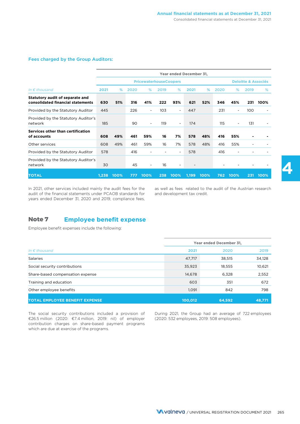#### Fees charged by the Group Auditors:

|                                                                      | Year ended December 31, |      |      |                               |                 |                          |       |      |      |                          |                                |      |  |
|----------------------------------------------------------------------|-------------------------|------|------|-------------------------------|-----------------|--------------------------|-------|------|------|--------------------------|--------------------------------|------|--|
|                                                                      |                         |      |      | <b>PricewaterhouseCoopers</b> |                 |                          |       |      |      |                          | <b>Deloitte &amp; Associés</b> |      |  |
| In $\epsilon$ thousand                                               | 2021                    | %    | 2020 | %                             | 2019            | %                        | 2021  | %    | 2020 | %                        | 2019                           | %    |  |
| Statutory audit of separate and<br>consolidated financial statements | 630                     | 51%  | 316  | 41%                           | 222             | 93%                      | 621   | 52%  | 346  | 45%                      | 231                            | 100% |  |
| Provided by the Statutory Auditor                                    | 445                     |      | 226  |                               | 10 <sub>3</sub> | $\overline{\phantom{a}}$ | 447   |      | 231  | $\overline{\phantom{a}}$ | 100                            |      |  |
| Provided by the Statutory Auditor's<br>network                       | 185                     |      | 90   | $\overline{\phantom{a}}$      | 119             | $\overline{\phantom{a}}$ | 174   |      | 115  | $\overline{\phantom{a}}$ | 131                            |      |  |
| Services other than certification<br>of accounts                     | 608                     | 49%  | 461  | 59%                           | 16              | 7%                       | 578   | 48%  | 416  | 55%                      |                                |      |  |
| Other services                                                       | 608                     | 49%  | 461  | 59%                           | 16              | 7%                       | 578   | 48%  | 416  | 55%                      |                                |      |  |
| Provided by the Statutory Auditor                                    | 578                     |      | 416  |                               |                 | $\overline{\phantom{a}}$ | 578   |      | 416  |                          |                                |      |  |
| Provided by the Statutory Auditor's<br>network                       | 30                      |      | 45   |                               | 16              | $\overline{\phantom{a}}$ |       |      |      |                          |                                |      |  |
| <b>TOTAL</b>                                                         | 1,238                   | 100% | 777  | 100%                          | 238             | 100%                     | 1,199 | 100% | 762  | 100%                     | 231                            | 100% |  |

audit of the financial statements under PCAOB standards for and development tax credit. years ended December 31, 2020 and 2019, compliance fees,

In 2021, other services included mainly the audit fees for the as well as fees related to the audit of the Austrian research

### **Note 7 Employee benefit expense**

Employee benefit expenses include the following:

|                                       | Year ended December 31, |        |        |
|---------------------------------------|-------------------------|--------|--------|
| In $\epsilon$ thousand                | 2021                    | 2020   | 2019   |
| <b>Salaries</b>                       | 47,717                  | 38,515 | 34,128 |
| Social security contributions         | 35,923                  | 18,555 | 10,621 |
| Share-based compensation expense      | 14,678                  | 6.328  | 2,552  |
| Training and education                | 603                     | 351    | 672    |
| Other employee benefits               | 1,091                   | 842    | 798    |
| <b>TOTAL EMPLOYEE BENEFIT EXPENSE</b> | 100,012                 | 64,592 | 48,771 |

The social security contributions included a provision of €26.5 million (2020: €7.4 million, 2019: nil) of employer contribution charges on share-based payment programs which are due at exercise of the programs.

During 2021, the Group had an average of 722 employees (2020: 532 employees, 2019: 508 employees).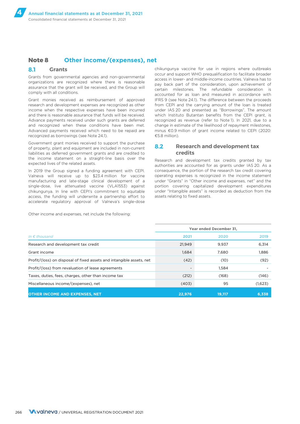### **Note 8 Other income/(expenses), net**

#### **8.1 Grants**

Grants from governmental agencies and non-governmental organizations are recognized where there is reasonable assurance that the grant will be received, and the Group will comply with all conditions.

Grant monies received as reimbursement of approved research and development expenses are recognized as other income when the respective expenses have been incurred and there is reasonable assurance that funds will be received. Advance payments received under such grants are deferred and recognized when these conditions have been met. Advanced payments received which need to be repaid are recognized as borrowings (see Note 24.1).

Government grant monies received to support the purchase of property, plant and equipment are included in non-current liabilities as deferred government grants and are credited to the income statement on a straight-line basis over the expected lives of the related assets.

In 2019 the Group signed a funding agreement with CEPI. Valneva will receive up to \$23.4 million for vaccine manufacturing and late-stage clinical development of a single-dose, live attenuated vaccine (VLA1553) against chikungunya. In line with CEPI's commitment to equitable access, the funding will underwrite a partnership effort to accelerate regulatory approval of Valneva's single-dose

Other income and expenses, net include the following:

chikungunya vaccine for use in regions where outbreaks occur and support WHO prequalification to facilitate broader access in lower- and middle-income countries. Valneva has to pay back part of the consideration, upon achievement of certain milestones. The refundable consideration is accounted for as loan and measured in accordance with IFRS 9 (see Note 24.1). The difference between the proceeds from CEPI and the carrying amount of the loan is treated under IAS 20 and presented as "Borrowings". The amount which Instituto Butantan benefits from the CEPI grant, is recognized as revenue (refer to Note 1). In 2021, due to a change in estimate of the likelihood of repayment milestones, minus €0.9 million of grant income related to CEPI (2020: €5.8 million).

### **8.2 Research and development tax credits**

Research and development tax credits granted by tax authorities are accounted for as grants under IAS 20. As a consequence, the portion of the research tax credit covering operating expenses is recognized in the income statement under "Grants" in "Other income and expenses, net" and the portion covering capitalized development expenditures under "Intangible assets" is recorded as deduction from the assets relating to fixed assets.

|                                                                      |                          | Year ended December 31, |         |  |  |
|----------------------------------------------------------------------|--------------------------|-------------------------|---------|--|--|
| In $\epsilon$ thousand                                               | 2021                     | 2020                    | 2019    |  |  |
| Research and development tax credit                                  | 21,949                   | 9,937                   | 6,314   |  |  |
| Grant income                                                         | 1.684                    | 7.680                   | 1,886   |  |  |
| Profit/(loss) on disposal of fixed assets and intangible assets, net | (42)                     | (10)                    | (92)    |  |  |
| Profit/(loss) from revaluation of lease agreements                   | $\overline{\phantom{a}}$ | 1.584                   |         |  |  |
| Taxes, duties, fees, charges, other than income tax                  | (212)                    | (168)                   | (146)   |  |  |
| Miscellaneous income/(expenses), net                                 | (403)                    | 95                      | (1,623) |  |  |
| <b>OTHER INCOME AND EXPENSES, NET</b>                                | 22.976                   | 19.117                  | 6,338   |  |  |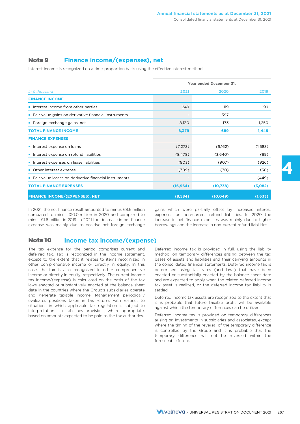### **Note 9 Finance income/(expenses), net**

Interest income is recognized on a time-proportion basis using the effective interest method.

|                                                         | Year ended December 31, |           |         |
|---------------------------------------------------------|-------------------------|-----------|---------|
| In $\epsilon$ thousand                                  | 2021                    | 2020      | 2019    |
| <b>FINANCE INCOME</b>                                   |                         |           |         |
| Interest income from other parties                      | 249                     | 119       | 199     |
| • Fair value gains on derivative financial instruments  |                         | 397       |         |
| • Foreign exchange gains, net                           | 8,130                   | 173       | 1,250   |
| <b>TOTAL FINANCE INCOME</b>                             | 8,379                   | 689       | 1,449   |
| <b>FINANCE EXPENSES</b>                                 |                         |           |         |
| Interest expense on loans                               | (7, 273)                | (6,162)   | (1,588) |
| Interest expense on refund liabilities                  | (8, 478)                | (3,640)   | (89)    |
| Interest expenses on lease liabilities                  | (903)                   | (907)     | (926)   |
| • Other interest expense                                | (309)                   | (30)      | (30)    |
| • Fair value losses on derivative financial instruments |                         |           | (449)   |
| <b>TOTAL FINANCE EXPENSES</b>                           | (16, 964)               | (10,738)  | (3,082) |
| <b>FINANCE INCOME/(EXPENSES), NET</b>                   | (8,584)                 | (10, 049) | (1,633) |

In 2021, the net finance result amounted to minus €8.6 million gains which were partially offset by increased interest compared to minus €10.0 million in 2020 and compared to expenses on non-current refund liabilities. In 2020 the minus €1.6 million in 2019. In 2021 the decrease in net finance increase in net finance expenses was mainly due to higher expense was mainly due to positive net foreign exchange borrowings and the increase in non-current refund liabilities.

### **Note 10 Income tax income/(expense)**

The tax expense for the period comprises current and deferred tax. Tax is recognized in the income statement, except to the extent that it relates to items recognized in other comprehensive income or directly in equity. In this case, the tax is also recognized in other comprehensive income or directly in equity, respectively. The current Income tax income/(expense) is calculated on the basis of the tax laws enacted or substantively enacted at the balance sheet date in the countries where the Group's subsidiaries operate and generate taxable income. Management periodically evaluates positions taken in tax returns with respect to situations in which applicable tax regulation is subject to interpretation. It establishes provisions, where appropriate, based on amounts expected to be paid to the tax authorities.

Deferred income tax is provided in full, using the liability method, on temporary differences arising between the tax bases of assets and liabilities and their carrying amounts in the consolidated financial statements. Deferred income tax is determined using tax rates (and laws) that have been enacted or substantially enacted by the balance sheet date and are expected to apply when the related deferred income tax asset is realized, or the deferred income tax liability is settled.

Deferred income tax assets are recognized to the extent that it is probable that future taxable profit will be available against which the temporary differences can be utilized.

Deferred income tax is provided on temporary differences arising on investments in subsidiaries and associates, except where the timing of the reversal of the temporary difference is controlled by the Group and it is probable that the temporary difference will not be reversed within the foreseeable future.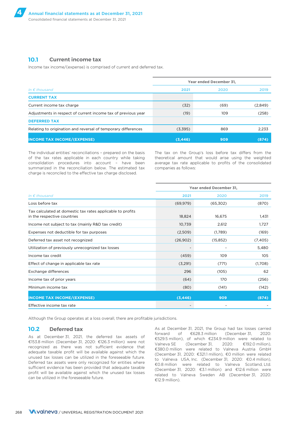### **10.1 Current income tax**

Income tax income/(expense) is comprised of current and deferred tax.

|                                                               |          | Year ended December 31. |         |  |  |
|---------------------------------------------------------------|----------|-------------------------|---------|--|--|
| In $\epsilon$ thousand                                        | 2021     | 2020                    | 2019    |  |  |
| <b>CURRENT TAX</b>                                            |          |                         |         |  |  |
| Current income tax charge                                     | (32)     | (69)                    | (2,849) |  |  |
| Adjustments in respect of current income tax of previous year | (19)     | 109                     | (258)   |  |  |
| <b>DEFERRED TAX</b>                                           |          |                         |         |  |  |
| Relating to origination and reversal of temporary differences | (3,395)  | 869                     | 2,233   |  |  |
| <b>INCOME TAX INCOME/(EXPENSE)</b>                            | (3, 446) | 909                     | (874)   |  |  |

The individual entities' reconciliations – prepared on the basis of the tax rates applicable in each country while taking consolidation procedures into account – have been summarized in the reconciliation below. The estimated tax charge is reconciled to the effective tax charge disclosed.

The tax on the Group's loss before tax differs from the theoretical amount that would arise using the weighted average tax rate applicable to profits of the consolidated companies as follows:

|                                                                                           |           | Year ended December 31, |          |  |  |
|-------------------------------------------------------------------------------------------|-----------|-------------------------|----------|--|--|
| In $\epsilon$ thousand                                                                    | 2021      | 2020                    | 2019     |  |  |
| Loss before tax                                                                           | (69, 979) | (65,302)                | (870)    |  |  |
| Tax calculated at domestic tax rates applicable to profits<br>in the respective countries | 18,824    | 16,675                  | 1,431    |  |  |
| Income not subject to tax (mainly R&D tax credit)                                         | 10,739    | 2,612                   | 1,727    |  |  |
| Expenses not deductible for tax purposes                                                  | (2,509)   | (1,789)                 | (169)    |  |  |
| Deferred tax asset not recognized                                                         | (26,902)  | (15, 852)               | (7, 405) |  |  |
| Utilization of previously unrecognized tax losses                                         |           |                         | 5,480    |  |  |
| Income tax credit                                                                         | (459)     | 109                     | 105      |  |  |
| Effect of change in applicable tax rate                                                   | (3,291)   | (771)                   | (1,708)  |  |  |
| Exchange differences                                                                      | 296       | (105)                   | 62       |  |  |
| Income tax of prior years                                                                 | (64)      | 170                     | (256)    |  |  |
| Minimum income tax                                                                        | (80)      | (141)                   | (142)    |  |  |
| <b>INCOME TAX INCOME/(EXPENSE)</b>                                                        | (3, 446)  | 909                     | (874)    |  |  |
| Effective income tax rate                                                                 |           |                         |          |  |  |

Although the Group operates at a loss overall, there are profitable jurisdictions.

### **10.2 Deferred tax**

As at December 31, 2021, the deferred tax assets of €153.8 million (December 31, 2020: €126.3 million) were not recognized as there was not sufficient evidence that adequate taxable profit will be available against which the unused tax losses can be utilized in the foreseeable future. Deferred tax assets were only recognized for entities where sufficient evidence has been provided that adequate taxable profit will be available against which the unused tax losses can be utilized in the foreseeable future.

As at December 31, 2021, the Group had tax losses carried forward of €628.3 million (December 31, 2020: €529.5 million), of which €234.9 million were related to Valneva SE (December 31, 2020: €192.0 million), €380.0 million were related to Valneva Austria GmbH (December 31, 2020: €321.1 million), €0 million were related to Valneva USA, Inc. (December 31, 2020: €0.4 million), €0.8 million were related to Valneva Scotland, Ltd. (December 31, 2020: €3.1 million) and €12.6 million were related to Valneva Sweden AB (December 31, 2020: €12.9 million).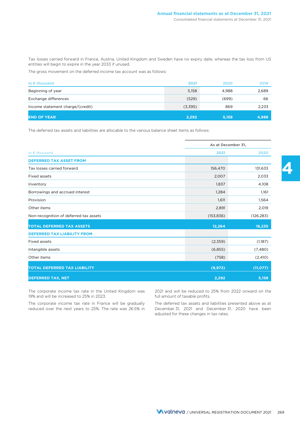Tax losses carried forward in France, Austria, United Kingdom and Sweden have no expiry date, whereas the tax loss from US entities will begin to expire in the year 2033 if unused.

The gross movement on the deferred income tax account was as follows:

| In $\epsilon$ thousand           | 2021    | 2020  | 2019  |
|----------------------------------|---------|-------|-------|
| Beginning of year                | 5,158   | 4,988 | 2,689 |
| Exchange differences             | (529)   | (699) | 66    |
| Income statement charge/(credit) | (3,395) | 869   | 2,233 |
| <b>END OF YEAR</b>               | 2,292   | 5,158 | 4,988 |

The deferred tax assets and liabilities are allocable to the various balance sheet items as follows:

|                                        | As at December 31, |            |  |
|----------------------------------------|--------------------|------------|--|
| In $\epsilon$ thousand                 | 2021               | 2020       |  |
| <b>DEFERRED TAX ASSET FROM</b>         |                    |            |  |
| Tax losses carried forward             | 156,470            | 131,633    |  |
| <b>Fixed assets</b>                    | 2,007              | 2,033      |  |
| Inventory                              | 1,837              | 4,108      |  |
| Borrowings and accrued interest        | 1,284              | 1,161      |  |
| Provision                              | 1,611              | 1,564      |  |
| Other items                            | 2,891              | 2,019      |  |
| Non-recognition of deferred tax assets | (153, 836)         | (126, 283) |  |
| <b>TOTAL DEFERRED TAX ASSETS</b>       | 12,264             | 16,235     |  |
| <b>DEFERRED TAX LIABILITY FROM</b>     |                    |            |  |
| Fixed assets                           | (2,359)            | (1,187)    |  |
| Intangible assets                      | (6,855)            | (7,480)    |  |
| Other items                            | (758)              | (2, 410)   |  |
| <b>TOTAL DEFERRED TAX LIABILITY</b>    | (9, 972)           | (11, 077)  |  |
| <b>DEFERRED TAX, NET</b>               | 2,292              | 5,158      |  |

The corporate income tax rate in the United Kingdom was 19% and will be increased to 25% in 2023.

The corporate income tax rate in France will be gradually reduced over the next years to 25%. The rate was 26.5% in 2021 and will be reduced to 25% from 2022 onward on the full amount of taxable profits.

The deferred tax assets and liabilities presented above as at December 31, 2021 and December 31, 2020 have been adjusted for these changes in tax rates.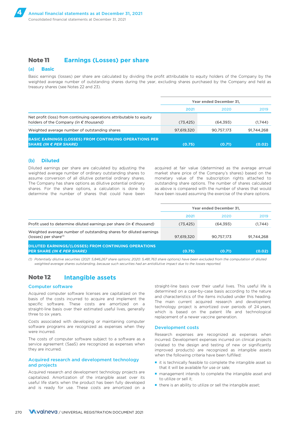### **Note 11 Earnings (Losses) per share**

#### (a) **Basic**

Basic earnings (losses) per share are calculated by dividing the profit attributable to equity holders of the Company by the weighted average number of outstanding shares during the year, excluding shares purchased by the Company and held as treasury shares (see Notes 22 and 23).

|                                                                                                                        | Year ended December 31, |            |            |  |
|------------------------------------------------------------------------------------------------------------------------|-------------------------|------------|------------|--|
|                                                                                                                        | 2021                    | 2020       | 2019       |  |
| Net profit (loss) from continuing operations attributable to equity<br>holders of the Company (in $\epsilon$ thousand) | (73.425)                | (64.393)   | (1.744)    |  |
| Weighted average number of outstanding shares                                                                          | 97,619,320              | 90.757.173 | 91.744.268 |  |
| <b>BASIC EARNINGS (LOSSES) FROM CONTINUING OPERATIONS PER</b><br>SHARE (IN € PER SHARE)                                | (0.75)                  | (0.71)     | (0.02)     |  |

#### (b) **Diluted**

Diluted earnings per share are calculated by adjusting the acquired at fair value (determined as the average annual weighted average number of ordinary outstanding shares to market share price of the Company's shares) based on the assume conversion of all dilutive potential ordinary shares. monetary value of the subscription rights attached to The Company has share options as dilutive potential ordinary outstanding share options. The number of shares calculated shares. For the share options, a calculation is done to as above is compared with the number of shares that would determine the number of shares that could have been have been issued assuming the exercise of the share options.

|                                                                                                  | Year ended December 31, |            |            |
|--------------------------------------------------------------------------------------------------|-------------------------|------------|------------|
|                                                                                                  | 2021                    | 2020       | 2019       |
| Profit used to determine diluted earnings per share (in $\epsilon$ thousand)                     | (73, 425)               | (64, 393)  | (1,744)    |
| Weighted average number of outstanding shares for diluted earnings<br>$(losses)$ per share $(1)$ | 97,619,320              | 90.757.173 | 91.744.268 |
| <b>DILUTED EARNINGS/(LOSSES) FROM CONTINUING OPERATIONS</b><br><b>PER SHARE (IN € PER SHARE)</b> | (0.75)                  | (0.71)     | (0.02)     |

*(1) Potentially dilutive securities (2021: 5,846,267 share options; 2020: 5,481,763 share options) have been excluded from the computation of diluted weighted-average shares outstanding, because such securities had an antidilutive impact due to the losses reported.*

### **Note 12 Intangible assets**

#### Computer software

Acquired computer software licenses are capitalized on the basis of the costs incurred to acquire and implement the specific software. These costs are amortized on a straight-line basis over their estimated useful lives, generally three to six years.

Costs associated with developing or maintaining computer software programs are recognized as expenses when they were incurred.

The costs of computer software subject to a software as a service agreement (SaaS) are recognized as expenses when they are incurred.

#### Acquired research and development technology and projects

Acquired research and development technology projects are capitalized. Amortization of the intangible asset over its useful life starts when the product has been fully developed and is ready for use. These costs are amortized on a straight-line basis over their useful lives. This useful life is determined on a case-by-case basis according to the nature and characteristics of the items included under this heading. The main current acquired research and development technology project is amortized over periods of 24 years, which is based on the patent life and technological replacement of a newer vaccine generation.

#### Development costs

Research expenses are recognized as expenses when incurred. Development expenses incurred on clinical projects (related to the design and testing of new or significantly improved products) are recognized as intangible assets when the following criteria have been fulfilled:

- it is technically feasible to complete the intangible asset so that it will be available for use or sale;
- management intends to complete the intangible asset and to utilize or sell it;
- there is an ability to utilize or sell the intangible asset;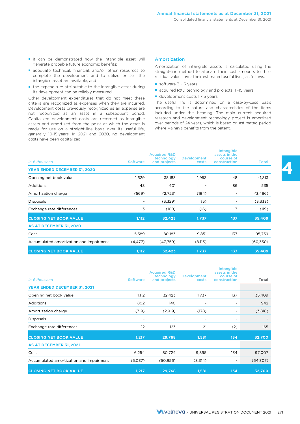- it can be demonstrated how the intangible asset will generate probable future economic benefits;
- adequate technical, financial, and/or other resources to complete the development and to utilize or sell the intangible asset are available; and
- the expenditure attributable to the intangible asset during its development can be reliably measured.

Other development expenditures that do not meet these criteria are recognized as expenses when they are incurred. Development costs previously recognized as an expense are not recognized as an asset in a subsequent period. Capitalized development costs are recorded as intangible assets and amortized from the point at which the asset is ready for use on a straight-line basis over its useful life, generally 10-15 years. In 2021 and 2020, no development costs have been capitalized.

#### Amortization

Amortization of intangible assets is calculated using the straight-line method to allocate their cost amounts to their residual values over their estimated useful lives, as follows:

- software 3 6 years;
- acquired R&D technology and projects 1-15 years;
- development costs 1 -15 years.

The useful life is determined on a case-by-case basis according to the nature and characteristics of the items included under this heading. The main current acquired research and development technology project is amortized over periods of 24 years, which is based on estimated period where Valneva benefits from the patent.

| In $\epsilon$ thousand                  | <b>Software</b> | <b>Acquired R&amp;D</b><br>technology<br>and projects | <b>Development</b><br>costs | Intangible<br>assets in the<br>course of<br>construction | <b>Total</b> |
|-----------------------------------------|-----------------|-------------------------------------------------------|-----------------------------|----------------------------------------------------------|--------------|
| <b>YEAR ENDED DECEMBER 31, 2020</b>     |                 |                                                       |                             |                                                          |              |
| Opening net book value                  | 1,629           | 38,183                                                | 1,953                       | 48                                                       | 41,813       |
| <b>Additions</b>                        | 48              | 401                                                   | ۰                           | 86                                                       | 535          |
| Amortization charge                     | (569)           | (2,723)                                               | (194)                       | ۰                                                        | (3,486)      |
| <b>Disposals</b>                        | -               | (3,329)                                               | (5)                         | ٠                                                        | (3,333)      |
| Exchange rate differences               | 3               | (108)                                                 | (16)                        | 3                                                        | (119)        |
| <b>CLOSING NET BOOK VALUE</b>           | 1,112           | 32,423                                                | 1,737                       | 137                                                      | 35,409       |
| AS AT DECEMBER 31, 2020                 |                 |                                                       |                             |                                                          |              |
| Cost                                    | 5,589           | 80,183                                                | 9,851                       | 137                                                      | 95,759       |
| Accumulated amortization and impairment | (4, 477)        | (47,759)                                              | (8,113)                     | ۰                                                        | (60,350)     |
| <b>CLOSING NET BOOK VALUE</b>           | 1,112           | 32,423                                                | 1,737                       | 137                                                      | 35,409       |

| In $\epsilon$ thousand                  | <b>Software</b> | <b>Acquired R&amp;D</b><br>technology<br>and projects | <b>Development</b><br>costs | Intangible<br>assets in the<br>course of<br>construction | Total     |
|-----------------------------------------|-----------------|-------------------------------------------------------|-----------------------------|----------------------------------------------------------|-----------|
| <b>YEAR ENDED DECEMBER 31, 2021</b>     |                 |                                                       |                             |                                                          |           |
| Opening net book value                  | 1,112           | 32,423                                                | 1,737                       | 137                                                      | 35,409    |
| <b>Additions</b>                        | 802             | 140                                                   | ۰                           | ۰                                                        | 942       |
| Amortization charge                     | (719)           | (2,919)                                               | (178)                       | -                                                        | (3,816)   |
| <b>Disposals</b>                        | ٠               | ٠                                                     | ۰                           | ۰                                                        |           |
| Exchange rate differences               | 22              | 123                                                   | 21                          | (2)                                                      | 165       |
| <b>CLOSING NET BOOK VALUE</b>           | 1,217           | 29,768                                                | 1,581                       | 134                                                      | 32,700    |
| AS AT DECEMBER 31, 2021                 |                 |                                                       |                             |                                                          |           |
| Cost                                    | 6,254           | 80,724                                                | 9,895                       | 134                                                      | 97,007    |
| Accumulated amortization and impairment | (5,037)         | (50, 956)                                             | (8,314)                     | ۰                                                        | (64, 307) |
| <b>CLOSING NET BOOK VALUE</b>           | 1,217           | 29,768                                                | 1,581                       | 134                                                      | 32,700    |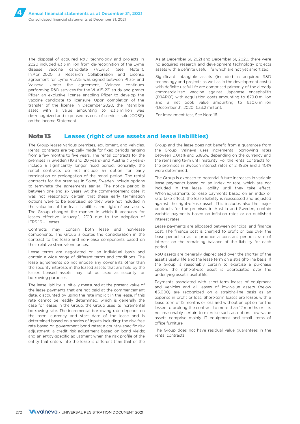The disposal of acquired R&D technology and projects in 2020 included €3.3 million from de-recognition of the Lyme disease vaccine candidate (VLA15) (see Note 1). In April 2020, a Research Collaboration and License agreement for Lyme VLA15 was signed between Pfizer and Valneva. Under the agreement, Valneva continues performing R&D services for the VLA15-221 study and grants Pfizer an exclusive license enabling Pfizer to develop the vaccine candidate to licensure. Upon completion of the transfer of the license in December 2020, the intangible asset with a value amounting to €3.3 million was de-recognized and expensed as cost of services sold (COSS) on the Income Statement.

As at December 31, 2021 and December 31, 2020, there were no acquired research and development technology projects assets with a definite useful life which are not yet amortized.

Significant intangible assets (included in acquired R&D technology and projects as well as in the development costs) with definite useful life are comprised primarily of the already commercialized vaccine against Japanese encephalitis (IXIARO<sup>\*</sup>) with acquisition costs amounting to  $£79.0$  million and a net book value amounting to €30.6 million (December 31, 2020: €33.2 million).

For impairment test, See Note 16.

### **Note 13 Leases (right of use assets and lease liabilities)**

The Group leases various premises, equipment, and vehicles. Rental contracts are typically made for fixed periods ranging from a few months to five years. The rental contracts for the premises in Sweden (10 and 20 years) and Austria (15 years) include a significantly longer fixed period. Generally, the rental contracts do not include an option for early termination or prolongation of the rental period. The rental contracts for the premises in Solna, Sweden include options to terminate the agreements earlier. The notice period is between one and six years. At the commencement date, it was not reasonably certain that these early termination options were to be exercised, so they were not included in the valuation of the lease liabilities and right of use assets. The Group changed the manner in which it accounts for leases effective January 1, 2019 due to the adoption of IFRS 16 – Leases.

Contracts may contain both lease and non-lease components. The Group allocates the consideration in the contract to the lease and non-lease components based on their relative stand-alone prices.

Lease terms are negotiated on an individual basis and contain a wide range of different terms and conditions. The lease agreements do not impose any covenants other than the security interests in the leased assets that are held by the lessor. Leased assets may not be used as security for borrowing purposes.

The lease liability is initially measured at the present value of the lease payments that are not paid at the commencement date, discounted by using the rate implicit in the lease. If this rate cannot be readily determined, which is generally the case for leases in the Group, the Group uses its incremental borrowing rate. The incremental borrowing rate depends on the term, currency and start date of the lease and is determined based on a series of inputs including: the risk-free rate based on government bond rates; a country-specific risk adjustment; a credit risk adjustment based on bond yields; and an entity-specific adjustment when the risk profile of the entity that enters into the lease is different than that of the

Group and the lease does not benefit from a guarantee from the Group. Valneva uses incremental borrowing rates between 0.013% and 3.186%, depending on the currency and the remaining term until maturity. For the rental contracts for the premises in Sweden interest rates of 2.493% and 3.401% were determined.

The Group is exposed to potential future increases in variable lease payments based on an index or rate, which are not included in the lease liability until they take effect. When adjustments to lease payments based on an index or rate take effect, the lease liability is reassessed and adjusted against the right-of-use asset. This includes also the major contracts for the premises in Austria and Sweden, contain variable payments based on inflation rates or on published interest rates.

Lease payments are allocated between principal and finance cost. The finance cost is charged to profit or loss over the lease period so as to produce a constant periodic rate of interest on the remaining balance of the liability for each period.

RoU assets are generally depreciated over the shorter of the asset's useful life and the lease term on a straight-line basis. If the Group is reasonably certain to exercise a purchase option, the right-of-use asset is depreciated over the underlying asset's useful life.

Payments associated with short-term leases of equipment and vehicles and all leases of low-value assets (below €5,000) are recognized on a straight-line basis as an expense in profit or loss. Short-term leases are leases with a lease term of 12 months or less and without an option for the lessee to prolong the contract to more than 12 months or it is not reasonably certain to exercise such an option. Low-value assets comprise mainly IT equipment and small items of office furniture.

The Group does not have residual value guarantees in the rental contracts.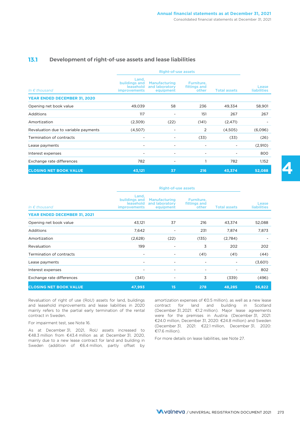### **13.1 Development of right-of-use assets and lease liabilities**

|                                      | <b>Right-of-use assets</b>                                 |                                                     |                                     |                     |                             |
|--------------------------------------|------------------------------------------------------------|-----------------------------------------------------|-------------------------------------|---------------------|-----------------------------|
| In $\epsilon$ thousand               | Land,<br>buildings and<br>leasehold<br><b>improvements</b> | <b>Manufacturing</b><br>and laboratory<br>equipment | Furniture,<br>fittings and<br>other | <b>Total assets</b> | Lease<br><b>liabilities</b> |
| <b>YEAR ENDED DECEMBER 31, 2020</b>  |                                                            |                                                     |                                     |                     |                             |
| Opening net book value               | 49,039                                                     | 58                                                  | 236                                 | 49,334              | 58,901                      |
| <b>Additions</b>                     | 117                                                        | $\overline{\phantom{a}}$                            | 151                                 | 267                 | 267                         |
| Amortization                         | (2,309)                                                    | (22)                                                | (141)                               | (2, 471)            |                             |
| Revaluation due to variable payments | (4,507)                                                    |                                                     | 2                                   | (4,505)             | (6,096)                     |
| Termination of contracts             |                                                            | ۰                                                   | (33)                                | (33)                | (26)                        |
| Lease payments                       |                                                            | ٠                                                   | ÷                                   |                     | (2,910)                     |
| Interest expenses                    | ٠                                                          | $\overline{\phantom{a}}$                            | ٠                                   |                     | 800                         |
| Exchange rate differences            | 782                                                        | ۰                                                   |                                     | 782                 | 1,152                       |
| <b>CLOSING NET BOOK VALUE</b>        | 43,121                                                     | 37                                                  | 216                                 | 43,374              | 52,088                      |

|                               | <b>Right-of-use assets</b>                                 |                                                     |                                     |                     |                             |
|-------------------------------|------------------------------------------------------------|-----------------------------------------------------|-------------------------------------|---------------------|-----------------------------|
| In $\epsilon$ thousand        | Land,<br>buildings and<br>leasehold<br><b>improvements</b> | <b>Manufacturing</b><br>and laboratory<br>equipment | Furniture,<br>fittings and<br>other | <b>Total assets</b> | Lease<br><b>liabilities</b> |
| YEAR ENDED DECEMBER 31, 2021  |                                                            |                                                     |                                     |                     |                             |
| Opening net book value        | 43,121                                                     | 37                                                  | 216                                 | 43,374              | 52,088                      |
| <b>Additions</b>              | 7,642                                                      |                                                     | 231                                 | 7,874               | 7,873                       |
| Amortization                  | (2,628)                                                    | (22)                                                | (135)                               | (2,784)             |                             |
| Revaluation                   | 199                                                        | ۰                                                   | 3                                   | 202                 | 202                         |
| Termination of contracts      | ۰                                                          | ۰                                                   | (41)                                | (41)                | (44)                        |
| Lease payments                | ۰                                                          |                                                     | $\overline{\phantom{a}}$            |                     | (3,601)                     |
| Interest expenses             | ۰                                                          | ۰                                                   | ۰                                   |                     | 802                         |
| Exchange rate differences     | (341)                                                      |                                                     | 3                                   | (339)               | (496)                       |
| <b>CLOSING NET BOOK VALUE</b> | 47,993                                                     | 15                                                  | 278                                 | 48,285              | 56,822                      |

Revaluation of right of use (RoU) assets for land, buildings and leasehold improvements and lease liabilities in 2020 mainly refers to the partial early termination of the rental contract in Sweden.

#### For impairment test, see Note 16.

As at December 31, 2021, RoU assets increased to €17.6 million). €48.3 million from €43.4 million as at December 31, 2020, mainly due to a new lease contract for land and building in Sweden (addition of €6.4 million, partly offset by

amortization expenses of €0.5 million), as well as a new lease contract for land and building in Scotland (December 31, 2021: €1.2 million). Major lease agreements were for the premises in Austria (December 31, 2021: €24.0 million, December 31, 2020: €24.8 million) and Sweden (December 31, 2021: €22.1 million, December 31, 2020:

For more details on lease liabilities, see Note 27.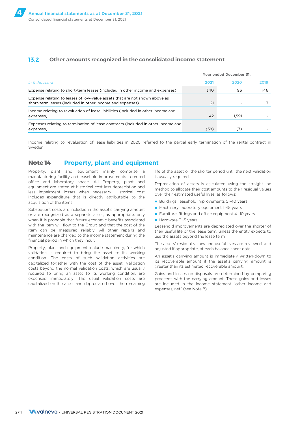### **13.2 Other amounts recognized in the consolidated income statement**

|                                                                                                                                         | Year ended December 31, |       |      |  |
|-----------------------------------------------------------------------------------------------------------------------------------------|-------------------------|-------|------|--|
| In $\epsilon$ thousand                                                                                                                  | 2021                    | 2020  | 2019 |  |
| Expense relating to short-term leases (included in other income and expenses)                                                           | 340                     | 96    | 146  |  |
| Expense relating to leases of low-value assets that are not shown above as<br>short-term leases (included in other income and expenses) | 21                      |       |      |  |
| Income relating to revaluation of lease liabilities (included in other income and<br>expenses)                                          | 42                      | 1.591 |      |  |
| Expenses relating to termination of lease contracts (included in other income and<br>expenses)                                          | (38)                    | 7     |      |  |

Income relating to revaluation of lease liabilities in 2020 referred to the partial early termination of the rental contract in Sweden.

### **Note 14 Property, plant and equipment**

Property, plant and equipment mainly comprise a manufacturing facility and leasehold improvements in rented office and laboratory space. All Property, plant and equipment are stated at historical cost less depreciation and less impairment losses when necessary. Historical cost includes expenditure that is directly attributable to the acquisition of the items.

Subsequent costs are included in the asset's carrying amount or are recognized as a separate asset, as appropriate, only when it is probable that future economic benefits associated with the item will flow to the Group and that the cost of the item can be measured reliably. All other repairs and maintenance are charged to the income statement during the financial period in which they incur.

Property, plant and equipment include machinery, for which validation is required to bring the asset to its working condition. The costs of such validation activities are capitalized together with the cost of the asset. Validation costs beyond the normal validation costs, which are usually required to bring an asset to its working condition, are expensed immediately. The usual validation costs are capitalized on the asset and depreciated over the remaining life of the asset or the shorter period until the next validation is usually required.

Depreciation of assets is calculated using the straight-line method to allocate their cost amounts to their residual values over their estimated useful lives, as follows:

- Buildings, leasehold improvements 5 -40 years
- Machinery, laboratory equipment 1 -15 years
- Furniture, fittings and office equipment 4 -10 years
- Hardware 3 -5 years

Leasehold improvements are depreciated over the shorter of their useful life or the lease term, unless the entity expects to use the assets beyond the lease term.

The assets' residual values and useful lives are reviewed, and adjusted if appropriate, at each balance sheet date.

An asset's carrying amount is immediately written-down to its recoverable amount if the asset's carrying amount is greater than its estimated recoverable amount.

Gains and losses on disposals are determined by comparing proceeds with the carrying amount. These gains and losses are included in the income statement "other income and expenses, net" (see Note 8).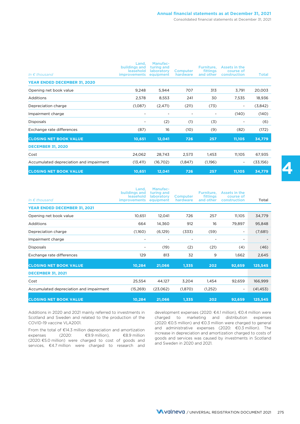#### Consolidated financial statements at December 31, 2021

| In $\epsilon$ thousand                  | Land.<br>buildings and<br>leasehold<br><i>improvements</i> | Manufac-<br>turing and<br>laboratory<br>equipment | Computer<br>hardware | Furniture.<br><b>fittings</b><br>and other | Assets in the<br>course of<br>construction | Total    |
|-----------------------------------------|------------------------------------------------------------|---------------------------------------------------|----------------------|--------------------------------------------|--------------------------------------------|----------|
| <b>YEAR ENDED DECEMBER 31, 2020</b>     |                                                            |                                                   |                      |                                            |                                            |          |
| Opening net book value                  | 9,248                                                      | 5,944                                             | 707                  | 313                                        | 3,791                                      | 20,003   |
| <b>Additions</b>                        | 2,578                                                      | 8,553                                             | 241                  | 30                                         | 7,535                                      | 18,936   |
| Depreciation charge                     | (1,087)                                                    | (2, 471)                                          | (211)                | (73)                                       | ۰.                                         | (3,842)  |
| Impairment charge                       | $\overline{\phantom{a}}$                                   | ٠                                                 | $\overline{a}$       |                                            | (140)                                      | (140)    |
| <b>Disposals</b>                        | ۰                                                          | (2)                                               | (1)                  | (3)                                        | ۰                                          | (6)      |
| Exchange rate differences               | (87)                                                       | 16                                                | (10)                 | (9)                                        | (82)                                       | (172)    |
| <b>CLOSING NET BOOK VALUE</b>           | 10,651                                                     | 12,041                                            | 726                  | 257                                        | 11,105                                     | 34,779   |
| <b>DECEMBER 31, 2020</b>                |                                                            |                                                   |                      |                                            |                                            |          |
| Cost                                    | 24,062                                                     | 28,743                                            | 2,573                | 1,453                                      | 11,105                                     | 67,935   |
| Accumulated depreciation and impairment | (13, 411)                                                  | (16,702)                                          | (1,847)              | (1,196)                                    | $\overline{\phantom{a}}$                   | (33,156) |
| <b>CLOSING NET BOOK VALUE</b>           | 10,651                                                     | 12,041                                            | 726                  | 257                                        | 11,105                                     | 34,779   |

| In $\epsilon$ thousand                  | Land,<br>buildings and<br>leasehold<br><i>improvements</i> | Manufac-<br>turing and<br>laboratory<br>equipment | <b>Computer</b><br>hardware | Furniture.<br>fittings<br>and other | Assets in the<br>course of<br>construction | Total     |
|-----------------------------------------|------------------------------------------------------------|---------------------------------------------------|-----------------------------|-------------------------------------|--------------------------------------------|-----------|
| <b>YEAR ENDED DECEMBER 31, 2021</b>     |                                                            |                                                   |                             |                                     |                                            |           |
| Opening net book value                  | 10,651                                                     | 12,041                                            | 726                         | 257                                 | 11,105                                     | 34,779    |
| <b>Additions</b>                        | 664                                                        | 14,360                                            | 912                         | 16                                  | 79,897                                     | 95,848    |
| Depreciation charge                     | (1,160)                                                    | (6,129)                                           | (333)                       | (59)                                | $\overline{\phantom{a}}$                   | (7,681)   |
| Impairment charge                       |                                                            |                                                   |                             |                                     | $\overline{a}$                             |           |
| <b>Disposals</b>                        |                                                            | (19)                                              | (2)                         | (21)                                | (4)                                        | (46)      |
| Exchange rate differences               | 129                                                        | 813                                               | 32                          | 9                                   | 1,662                                      | 2,645     |
| <b>CLOSING NET BOOK VALUE</b>           | 10,284                                                     | 21,066                                            | 1,335                       | 202                                 | 92,659                                     | 125,545   |
| <b>DECEMBER 31, 2021</b>                |                                                            |                                                   |                             |                                     |                                            |           |
| Cost                                    | 25,554                                                     | 44,127                                            | 3,204                       | 1,454                               | 92,659                                     | 166,999   |
| Accumulated depreciation and impairment | (15,269)                                                   | (23,062)                                          | (1,870)                     | (1,252)                             | $\overline{\phantom{a}}$                   | (41, 453) |
| <b>CLOSING NET BOOK VALUE</b>           | 10,284                                                     | 21,066                                            | 1,335                       | 202                                 | 92,659                                     | 125,545   |

Additions in 2020 and 2021 mainly referred to investments in Scotland and Sweden and related to the production of the COVID-19 vaccine VLA2001.

development expenses (2020: €4.1 million), €0.4 million were charged to marketing and distribution expenses (2020: €0.5 million) and €0.3 million were charged to general From the total of  $\epsilon$ 14.3 million depreciation and amortization<br>expenses (2020:  $\epsilon$ 0.3 million). The<br>expenses (2020:  $\epsilon$ 0.3 million). Check the increase in depreciation and amortization charged to costs of<br>(2020:  $\epsilon$ 5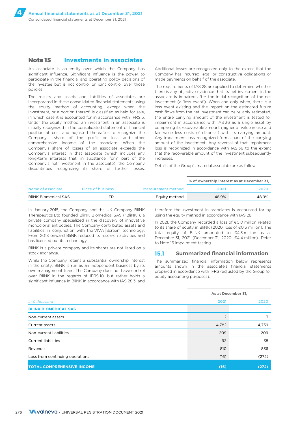### **Note 15 Investments in associates**

An associate is an entity over which the Company has significant influence. Significant influence is the power to participate in the financial and operating policy decisions of the investee but is not control or joint control over those policies.

The results and assets and liabilities of associates are incorporated in these consolidated financial statements using the equity method of accounting, except when the investment, or a portion thereof, is classified as held for sale, in which case it is accounted for in accordance with IFRS 5. Under the equity method, an investment in an associate is initially recognized in the consolidated statement of financial position at cost and adjusted thereafter to recognize the Company's share of the profit or loss and other comprehensive income of the associate. When the Company's share of losses of an associate exceeds the Company's interest in that associate (which includes any long-term interests that, in substance, form part of the Company's net investment in the associate), the Company discontinues recognizing its share of further losses.

Additional losses are recognized only to the extent that the Company has incurred legal or constructive obligations or made payments on behalf of the associate.

The requirements of IAS 28 are applied to determine whether there is any objective evidence that its net investment in the associate is impaired after the initial recognition of the net investment (a 'loss event'). When and only when, there is a loss event existing and the impact on the estimated future cash flows from the net investment can be reliably estimated, the entire carrying amount of the investment is tested for impairment in accordance with IAS 36 as a single asset by comparing its recoverable amount (higher of value in use and fair value less costs of disposal) with its carrying amount. Any impairment loss recognized forms part of the carrying amount of the investment. Any reversal of that impairment loss is recognized in accordance with IAS 36 to the extent that the recoverable amount of the investment subsequently increases.

Details of the Group's material associate are as follows:

|                             |                          |                           | % of ownership interest as at December 31, |       |
|-----------------------------|--------------------------|---------------------------|--------------------------------------------|-------|
| Name of associate           | <b>Place of business</b> | <b>Measurement method</b> | 2021                                       | 2020  |
| <b>BliNK Biomedical SAS</b> | FR                       | Eauity method             | 48.9%                                      | 48.9% |

In January 2015, the Company and the UK Company BliNK Therapeutics Ltd founded BliNK Biomedical SAS ("BliNK"), a private company specialized in the discovery of innovative monoclonal antibodies. The Company contributed assets and liabilities in conjunction with the VIVA|Screen®technology. From 2018 onward BliNK reduced its research activities and has licensed out its technology.

BliNK is a private company and its shares are not listed on a stock exchange.

While the Company retains a substantial ownership interest in the entity, BliNK is run as an independent business by its own management team. The Company does not have control over BliNK in the regards of IFRS 10, but rather holds a significant influence in BliNK in accordance with IAS 28.3, and

therefore the investment in associates is accounted for by using the equity method in accordance with IAS 28.

In 2021, the Company recorded a loss of €0.0 million related to its share of equity in BliNK (2020: loss of €0.3 million). The total equity of BliNK amounted to €4.3 million as at December 31, 2021 (December 31, 2020: €4.4 million). Refer to Note 16 impairment testing.

### **15.1 Summarized financial information**

The summarized financial information below represents amounts shown in the associate's financial statements prepared in accordance with IFRS (adjusted by the Group for equity accounting purposes).

|                                   | As at December 31, |       |  |
|-----------------------------------|--------------------|-------|--|
| In $\epsilon$ thousand            | 2021               | 2020  |  |
| <b>BLINK BIOMEDICAL SAS</b>       |                    |       |  |
| Non-current assets                | $\overline{2}$     | 3     |  |
| Current assets                    | 4,782              | 4,759 |  |
| Non-current liabilities           | 209                | 209   |  |
| <b>Current liabilities</b>        | 93                 | 38    |  |
| Revenue                           | 810                | 836   |  |
| Loss from continuing operations   | (16)               | (272) |  |
| <b>TOTAL COMPREHENSIVE INCOME</b> | (16)               | (272) |  |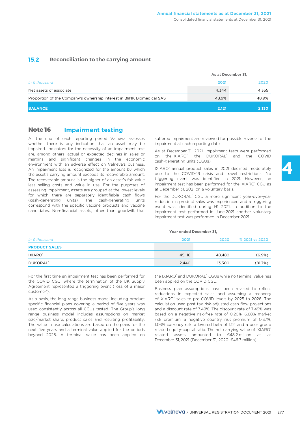### **15.2 Reconciliation to the carrying amount**

|                                                                        |       | As at December 31, |
|------------------------------------------------------------------------|-------|--------------------|
| In $\epsilon$ thousand                                                 | 2021  | 2020               |
| Net assets of associate                                                | 4.344 | 4.355              |
| Proportion of the Company's ownership interest in BliNK Biomedical SAS | 48.9% | 48.9%              |
| <b>BALANCE</b>                                                         | 2.121 | 2,130              |

### **Note 16 Impairment testing**

At the end of each reporting period Valneva assesses suffered impairment are reviewed for possible reversal of the whether there is any indication that an asset may be impairment at each reporting date. impaired. Indicators for the necessity of an impairment test are, among others, actual or expected declines in sales or margins and significant changes in the economic environment with an adverse effect on Valneva's business. An impairment loss is recognized for the amount by which the asset's carrying amount exceeds its recoverable amount. The recoverable amount is the higher of an asset's fair value less selling costs and value in use. For the purposes of assessing impairment, assets are grouped at the lowest levels for which there are separately identifiable cash flows (cash-generating units). The cash-generating units correspond with the specific vaccine products and vaccine candidates. Non-financial assets, other than goodwill, that

As at December 31, 2021, impairment tests were performed on the IXIARO<sup>®</sup>, the DUKORAL<sup>®</sup> and the COVID cash-generating units (CGUs).

IXIARO® annual product sales in 2021 declined moderately due to the COVID-19 crisis and travel restrictions. No triggering event was identified in 2021. However, an impairment test has been performed for the IXIARO® CGU as at December 31, 2021 on a voluntary basis.

For the DUKORAL<sup>®</sup> CGU a more significant year-over-year reduction in product sales was experienced and a triggering event was identified during H1 2021. In addition to the impairment test performed in June 2021 another voluntary impairment test was performed in December 2021.

|                        |        | Year ended December 31, |                |  |  |
|------------------------|--------|-------------------------|----------------|--|--|
| In $\epsilon$ thousand | 2021   | 2020                    | % 2021 vs 2020 |  |  |
| <b>PRODUCT SALES</b>   |        |                         |                |  |  |
| IXIARO <sup>*</sup>    | 45,118 | 48.480                  | (6.9%)         |  |  |
| DUKORAL <sup>®</sup>   | 2,440  | 13,300                  | (81.7%)        |  |  |

For the first time an impairment test has been performed for the COVID CGU, where the termination of the UK Supply Agreement represented a triggering event ('loss of a major customer').

As a basis, the long-range business model including product specific financial plans covering a period of five years was used consistently across all CGUs tested. The Group's long range business model includes assumptions on market size/market share, product sales and resulting profitability. The value in use calculations are based on the plans for the next five years and a terminal value applied for the periods beyond 2026. A terminal value has been applied on

the IXIARO<sup>®</sup> and DUKORAL<sup>®</sup> CGUs while no terminal value has been applied on the COVID CGU.

Business plan assumptions have been revised to reflect reductions in expected sales and assuming a recovery of IXIARO<sup>®</sup> sales to pre-COVID levels by 2025 to 2026. The calculation used post tax risk-adjusted cash flow projections and a discount rate of 7.49%. The discount rate of 7.49% was based on a negative risk-free rate of 0.20%, 6.68% market risk premium, a negative country risk premium of 0.37%, 1.03% currency risk, a levered beta of 1.12, and a peer group related equity-capital ratio. The net carrying value of IXIARO® related assets amounted to €48.2 million as at December 31, 2021 (December 31, 2020: €46.7 million).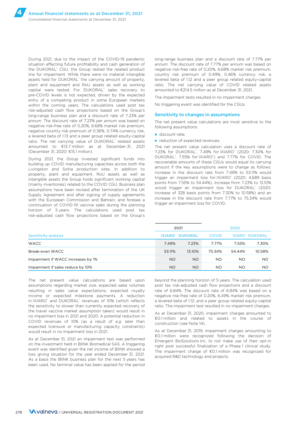During 2021, due to the impact of the COVID-19 pandemic situation affecting future profitability and cash generation of the DUKORAL® CGU, the Group tested the related product line for impairment. While there were no material intangible assets held for DUKORAL® the carrying amount of property, plant and equipment and RoU assets as well as working capital were tested. For DUKORAL<sup>®</sup> sales recovery to pre-COVID levels is not expected, driven by the expected entry of a competing product in some European markets within the coming years. The calculations used post tax risk-adjusted cash flow projections based on the Group's long-range business plan and a discount rate of 7.23% *per annum*. The discount rate of 7.23% *per annum* was based on negative risk-free rate of 0.20%, 6.68% market risk premium, negative country risk premium of 0.36%, 0.74% currency risk, a levered beta of 1.13 and a peer group related equity-capital ratio. The net carrying value of DUKORAL® related assets amounted to €13.7 million as at December 31, 2021 (December 31, 2020: €15.1 million).

During 2021, the Group invested significant funds into building up COVID manufacturing capacities across both the Livingston and Solna production sites. In addition to property, plant and equipment, RoU assets as well as intangible assets the Group holds significant working capital (mainly inventories) related to the COVID CGU. Business plan assumptions have been revised after termination of the UK Supply Agreement and after signing of supply agreements with the European Commission and Bahrain, and foresee a continuation of COVID-19 vaccine sales during the planning horizon of 5 years. The calculations used post tax risk-adjusted cash flow projections based on the Group's

long-range business plan and a discount rate of 7.77% *per annum*. The discount rate of 7.77% *per annum* was based on negative risk-free rate of 0.20%, 6.68% market risk premium, country risk premium of 0.49%, 0.46% currency risk, a levered beta of 1.12 and a peer group related equity-capital ratio. The net carrying value of COVID related assets amounted to €214.5 million as at December 31, 2021.

The impairment tests resulted in no impairment charges.

No triggering event was identified for the CGUs.

#### Sensitivity to changes in assumptions

The net present value calculations are most sensitive to the following assumptions:

- discount rate:
- reduction of expected revenues.

The net present value calculation uses a discount rate of 7.23% for DUKORAL<sup>®</sup>, 7.49% for IXIARO® (2020: 7.30% for DUKORAL<sup>®</sup>, 7.55% for IXIARO<sup>®</sup>) and 7.77% for COVID. The recoverable amounts of these CGUs would equal its carrying amount if the key assumptions were to change as follows: increase in the discount rate from 7.49% to 53.11% would trigger an impairment loss for IXIARO<sup>®</sup> (2020: 4,689 basis points from 7.55% to 54.44%), increase from 7.23% to 13.10% would trigger an impairment loss for DUKORAL® (2020: increase of 328 basis points from 7.30% to 10.58%) and an increase in the discount rate from 7.77% to 75.34% would trigger an impairment loss for COVID.

|                                    | 2021          |                      | 2020         |              |                |
|------------------------------------|---------------|----------------------|--------------|--------------|----------------|
| <b>Sensitivity analysis</b>        | <b>IXIARO</b> | DUKORAL <sup>®</sup> | <b>COVID</b> | <b>IXARO</b> | <b>DUKORAL</b> |
| <b>WACC</b>                        | 7.49%         | 7.23%                | 7.77%        | 7.55%        | 7.30%          |
| Break-even WACC                    | 53.11%        | 13.10%               | 75.34%       | 54.44%       | 10.58%         |
| Impairment if WACC increases by 1% | <b>NO</b>     | NO.                  | NO.          | <b>NO</b>    | <b>NO</b>      |
| Impairment if sales reduce by 10%  | <b>NO</b>     | NO.                  | <b>NO</b>    | NO.          | <b>NO</b>      |

The net present value calculations are based upon assumptions regarding market size, expected sales volumes resulting in sales value expectations, expected royalty income or expected milestone payments. A reduction in IXIARO® and DUKORAL® revenues of 10% (which reflects the sensitivity to slower than currently expected recovery of the travel vaccine market assumption taken) would result in no impairment loss in 2021 and 2020. A potential reduction in COVID revenues of 10% (as a result of *e.g.* later than expected licensure or manufacturing capacity constraints) would result in no impairment loss in 2021.

As at December 31, 2021 an impairment test was performed on the investment held in BliNK Biomedical SAS. A triggering event was identified given the net income of BliNK showed a loss giving situation for the year ended December 31, 2021. As a basis the BliNK business plan for the next 5 years has been used. No terminal value has been applied for the period beyond the planning horizon of 5 years. The calculation used post tax risk-adjusted cash flow projections and a discount rate of 6.84%. The discount rate of 6.84% was based on a negative risk-free rate of 0.20%, 6.49% market risk premium, a levered beta of 1.12, and a peer group related equity-capital ratio. The impairment test resulted in no impairment charges.

As at December 31, 2020, impairment charges amounted to €0.1 million and related to assets in the course of construction (see Note 14).

As at December 31, 2019, impairment charges amounting to €0.1 million were recognized following the decision of Emergent BioSolutions Inc. to not make use of their opt-in right post successful finalization of a Phase 1 clinical study. The impairment charge of €0.1 million was recognized for acquired R&D technology and projects.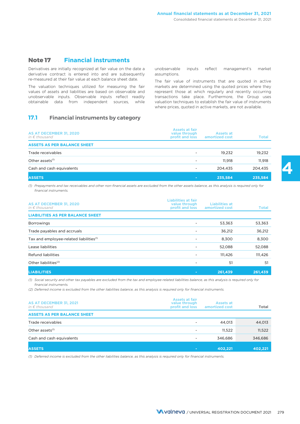### **Note 17 Financial instruments**

Derivatives are initially recognized at fair value on the date a derivative contract is entered into and are subsequently re-measured at their fair value at each balance sheet date.

The valuation techniques utilized for measuring the fair values of assets and liabilities are based on observable and unobservable inputs. Observable inputs reflect readily obtainable data from independent sources, while

### **17.1 Financial instruments by category**

unobservable inputs reflect management's market assumptions.

The fair value of instruments that are quoted in active markets are determined using the quoted prices where they represent those at which regularly and recently occurring transactions take place. Furthermore, the Group uses valuation techniques to establish the fair value of instruments where prices, quoted in active markets, are not available.

| AS AT DECEMBER 31, 2020<br>in $\epsilon$ thousand | Assets at fair<br>value through<br>profit and loss | Assets at<br>amortized cost | Total   |
|---------------------------------------------------|----------------------------------------------------|-----------------------------|---------|
| <b>ASSETS AS PER BALANCE SHEET</b>                |                                                    |                             |         |
| Trade receivables                                 | $\overline{\phantom{0}}$                           | 19.232                      | 19,232  |
| Other assets <sup>(1)</sup>                       | -                                                  | 11.918                      | 11.918  |
| Cash and cash equivalents                         | ۰                                                  | 204.435                     | 204,435 |
| <b>ASSETS</b>                                     | ٠                                                  | 235,584                     | 235,584 |

*(1) Prepayments and tax receivables and other non-financial assets are excluded from the other assets balance, as this analysis is required only for financial instruments.*

| AS AT DECEMBER 31, 2020<br>in $\epsilon$ thousand   | Liabilities at fair<br>value through<br>profit and loss | Liabilities at<br>amortized cost | <b>Total</b> |
|-----------------------------------------------------|---------------------------------------------------------|----------------------------------|--------------|
| <b>LIABILITIES AS PER BALANCE SHEET</b>             |                                                         |                                  |              |
| <b>Borrowings</b>                                   |                                                         | 53,363                           | 53,363       |
| Trade payables and accruals                         |                                                         | 36,212                           | 36,212       |
| Tax and employee-related liabilities <sup>(1)</sup> |                                                         | 8,300                            | 8,300        |
| Lease liabilities                                   |                                                         | 52,088                           | 52,088       |
| Refund liabilities                                  |                                                         | 111.426                          | 111,426      |
| Other liabilities <sup>(2)</sup>                    |                                                         | 51                               | 51           |
| <b>LIABILITIES</b>                                  | ٠                                                       | 261,439                          | 261,439      |

*(1) Social security and other tax payables are excluded from the tax and employee-related liabilities balance, as this analysis is required only for financial instruments.*

*(2) Deferred income is excluded from the other liabilities balance, as this analysis is required only for financial instruments.*

| AS AT DECEMBER 31, 2021<br>in $\epsilon$ thousand | Assets at fair<br>value through<br>profit and loss | Assets at<br>amortized cost | <b>Total</b> |
|---------------------------------------------------|----------------------------------------------------|-----------------------------|--------------|
| <b>ASSETS AS PER BALANCE SHEET</b>                |                                                    |                             |              |
| Trade receivables                                 |                                                    | 44,013                      | 44,013       |
| Other assets <sup>(1)</sup>                       | $\overline{\phantom{0}}$                           | 11.522                      | 11,522       |
| Cash and cash equivalents                         | $\overline{\phantom{0}}$                           | 346.686                     | 346,686      |
| <b>ASSETS</b>                                     |                                                    | 402.221                     | 402,221      |

*(1) Deferred income is excluded from the other liabilities balance, as this analysis is required only for financial instruments.*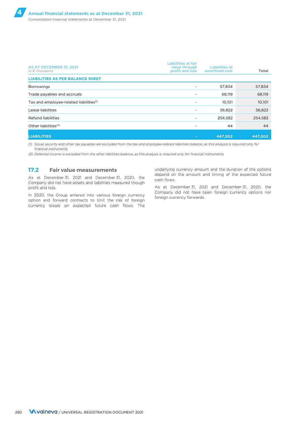| AS AT DECEMBER 31, 2021<br>in $\epsilon$ thousand   | Liabilities at fair<br>value through<br>profit and loss | <b>Liabilities at</b><br>amortized cost | <b>Total</b> |
|-----------------------------------------------------|---------------------------------------------------------|-----------------------------------------|--------------|
| <b>LIABILITIES AS PER BALANCE SHEET</b>             |                                                         |                                         |              |
| <b>Borrowings</b>                                   |                                                         | 57,834                                  | 57,834       |
| Trade payables and accruals                         |                                                         | 68.119                                  | 68,119       |
| Tax and employee-related liabilities <sup>(1)</sup> | $\overline{\phantom{a}}$                                | 10,101                                  | 10,101       |
| Lease liabilities                                   |                                                         | 56,822                                  | 56,822       |
| <b>Refund liabilities</b>                           | ٠                                                       | 254,582                                 | 254,582      |
| Other liabilities <sup>(2)</sup>                    |                                                         | 44                                      | 44           |
| <b>LIABILITIES</b>                                  | $\sim$                                                  | 447,502                                 | 447,502      |

*(1) Social security and other tax payables are excluded from the tax and employee-related liabilities balance, as this analysis is required only for financial instruments.* 

*(2) Deferred income is excluded from the other liabilities balance, as this analysis is required only for financial instruments.*

### **17.2 Fair value measurements**

As at December 31, 2021 and December 31, 2020, the Company did not have assets and liabilities measured though profit and loss.

In 2020, the Group entered into various foreign currency option and forward contracts to limit the risk of foreign currency losses on expected future cash flows. The

underlying currency amount and the duration of the options depend on the amount and timing of the expected future cash flows.

As at December 31, 2021 and December 31, 2020, the Company did not have open foreign currency options nor foreign currency forwards.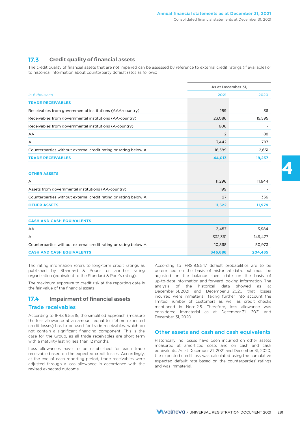### **17.3 Credit quality of financial assets**

The credit quality of financial assets that are not impaired can be assessed by reference to external credit ratings (if available) or to historical information about counterparty default rates as follows:

|                                                                 | As at December 31, |         |
|-----------------------------------------------------------------|--------------------|---------|
| In $\epsilon$ thousand                                          | 2021               | 2020    |
| <b>TRADE RECEIVABLES</b>                                        |                    |         |
| Receivables from governmental institutions (AAA-country)        | 289                | 36      |
| Receivables from governmental institutions (AA-country)         | 23,086             | 15,595  |
| Receivables from governmental institutions (A-country)          | 606                |         |
| AA                                                              | $\overline{2}$     | 188     |
| Α                                                               | 3,442              | 787     |
| Counterparties without external credit rating or rating below A | 16,589             | 2,631   |
| <b>TRADE RECEIVABLES</b>                                        | 44,013             | 19,237  |
| <b>OTHER ASSETS</b>                                             |                    |         |
| Α                                                               | 11,296             | 11,644  |
| Assets from governmental institutions (AA-country)              | 199                |         |
| Counterparties without external credit rating or rating below A | 27                 | 336     |
| <b>OTHER ASSETS</b>                                             | 11,522             | 11,979  |
| <b>CASH AND CASH EQUIVALENTS</b>                                |                    |         |
| AA                                                              | 3,457              | 3,984   |
| Α                                                               | 332,361            | 149,477 |
| Counterparties without external credit rating or rating below A | 10,868             | 50,973  |
| <b>CASH AND CASH EQUIVALENTS</b>                                | 346,686            | 204,435 |

The rating information refers to long-term credit ratings as published by Standard & Poor's or another rating organization (equivalent to the Standard & Poor's rating).

The maximum exposure to credit risk at the reporting date is the fair value of the financial assets.

### **17.4 Impairment of financial assets**

#### Trade receivables

According to IFRS 9.5.5.15, the simplified approach (measure the loss allowance at an amount equal to lifetime expected credit losses) has to be used for trade receivables, which do not contain a significant financing component. This is the case for the Group, as all trade receivables are short term with a maturity lasting less than 12 months.

Loss allowances have to be established for each trade receivable based on the expected credit losses. Accordingly, at the end of each reporting period, trade receivables were adjusted through a loss allowance in accordance with the revised expected outcome.

According to IFRS 9.5.5.17 default probabilities are to be determined on the basis of historical data, but must be adjusted on the balance sheet date on the basis of up-to-date information and forward looking information. The analysis of the historical data showed as at December 31, 2021 and December 31, 2020 that losses incurred were immaterial, taking further into account the limited number of customers as well as credit checks mentioned in Note 2.5. Therefore, loss allowance was considered immaterial as at December 31, 2021 and December 31, 2020.

### Other assets and cash and cash equivalents

Historically, no losses have been incurred on other assets measured at amortized costs and on cash and cash equivalents. As at December 31, 2021 and December 31, 2020, the expected credit loss was calculated using the cumulative expected default rate based on the counterparties' ratings and was immaterial.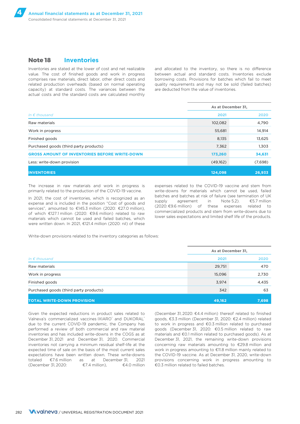### **Note 18 Inventories**

Inventories are stated at the lower of cost and net realizable and allocated to the inventory, so there is no difference value. The cost of finished goods and work in progress between actual and standard costs. Inventories exclude comprises raw materials, direct labor, other direct costs and borrowing costs. Provisions for batches which fail to meet related production overheads (based on normal operating quality requirements and may not be sold (failed batches) capacity) at standard costs. The variances between the are deducted from the value of inventories. actual costs and the standard costs are calculated monthly

|                                                      | As at December 31, |         |  |
|------------------------------------------------------|--------------------|---------|--|
| In $\epsilon$ thousand                               | 2021               | 2020    |  |
| Raw materials                                        | 102,082            | 4,790   |  |
| Work in progress                                     | 55,681             | 14,914  |  |
| Finished goods                                       | 8,135              | 13,625  |  |
| Purchased goods (third party products)               | 7,362              | 1,303   |  |
| <b>GROSS AMOUNT OF INVENTORIES BEFORE WRITE-DOWN</b> | 173,260            | 34,631  |  |
| Less: write-down provision                           | (49,162)           | (7,698) |  |
| <b>INVENTORIES</b>                                   | 124,098            | 26,933  |  |

The increase in raw materials and work in progress is primarily related to the production of the COVID-19 vaccine.

were written down. In 2021, €121.4 million (2020: nil) of these

expenses related to the COVID-19 vaccine and stem from write-downs for materials which cannot be used, failed In 2021, the cost of inventories, which is recognized as an expense and is included in the position "Cost of goods and supply agreement in Note 5.2). €5.7 million services", amounted to €145.3 million (2020: €27.0 millio

Write-down provisions related to the inventory categories as follows:

|                                        | As at December 31, |       |  |
|----------------------------------------|--------------------|-------|--|
| In $\epsilon$ thousand                 | 2021               | 2020  |  |
| Raw materials                          | 29,751             | 470   |  |
| Work in progress                       | 15,096             | 2,730 |  |
| Finished goods                         | 3,974              | 4,435 |  |
| Purchased goods (third party products) | 342                | 63    |  |
| <b>TOTAL WRITE-DOWN PROVISION</b>      | 49,162             | 7,698 |  |

Given the expected reductions in product sales related to (December 31, 2020: €4.4 million) thereof related to finished Valneva's commercialized vaccines IXIARO® and DUKORAL® due to the current COVID-19 pandemic, the Company has to work in progress and €0.3 million related to purchased performed a review of both commercial and raw material goods (December 31, 2020: €0.5 million related to raw inventories and has included write-downs in the COGS as at materials and €0.1 million related to purchased goods). As at December 31, 2021 and December 31, 2020. Commercial December 31, 2021, the remaining write-down provisions inventories not carrying a minimum residual shelf-life at the concerning raw materials amounting to €29.8 million and expected time of sale on the basis of the most current sales work in progress amounting to €11.8 million mainly related to expectations have been written down. These write-downs the COVID-19 vaccine. As at December 31, 2020, write-down totaled €7.6 million as at December 31, 2021 provisions concerning work in progress amounting to (December 31, 2020:  $\epsilon$ 7.4 million),  $\epsilon$ 4.0 million  $\epsilon$ 0.3 million related to failed batches.

goods, €3.3 million (December 31, 2020: €2.4 million) related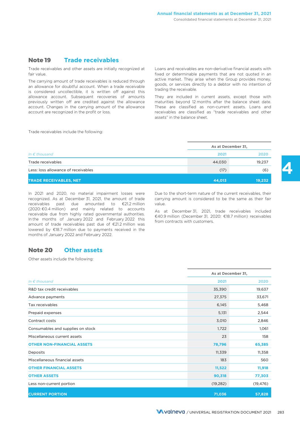### **Note 19 Trade receivables**

Trade receivables and other assets are initially recognized at fair value.

The carrying amount of trade receivables is reduced through an allowance for doubtful account. When a trade receivable is considered uncollectible, it is written off against this allowance account. Subsequent recoveries of amounts previously written off are credited against the allowance account. Changes in the carrying amount of the allowance account are recognized in the profit or loss.

Loans and receivables are non-derivative financial assets with fixed or determinable payments that are not quoted in an active market. They arise when the Group provides money, goods, or services directly to a debtor with no intention of trading the receivable.

They are included in current assets, except those with maturities beyond 12 months after the balance sheet date. These are classified as non-current assets. Loans and receivables are classified as "trade receivables and other assets" in the balance sheet.

Trade receivables include the following:

|                                     | As at December 31, |        |  |
|-------------------------------------|--------------------|--------|--|
| In $\epsilon$ thousand              | 2021               | 2020   |  |
| Trade receivables                   | 44,030             | 19,237 |  |
| Less: loss allowance of receivables | (17)               | (6)    |  |
| <b>TRADE RECEIVABLES, NET</b>       | 44,013             | 19,232 |  |

In 2021 and 2020, no material impairment losses were recognized. As at December 31, 2021, the amount of trade receivables past due amounted to €21.2 million (2020: €0.4 million) and mainly related to accounts receivable due from highly rated governmental authorities. In the months of January 2022 and February 2022 this amount of trade receivables past due of €21.2 million was lowered by €18.7 million due to payments received in the months of January 2022 and February 2022.

Due to the short-term nature of the current receivables, their carrying amount is considered to be the same as their fair value.

**4**

As at December 31, 2021, trade receivables included €40.9 million (December 31, 2020: €18.7 million) receivables from contracts with customers.

### **Note 20 Other assets**

Other assets include the following:

|                                   |           | As at December 31, |  |  |
|-----------------------------------|-----------|--------------------|--|--|
| In $\epsilon$ thousand            | 2021      | 2020               |  |  |
| R&D tax credit receivables        | 35,390    | 19,637             |  |  |
| Advance payments                  | 27,375    | 33,671             |  |  |
| Tax receivables                   | 6,145     | 5,468              |  |  |
| Prepaid expenses                  | 5,131     | 2,544              |  |  |
| Contract costs                    | 3,010     | 2,846              |  |  |
| Consumables and supplies on stock | 1,722     | 1,061              |  |  |
| Miscellaneous current assets      | 23        | 158                |  |  |
| <b>OTHER NON-FINANCIAL ASSETS</b> | 78,796    | 65,385             |  |  |
| Deposits                          | 11,339    | 11,358             |  |  |
| Miscellaneous financial assets    | 183       | 560                |  |  |
| <b>OTHER FINANCIAL ASSETS</b>     | 11,522    | 11,918             |  |  |
| <b>OTHER ASSETS</b>               | 90,318    | 77,303             |  |  |
| Less non-current portion          | (19, 282) | (19, 476)          |  |  |
| <b>CURRENT PORTION</b>            | 71,036    | 57,828             |  |  |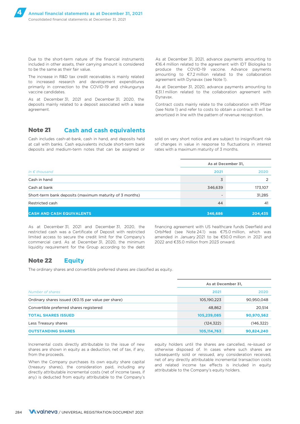Due to the short-term nature of the financial instruments included in other assets, their carrying amount is considered to be the same as their fair value.

The increase in R&D tax credit receivables is mainly related to increased research and development expenditures primarily in connection to the COVID-19 and chikungunya vaccine candidates.

As at December 31, 2021 and December 31, 2020, the deposits mainly related to a deposit associated with a lease agreement.

As at December 31, 2021, advance payments amounting to €16.4 million related to the agreement with IDT Biologika to produce the COVID-19 vaccine. Advance payments amounting to €7.2 million related to the collaboration agreement with Dynavax (see Note 1).

As at December 31, 2020, advance payments amounting to €31.1 million related to the collaboration agreement with Dynavax.

Contract costs mainly relate to the collaboration with Pfizer (see Note 1) and refer to costs to obtain a contract. It will be amortized in line with the pattern of revenue recognition.

### **Note 21 Cash and cash equivalents**

Cash includes cash-at-bank, cash in hand, and deposits held sold on very short notice and are subject to insignificant risk deposits and medium-term notes that can be assigned or rates with a maximum maturity of 3 months.

at call with banks. Cash equivalents include short-term bank of changes in value in response to fluctuations in interest

|                                                         | As at December 31, |               |  |
|---------------------------------------------------------|--------------------|---------------|--|
| In $\epsilon$ thousand                                  | 2021               | 2020          |  |
| Cash in hand                                            | 3                  | $\mathcal{P}$ |  |
| Cash at bank                                            | 346,639            | 173,107       |  |
| Short-term bank deposits (maximum maturity of 3 months) |                    | 31,285        |  |
| Restricted cash                                         | 44                 | 41            |  |
| <b>CASH AND CASH EQUIVALENTS</b>                        | 346,686            | 204,435       |  |

restricted cash was a Certificate of Deposit with restricted OrbiMed (see Note 24.1) was €75.0 million, which was limited access to secure the credit limit for the Company's amended in January 2021 to be €50.0 million in 2021 and commercial card. As at December 31, 2020, the minimum 2022 and €35.0 million from 2023 onward. liquidity requirement for the Group according to the debt

As at December 31, 2021 and December 31, 2020, the financing agreement with US healthcare funds Deerfield and

### **Note 22 Equity**

The ordinary shares and convertible preferred shares are classified as equity.

|                                                               | As at December 31, |            |  |  |
|---------------------------------------------------------------|--------------------|------------|--|--|
| Number of shares                                              | 2021               | 2020       |  |  |
| Ordinary shares issued ( $\epsilon$ 0.15 par value per share) | 105,190,223        | 90,950,048 |  |  |
| Convertible preferred shares registered                       | 48,862             | 20,514     |  |  |
| <b>TOTAL SHARES ISSUED</b>                                    | 105,239,085        | 90,970,562 |  |  |
| Less Treasury shares                                          | (124, 322)         | (146, 322) |  |  |
| <b>OUTSTANDING SHARES</b>                                     | 105,114,763        | 90,824,240 |  |  |

Incremental costs directly attributable to the issue of new shares are shown in equity as a deduction, net of tax, if any, from the proceeds.

any) is deducted from equity attributable to the Company's

equity holders until the shares are cancelled, re-issued or otherwise disposed of. In cases where such shares are subsequently sold or reissued, any consideration received, When the Company purchases its own equity share capital and related income tax effects is included in equity directly attributable incremental to the consideration paid, including any directly attributable incremental cost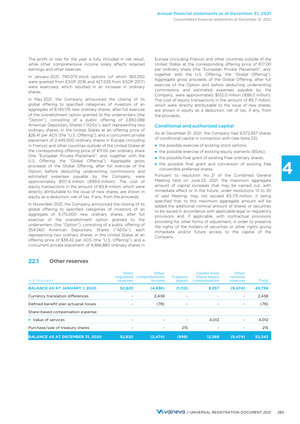The profit or loss for the year is fully included in net result, while other comprehensive income solely affects retained earnings and other reserves.

In January 2021, 790,075 stock options (of which 363,050 were granted from ESOP 2016 and 427,025 from ESOP 2017) were exercised, which resulted in an increase in ordinary shares.

In May 2021, the Company announced the closing of its global offering to specified categories of investors of an aggregate of 8,145,176 new ordinary shares, after full exercise of the overallotment option granted to the underwriters (the "Option"), consisting of a public offering of 2,850,088 American Depositary Shares ("ADSs"), each representing two ordinary shares, in the United States at an offering price of \$26.41 per ADS (the "U.S. Offering"), and a concurrent private placement of 2,445,000 ordinary shares in Europe (including in France) and other countries outside of the United States at the corresponding offering price of €11.00 per ordinary share (the "European Private Placement", and, together with the U.S. Offering, the "Global Offering"). Aggregate gross proceeds of the Global Offering, after full exercise of the Option, before deducting underwriting commissions and estimated expenses payable by the Company, were approximately \$107.6 million (€89.6 million). The cost of equity transactions in the amount of €6.8 million, which were directly attributable to the issue of new shares, are shown in equity as a deduction, net of tax, if any, from the proceeds.

In November 2021, the Company announced the closing of its global offering to specified categories of investors of an aggregate of 5,175,000 new ordinary shares, after full exercise of the overallotment option granted to the underwriters (the "Option"), consisting of a public offering of 354,060 American Depositary Shares ("ADSs"), each representing two ordinary shares, in the United States at an offering price of \$39.42 per ADS (the "U.S. Offering"), and a concurrent private placement of 4,466,880 ordinary shares in

Europe (including France) and other countries outside of the United States at the corresponding offering price of €17.00 per ordinary share (the "European Private Placement", and, together with the U.S. Offering, the "Global Offering"). Aggregate gross proceeds of the Global Offering, after full exercise of the Option and before deducting underwriting commissions and estimated expenses payable by the Company, were approximately \$102.0 million (€88.0 million). The cost of equity transactions in the amount of  $€6.7$  million, which were directly attributable to the issue of new shares, are shown in equity as a deduction, net of tax, if any, from the proceeds.

#### Conditional and authorized capital

As at December 31, 2021, the Company had 6,572,937 shares of conditional capital in connection with (see Note 23):

- the possible exercise of existing stock options;
- the possible exercise of existing equity warrants (BSAs);
- the possible final grant of existing Free ordinary shares;
- the possible final grant and conversion of existing free convertible preferred shares.

Pursuant to resolution No. 21 of the Combined General Meeting held on June 23, 2021, the maximum aggregate amount of capital increases that may be carried out, with immediate effect or in the future, under resolutions 13 to 20 of said Meeting, may not exceed €5,175 million, it being specified that to this maximum aggregate amount will be added the additional nominal amount of shares or securities to be issued in accordance with applicable legal or regulatory provisions and, if applicable, with contractual provisions providing for other forms of adjustment, in order to preserve the rights of the holders of securities or other rights giving immediate and/or future access to the capital of the Company.

### **22.1 Other reserves**

| In $\epsilon$ thousand                 | Other<br>regulated<br>reserves | <b>Other</b><br>comprehensive<br>income | <b>Treasury</b><br>shares | <b>Capital from</b><br>Share-based<br>compensation | Other<br>revenue<br>reserves | Total  |
|----------------------------------------|--------------------------------|-----------------------------------------|---------------------------|----------------------------------------------------|------------------------------|--------|
| <b>BALANCE AS AT JANUARY 1, 2020</b>   | 52,820                         | (4,836)                                 | (1, 112)                  | 8,357                                              | (9, 474)                     | 45,756 |
| Currency translation differences       |                                | 2,438                                   |                           |                                                    | ۰                            | 2,438  |
| Defined benefit plan actuarial losses  |                                | (78)                                    | -                         | -                                                  | $\overline{\phantom{a}}$     | (78)   |
| Share-based compensation expense:      |                                |                                         |                           |                                                    |                              |        |
| • Value of services                    |                                |                                         |                           | 4,012                                              | $\overline{\phantom{a}}$     | 4,012  |
| Purchase/sale of treasury shares       |                                | -                                       | 215                       | -                                                  | ٠                            | 215    |
| <b>BALANCE AS AT DECEMBER 31, 2020</b> | 52,820                         | (2, 474)                                | (898)                     | 12.368                                             | (9, 474)                     | 52,342 |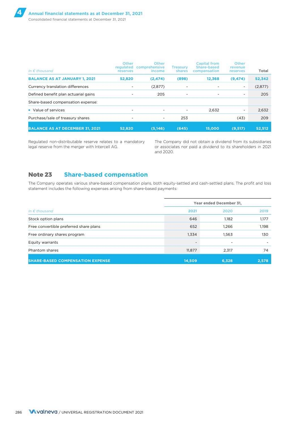| In $\epsilon$ thousand                 | Other<br>regulated<br><b>reserves</b> | Other<br>comprehensive<br>income | <b>Treasury</b><br>shares | <b>Capital from</b><br>Share-based<br>compensation | Other<br>revenue<br><b>reserves</b> | <b>Total</b> |
|----------------------------------------|---------------------------------------|----------------------------------|---------------------------|----------------------------------------------------|-------------------------------------|--------------|
| <b>BALANCE AS AT JANUARY 1, 2021</b>   | 52,820                                | (2, 474)                         | (898)                     | 12,368                                             | (9, 474)                            | 52,342       |
| Currency translation differences       |                                       | (2,877)                          |                           |                                                    | ۰                                   | (2,877)      |
| Defined benefit plan actuarial gains   |                                       | 205                              | $\overline{\phantom{a}}$  | $\overline{\phantom{a}}$                           | ۰                                   | 205          |
| Share-based compensation expense:      |                                       |                                  |                           |                                                    |                                     |              |
| • Value of services                    |                                       |                                  |                           | 2,632                                              | ٠                                   | 2,632        |
| Purchase/sale of treasury shares       |                                       | $\overline{\phantom{a}}$         | 253                       |                                                    | (43)                                | 209          |
| <b>BALANCE AS AT DECEMBER 31, 2021</b> | 52.820                                | (5, 146)                         | (645)                     | 15,000                                             | (9,517)                             | 52,512       |

Regulated non-distributable reserve relates to a mandatory legal reserve from the merger with Intercell AG.

The Company did not obtain a dividend from its subsidiaries or associates nor paid a dividend to its shareholders in 2021 and 2020.

### **Note 23 Share-based compensation**

The Company operates various share-based compensation plans, both equity-settled and cash-settled plans. The profit and loss statement includes the following expenses arising from share-based payments:

|                                         | Year ended December 31, |       |       |  |
|-----------------------------------------|-------------------------|-------|-------|--|
| In $\epsilon$ thousand                  | 2021                    | 2020  | 2019  |  |
| Stock option plans                      | 646                     | 1,182 | 1,177 |  |
| Free convertible preferred share plans  | 652                     | 1.266 | 1,198 |  |
| Free ordinary shares program            | 1,334                   | 1,563 | 130   |  |
| Equity warrants                         |                         |       |       |  |
| Phantom shares                          | 11,877                  | 2,317 | 74    |  |
| <b>SHARE-BASED COMPENSATION EXPENSE</b> | 14.509                  | 6,328 | 2,578 |  |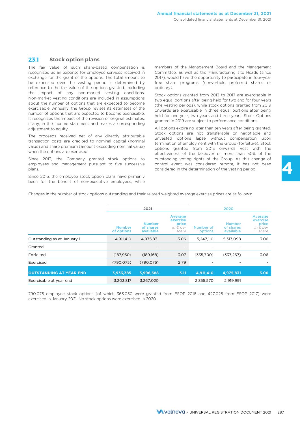### **23.1 Stock option plans**

The fair value of such share-based compensation is recognized as an expense for employee services received in exchange for the grant of the options. The total amount to be expensed over the vesting period is determined by reference to the fair value of the options granted, excluding the impact of any non-market vesting conditions. Non-market vesting conditions are included in assumptions about the number of options that are expected to become exercisable. Annually, the Group revises its estimates of the number of options that are expected to become exercisable. It recognizes the impact of the revision of original estimates, if any, in the income statement and makes a corresponding adjustment to equity.

The proceeds received net of any directly attributable transaction costs are credited to nominal capital (nominal value) and share premium (amount exceeding nominal value) when the options are exercised.

Since 2013, the Company granted stock options to employees and management pursuant to five successive plans.

Since 2015, the employee stock option plans have primarily been for the benefit of non-executive employees, while

members of the Management Board and the Management Committee, as well as the Manufacturing site Heads (since 2017), would have the opportunity to participate in four-year free share programs (convertible preferred shares or ordinary).

Stock options granted from 2013 to 2017 are exercisable in two equal portions after being held for two and for four years (the vesting periods), while stock options granted from 2019 onwards are exercisable in three equal portions after being held for one year, two years and three years. Stock Options granted in 2019 are subject to performance conditions.

All options expire no later than ten years after being granted. Stock options are not transferable or negotiable and unvested options lapse without compensation upon termination of employment with the Group (forfeiture). Stock options granted from 2013 onwards vest with the effectiveness of the takeover of more than 50% of the outstanding voting rights of the Group. As this change of control event was considered remote, it has not been considered in the determination of the vesting period.

Changes in the number of stock options outstanding and their related weighted average exercise prices are as follows:

|                                |                             | 2021                                    |                                                                   |                      | 2020                                    |                                                            |
|--------------------------------|-----------------------------|-----------------------------------------|-------------------------------------------------------------------|----------------------|-----------------------------------------|------------------------------------------------------------|
|                                | <b>Number</b><br>of options | <b>Number</b><br>of shares<br>available | <b>Average</b><br>exercise<br>price<br>in $\epsilon$ per<br>share | Number of<br>options | <b>Number</b><br>of shares<br>available | Average<br>exercise<br>price<br>in $\epsilon$ per<br>share |
| Outstanding as at January 1    | 4,911,410                   | 4,975,831                               | 3.06                                                              | 5,247,110            | 5,313,098                               | 3.06                                                       |
| Granted                        |                             |                                         | $\overline{\phantom{0}}$                                          |                      |                                         |                                                            |
| Forfeited                      | (187, 950)                  | (189, 168)                              | 3.07                                                              | (335,700)            | (337, 267)                              | 3.06                                                       |
| Exercised                      | (790, 075)                  | (790, 075)                              | 2.79                                                              |                      |                                         |                                                            |
| <b>OUTSTANDING AT YEAR END</b> | 3,933,385                   | 3,996,588                               | 3.11                                                              | 4,911,410            | 4,975,831                               | 3.06                                                       |
| Exercisable at year end        | 3,203,817                   | 3,267,020                               |                                                                   | 2,855,570            | 2,919,991                               |                                                            |

790,075 employee stock options (of which 363,050 were granted from ESOP 2016 and 427,025 from ESOP 2017) were exercised in January 2021. No stock options were exercised in 2020.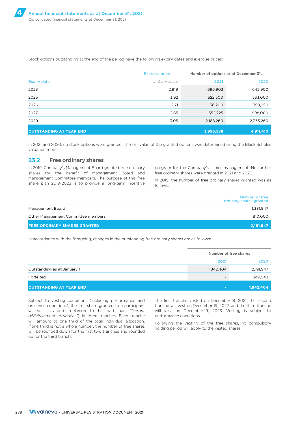Stock options outstanding at the end of the period have the following expiry dates and exercise prices:

|                                | <b>Exercise price</b>   |           | Number of options as at December 31, |
|--------------------------------|-------------------------|-----------|--------------------------------------|
| <b>Expiry date</b>             | in $\epsilon$ per share | 2021      | 2020                                 |
| 2023                           | 2.919                   | 696,903   | 645,900                              |
| 2025                           | 3.92                    | 522,500   | 533,000                              |
| 2026                           | 2.71                    | 36,200    | 399,250                              |
| 2027                           | 2.85                    | 552,725   | 998,000                              |
| 2029                           | 3.05                    | 2,188,260 | 2,335,260                            |
| <b>OUTSTANDING AT YEAR END</b> |                         | 3,996,588 | 4,911,410                            |

In 2021 and 2020, no stock options were granted. The fair value of the granted options was determined using the Black Scholes valuation model.

#### **23.2 Free ordinary shares**

shares for the benefit of Management Board and free ordinary shares were granted in 2021 and 2020. Management Committee members. The purpose of this free Management Committee members. The purpose of this free In 2019, the number of free ordinary shares granted was as share plan 2019-2023 is to provide a long-term incentive  $\frac{1}{2}$  follows:

In 2019, Company's Management Board granted free ordinary program for the Company's senior management. No further

follows:

|                                     | Number of free<br>ordinary shares granted |
|-------------------------------------|-------------------------------------------|
| Management Board                    | 1,381,947                                 |
| Other Management Committee members  | 810,000                                   |
| <b>FREE ORDINARY SHARES GRANTED</b> | 2,191,947                                 |

In accordance with the foregoing, changes in the outstanding free ordinary shares are as follows:

|                                |                          | Number of free shares |  |
|--------------------------------|--------------------------|-----------------------|--|
|                                | 2021                     | 2020                  |  |
| Outstanding as at January 1    | 1,842,404                | 2,191,947             |  |
| Forfeited                      | $\overline{\phantom{0}}$ | 349,543               |  |
| <b>OUTSTANDING AT YEAR END</b> | <b>Contract</b>          | 1,842,404             |  |

Subject to vesting conditions (including performance and presence conditions), the free share granted to a participant will vest in and be delivered to that participant ("*seront définitivement attribuées*") in three tranches. Each tranche will amount to one third of the total individual allocation. If one third is not a whole number, the number of free shares will be rounded down for the first two tranches and rounded up for the third tranche.

The first tranche vested on December 19, 2021, the second tranche will vest on December 19, 2022, and the third tranche will vest on December 19, 2023. Vesting is subject to performance conditions.

Following the vesting of the free shares, no compulsory holding period will apply to the vested shares.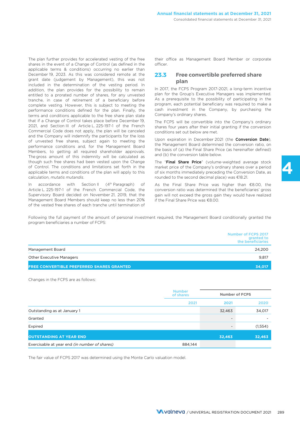The plan further provides for accelerated vesting of the free shares in the event of a Change of Control (as defined in the applicable terms & conditions) occurring no earlier than December 19, 2023. As this was considered remote at the grant date (judgement by Management), this was not included in the determination of the vesting period. In addition, the plan provides for the possibility to remain entitled to a prorated number of shares, for any unvested tranche, in case of retirement of a beneficiary before complete vesting. However, this is subject to meeting the performance conditions defined for the plan. Finally, the terms and conditions applicable to the free share plan state that if a Change of Control takes place before December 19, 2021, and Section III of Article L. 225-197-1 of the French Commercial Code does not apply, the plan will be canceled and the Company will indemnify the participants for the loss of unvested free shares, subject again to meeting the performance conditions and, for the Management Board Members, to getting all required shareholder approvals. The gross amount of this indemnity will be calculated as though such free shares had been vested upon the Change of Control. The conditions and limitations set forth in the applicable terms and conditions of the plan will apply to this calculation, *mutatis mutandis*.

In accordance with Section II (4<sup>th</sup> Paragraph) of Article L. 225-197-1 of the French Commercial Code, the Supervisory Board decided on November 21, 2019, that the Management Board Members should keep no less than 20% of the vested free shares of each tranche until termination of

their office as Management Board Member or corporate officer.

### **23.3 Free convertible preferred share plan**

In 2017, the FCPS Program 2017-2021, a long-term incentive plan for the Group's Executive Managers was implemented. As a prerequisite to the possibility of participating in the program, each potential beneficiary was required to make a cash investment in the Company, by purchasing the Company's ordinary shares.

The FCPS will be convertible into the Company's ordinary shares four years after their initial granting if the conversion conditions set out below are met.

Upon expiration in December 2021 (the Conversion Date), the Management Board determined the conversion ratio, on the basis of (a) the Final Share Price (as hereinafter defined) and (b) the conversion table below.

The "Final Share Price" (volume-weighted average stock market price of the Company's ordinary shares over a period of six months immediately preceding the Conversion Date, as rounded to the second decimal place) was €18.21.

As the Final Share Price was higher than €8.00, the conversion ratio was determined that the beneficiaries' gross gain will not exceed the gross gain they would have realized if the Final Share Price was €8.00.

Following the full payment of the amount of personal investment required, the Management Board conditionally granted the program beneficiaries a number of FCPS:

|                                                  | Number of FCPS 2017<br>granted to<br>the beneficiaries |
|--------------------------------------------------|--------------------------------------------------------|
| Management Board                                 | 24.200                                                 |
| <b>Other Executive Managers</b>                  | 9.817                                                  |
| <b>FREE CONVERTIBLE PREFERRED SHARES GRANTED</b> | 34,017                                                 |

Changes in the FCPS are as follows:

|                                                      | <b>Number</b><br>of shares | <b>Number of FCPS</b>    |         |
|------------------------------------------------------|----------------------------|--------------------------|---------|
|                                                      | 2021                       | 2021                     | 2020    |
| Outstanding as at January 1                          |                            | 32,463                   | 34,017  |
| Granted                                              |                            | $\overline{\phantom{a}}$ |         |
| Expired                                              |                            | $\overline{\phantom{a}}$ | (1,554) |
| <b>OUTSTANDING AT YEAR END</b>                       |                            | 32,463                   | 32,463  |
| Exercisable at year end <i>(in number of shares)</i> | 884,144                    |                          |         |

The fair value of FCPS 2017 was determined using the Monte Carlo valuation model.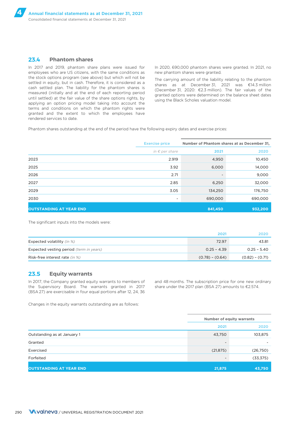### **23.4 Phantom shares**

In 2017 and 2019, phantom share plans were issued for employees who are US citizens, with the same conditions as the stock options program (see above) but which will not be settled in equity, but in cash. Therefore, it is considered as a cash settled plan. The liability for the phantom shares is measured (initially and at the end of each reporting period until settled) at the fair value of the share options rights, by applying an option pricing model taking into account the terms and conditions on which the phantom rights were granted and the extent to which the employees have rendered services to date.

In 2020, 690,000 phantom shares were granted. In 2021, no new phantom shares were granted.

The carrying amount of the liability relating to the phantom shares as at December 31, 2021 was €14.3 million (December 31, 2020: €2.3 million). The fair values of the granted options were determined on the balance sheet dates using the Black Scholes valuation model.

Phantom shares outstanding at the end of the period have the following expiry dates and exercise prices:

|                                | <b>Exercise price</b>   |                          | Number of Phantom shares at as December 31, |
|--------------------------------|-------------------------|--------------------------|---------------------------------------------|
|                                | in $\epsilon$ per share | 2021                     | 2020                                        |
| 2023                           | 2.919                   | 4,950                    | 10,450                                      |
| 2025                           | 3.92                    | 6,000                    | 14,000                                      |
| 2026                           | 2.71                    | $\overline{\phantom{a}}$ | 9,000                                       |
| 2027                           | 2.85                    | 6,250                    | 32,000                                      |
| 2029                           | 3.05                    | 134,250                  | 176,750                                     |
| 2030                           | -                       | 690,000                  | 690,000                                     |
| <b>OUTSTANDING AT YEAR END</b> |                         | 841,450                  | 932,200                                     |

The significant inputs into the models were:

|                                         | 2021              | 2020              |
|-----------------------------------------|-------------------|-------------------|
| Expected volatility (in %)              | 72.97             | 43.81             |
| Expected vesting period (term in years) | $0.25 - 4.39$     | $0.25 - 5.40$     |
| Risk-free interest rate (in %)          | $(0.78) - (0.64)$ | $(0.82) - (0.71)$ |

### **23.5 Equity warrants**

the Supervisory Board. The warrants granted in 2017 share under the 2017 plan (BSA 27) amounts to €2.574. (BSA 27) are exercisable in four equal portions after 12, 24, 36

In 2017, the Company granted equity warrants to members of and 48 months. The subscription price for one new ordinary

Changes in the equity warrants outstanding are as follows:

|                                | <b>Number of equity warrants</b> |           |
|--------------------------------|----------------------------------|-----------|
|                                | 2021                             | 2020      |
| Outstanding as at January 1    | 43,750                           | 103,875   |
| Granted                        | $\overline{\phantom{0}}$         |           |
| Exercised                      | (21, 875)                        | (26,750)  |
| Forfeited                      |                                  | (33, 375) |
| <b>OUTSTANDING AT YEAR END</b> | 21,875                           | 43,750    |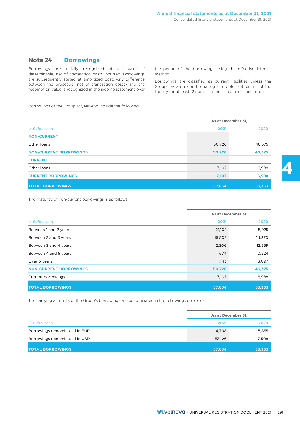### **Note 24 Borrowings**

determinable, net of transaction costs incurred. Borrowings method. are subsequently stated at amortized cost. Any difference between the proceeds (net of transaction costs) and the redemption value is recognized in the income statement over

Borrowings are initially recognized at fair value if the period of the borrowings using the effective interest

Borrowings are classified as current liabilities unless the Group has an unconditional right to defer settlement of the liability for at least 12 months after the balance sheet date.

Borrowings of the Group at year-end include the following:

|                               |        | As at December 31, |  |
|-------------------------------|--------|--------------------|--|
| In $\epsilon$ thousand        | 2021   | 2020               |  |
| <b>NON-CURRENT</b>            |        |                    |  |
| Other loans                   | 50,726 | 46,375             |  |
| <b>NON-CURRENT BORROWINGS</b> | 50,726 | 46,375             |  |
| <b>CURRENT</b>                |        |                    |  |
| Other loans                   | 7,107  | 6,988              |  |
| <b>CURRENT BORROWINGS</b>     | 7,107  | 6,988              |  |
| <b>TOTAL BORROWINGS</b>       | 57,834 | 53,363             |  |

The maturity of non-current borrowings is as follows:

|                               | As at December 31, |        |
|-------------------------------|--------------------|--------|
| In $\epsilon$ thousand        | 2021               | 2020   |
| Between 1 and 2 years         | 21,102             | 5,925  |
| Between 2 and 3 years         | 15,502             | 14,270 |
| Between 3 and 4 years         | 12,306             | 12,559 |
| Between 4 and 5 years         | 674                | 10,524 |
| Over 5 years                  | 1,143              | 3,097  |
| <b>NON-CURRENT BORROWINGS</b> | 50,726             | 46,375 |
| Current borrowings            | 7,107              | 6,988  |
| <b>TOTAL BORROWINGS</b>       | 57,834             | 53,363 |

The carrying amounts of the Group's borrowings are denominated in the following currencies:

|                               |        | As at December 31, |  |
|-------------------------------|--------|--------------------|--|
| In $\epsilon$ thousand        | 2021   | 2020               |  |
| Borrowings denominated in EUR | 4.708  | 5,855              |  |
| Borrowings denominated in USD | 53,126 | 47,508             |  |
| <b>TOTAL BORROWINGS</b>       | 57,834 | 53,363             |  |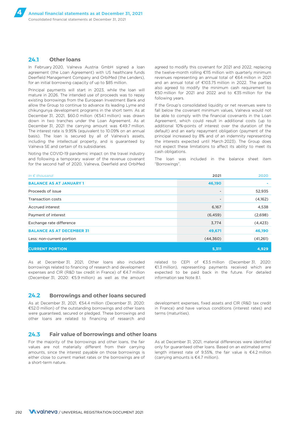### **24.1 Other loans**

In February 2020, Valneva Austria GmbH signed a loan agreement (the Loan Agreement) with US healthcare funds Deerfield Management Company and OrbiMed (the Lenders), for an initial borrowing capacity of up to \$85 million.

Principal payments will start in 2023, while the loan will mature in 2026. The intended use of proceeds was to repay existing borrowings from the European Investment Bank and allow the Group to continue to advance its leading Lyme and chikungunya development programs in the short term. As at December 31, 2021, \$60.0 million (€54.1 million) was drawn down in two tranches under the Loan Agreement. As at December 31, 2021 the carrying amount was €49.7 million. The interest rate is 9.95% (equivalent to 10.09% on an annual basis). The loan is secured by all of Valneva's assets, including the intellectual property, and is guaranteed by Valneva SE and certain of its subsidiaries.

Noting the COVID-19 pandemic impact on the travel industry and following a temporary waiver of the revenue covenant for the second half of 2020, Valneva, Deerfield and OrbiMed

agreed to modify this covenant for 2021 and 2022, replacing the twelve-month rolling €115 million with quarterly minimum revenues representing an annual total of €64 million in 2021 and an annual total of €103.75 million in 2022. The parties also agreed to modify the minimum cash requirement to €50 million for 2021 and 2022 and to €35 million for the following years.

If the Group's consolidated liquidity or net revenues were to fall below the covenant minimum values, Valneva would not be able to comply with the financial covenants in the Loan Agreement, which could result in additional costs (up to additional 10%-points of interest over the duration of the default) and an early repayment obligation (payment of the principal increased by 8% and of an indemnity representing the interests expected until March 2023). The Group does not expect these limitations to affect its ability to meet its cash obligations.

The loan was included in the balance sheet item "Borrowings".

| In $\epsilon$ thousand           | 2021     | 2020     |
|----------------------------------|----------|----------|
| <b>BALANCE AS AT JANUARY 1</b>   | 46,190   |          |
| Proceeds of issue                |          | 52,935   |
| Transaction costs                |          | (4,162)  |
| Accrued interest                 | 6,167    | 4,538    |
| Payment of interest              | (6, 459) | (2,698)  |
| Exchange rate difference         | 3,774    | (4, 423) |
| <b>BALANCE AS AT DECEMBER 31</b> | 49,671   | 46,190   |
| Less: non-current portion        | (44,360) | (41,261) |
| <b>CURRENT PORTION</b>           | 5,311    | 4,929    |

As at December 31, 2021, Other loans also included related to CEPI of €3.5 million (December 31, 2020: (December 31, 2020: €5.9 million) as well as the amount information see Note 8.1.

borrowings related to financing of research and development €1.3 million), representing payments received which are expenses and CIR (R&D tax credit in France) of €4.7 million expected to be paid back in the future. For detailed

### **24.2 Borrowings and other loans secured**

As at December 31, 2021, €54.4 million (December 31, 2020: development expenses, fixed assets and CIR (R&D tax credit €52.0 million) of the outstanding borrowings and other loans in France) and have various conditions (interest rates) and were guaranteed, secured or pledged. These borrowings and terms (maturities). other loans are related to financing of research and

### **24.3 Fair value of borrowings and other loans**

For the majority of the borrowings and other loans, the fair values are not materially different from their carrying amounts, since the interest payable on those borrowings is either close to current market rates or the borrowings are of a short-term nature.

As at December 31, 2021, material differences were identified only for guaranteed other loans. Based on an estimated arms' length interest rate of 9.55%, the fair value is €4.2 million (carrying amounts is €4.7 million).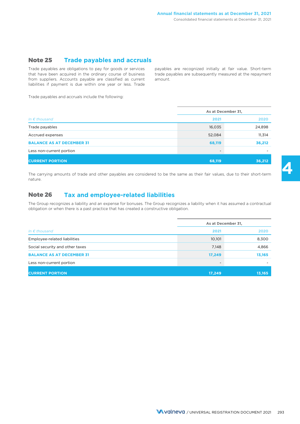### **Note 25 Trade payables and accruals**

Trade payables are obligations to pay for goods or services payables are recognized initially at fair value. Short-term that have been acquired in the ordinary course of business trade payables are subsequently measured at that have been acquired in the ordinary course of business from suppliers. Accounts payable are classified as current amount. liabilities if payment is due within one year or less. Trade

Trade payables and accruals include the following:

|                                  | As at December 31,       |        |  |
|----------------------------------|--------------------------|--------|--|
| In $\epsilon$ thousand           | 2021                     | 2020   |  |
| Trade payables                   | 16,035                   | 24,898 |  |
| Accrued expenses                 | 52,084                   | 11,314 |  |
| <b>BALANCE AS AT DECEMBER 31</b> | 68,119                   | 36,212 |  |
| Less non-current portion         | $\overline{\phantom{a}}$ | -      |  |
| <b>CURRENT PORTION</b>           | 68,119                   | 36,212 |  |

The carrying amounts of trade and other payables are considered to be the same as their fair values, due to their short-term nature.

### **Note 26 Tax and employee-related liabilities**

The Group recognizes a liability and an expense for bonuses. The Group recognizes a liability when it has assumed a contractual obligation or when there is a past practice that has created a constructive obligation.

|                                  | As at December 31,<br>2021<br>2020 |        |
|----------------------------------|------------------------------------|--------|
| In $\epsilon$ thousand           |                                    |        |
| Employee-related liabilities     | 10,101                             | 8,300  |
| Social security and other taxes  | 7,148                              | 4,866  |
| <b>BALANCE AS AT DECEMBER 31</b> | 17,249                             | 13,165 |
| Less non-current portion         | $\overline{\phantom{a}}$           |        |
| <b>CURRENT PORTION</b>           | 17,249                             | 13,165 |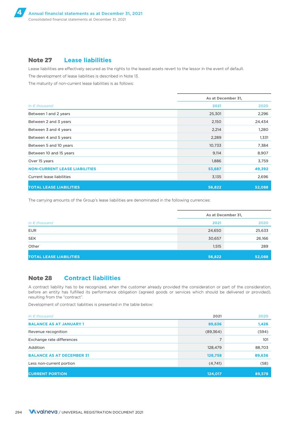### **Note 27 Lease liabilities**

Lease liabilities are effectively secured as the rights to the leased assets revert to the lessor in the event of default.

The development of lease liabilities is described in Note 13.

The maturity of non-current lease liabilities is as follows:

|                                      | As at December 31, |        |  |
|--------------------------------------|--------------------|--------|--|
| In $\epsilon$ thousand               | 2021               | 2020   |  |
| Between 1 and 2 years                | 25,301             | 2,296  |  |
| Between 2 and 3 years                | 2,150              | 24,434 |  |
| Between 3 and 4 years                | 2,214              | 1,280  |  |
| Between 4 and 5 years                | 2,289              | 1,331  |  |
| Between 5 and 10 years               | 10,733             | 7,384  |  |
| Between 10 and 15 years              | 9,114              | 8,907  |  |
| Over 15 years                        | 1,886              | 3,759  |  |
| <b>NON-CURRENT LEASE LIABILITIES</b> | 53,687             | 49,392 |  |
| Current lease liabilities            | 3,135              | 2,696  |  |
| <b>TOTAL LEASE LIABILITIES</b>       | 56,822             | 52,088 |  |

The carrying amounts of the Group's lease liabilities are denominated in the following currencies:

|                                 | As at December 31, |        |  |
|---------------------------------|--------------------|--------|--|
| In $\epsilon$ thousand          | 2020<br>2021       |        |  |
| <b>EUR</b>                      | 24,650             | 25,633 |  |
| <b>SEK</b>                      | 30,657             | 26,166 |  |
| Other                           | 1,515              | 289    |  |
| <b>TOTAL LEASE LIABILITIES,</b> | 56,822             | 52,088 |  |

### **Note 28 Contract liabilities**

A contract liability has to be recognized, when the customer already provided the consideration or part of the consideration, before an entity has fulfilled its performance obligation (agreed goods or services which should be delivered or provided), resulting from the "contract".

Development of contract liabilities is presented in the table below:

| In $\epsilon$ thousand           | 2021      | 2020   |
|----------------------------------|-----------|--------|
| <b>BALANCE AS AT JANUARY 1</b>   | 89,636    | 1,426  |
| Revenue recognition              | (89, 364) | (594)  |
| Exchange rate differences        | 7         | 101    |
| Addition                         | 128,479   | 88,703 |
| <b>BALANCE AS AT DECEMBER 31</b> | 128,758   | 89,636 |
| Less non-current portion         | (4,741)   | (58)   |
| <b>CURRENT PORTION</b>           | 124,017   | 89,578 |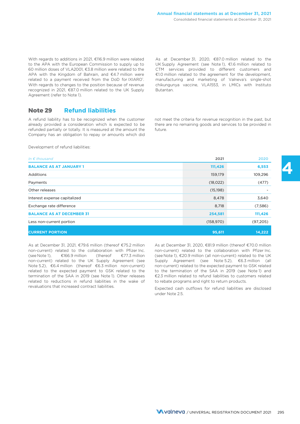With regards to additions in 2021, €116.9 million were related to the APA with the European Commission to supply up to 60 million doses of VLA2001, €3.8 million were related to the APA with the Kingdom of Bahrain, and €4.7 million were related to a payment received from the DoD for IXIARO®. With regards to changes to the position because of revenue recognized in 2021, €87.0 million related to the UK Supply Agreement (refer to Note 1).

As at December 31, 2020, €87.0 million related to the UK Supply Agreement (see Note 1), €1.6 million related to CTM services provided to different customers and €1.0 million related to the agreement for the development, manufacturing and marketing of Valneva's single-shot chikungunya vaccine, VLA1553, in LMICs with Instituto Butantan.

### **Note 29 Refund liabilities**

A refund liability has to be recognized when the customer not meet the criteria for revenue recognition in the past, but already provided a consideration which is expected to be there are no remaining goods and services to be provided in refunded partially or totally. It is measured at the amount the future. Company has an obligation to repay or amounts which did

Development of refund liabilities:

| In $\epsilon$ thousand           | 2021       | 2020      |
|----------------------------------|------------|-----------|
| <b>BALANCE AS AT JANUARY 1</b>   | 111,426    | 6,553     |
| <b>Additions</b>                 | 159,179    | 109,296   |
| Payments                         | (18,022)   | (477)     |
| Other releases                   | (15, 198)  |           |
| Interest expense capitalized     | 8,478      | 3,640     |
| Exchange rate difference         | 8,718      | (7,586)   |
| <b>BALANCE AS AT DECEMBER 31</b> | 254,581    | 111,426   |
| Less non-current portion         | (158, 970) | (97, 205) |
| <b>CURRENT PORTION</b>           | 95,611     | 14,222    |

As at December 31, 2021, €79.6 million (thereof €75.2 million non-current) related to the collaboration with Pfizer Inc.<br>
(see Note 1),  $\epsilon$ 166.9 million (thereof  $\epsilon$ 77.3 million (see Note 1), €166.9 million (thereof €77.3 million non-current) related to the UK Supply Agreement (see Note 5.2), €6.4 million (thereof €6.3 million non-current) related to the expected payment to GSK related to the termination of the SAA in 2019 (see Note 1). Other releases related to reductions in refund liabilities in the wake of revaluations that increased contract liabilities.

As at December 31, 2020, €81.9 million (thereof €70.0 million non-current) related to the collaboration with Pfizer Inc. (see Note 1), €20.9 million (all non-current) related to the UK Supply Agreement (see Note 5.2), €6.3 million (all non-current) related to the expected payment to GSK related to the termination of the SAA in 2019 (see Note 1) and €2.3 million related to refund liabilities to customers related to rebate programs and right to return products.

Expected cash outflows for refund liabilities are disclosed under Note 2.5.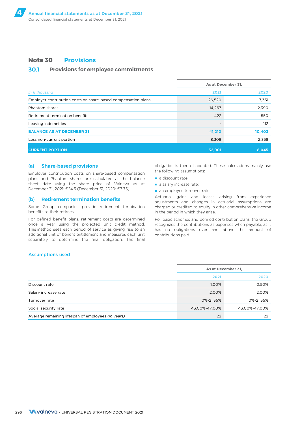### **Note 30 Provisions**

### **30.1 Provisions for employee commitments**

|                                                               | As at December 31, |        |  |
|---------------------------------------------------------------|--------------------|--------|--|
| In $\epsilon$ thousand                                        | 2021               | 2020   |  |
| Employer contribution costs on share-based compensation plans | 26,520             | 7,351  |  |
| Phantom shares                                                | 14,267             | 2,390  |  |
| Retirement termination benefits                               | 422                | 550    |  |
| Leaving indemnities                                           |                    | 112    |  |
| <b>BALANCE AS AT DECEMBER 31</b>                              | 41,210             | 10,403 |  |
| Less non-current portion                                      | 8,308              | 2,358  |  |
| <b>CURRENT PORTION</b>                                        | 32,901             | 8,045  |  |

#### (a) **Share-based provisions**

Employer contribution costs on share-based compensation plans and Phantom shares are calculated at the balance sheet date using the share price of Valneva as at December 31, 2021: €24.5 (December 31, 2020: €7.75).

#### (b) **Retirement termination benefits**

Some Group companies provide retirement termination benefits to their retirees.

For defined benefit plans, retirement costs are determined once a year using the projected unit credit method. This method sees each period of service as giving rise to an additional unit of benefit entitlement and measures each unit separately to determine the final obligation. The final

obligation is then discounted. These calculations mainly use the following assumptions:

- a discount rate;
- a salary increase rate;
- an employee turnover rate.

Actuarial gains and losses arising from experience adjustments and changes in actuarial assumptions are charged or credited to equity in other comprehensive income in the period in which they arise.

For basic schemes and defined contribution plans, the Group recognizes the contributions as expenses when payable, as it has no obligations over and above the amount of contributions paid.

#### Assumptions used

|                                                    | As at December 31,<br>2021<br>2020 |               |
|----------------------------------------------------|------------------------------------|---------------|
|                                                    |                                    |               |
| Discount rate                                      | 1.00%                              | 0.50%         |
| Salary increase rate                               | 2.00%                              | 2.00%         |
| Turnover rate                                      | 0%-21.35%                          | 0%-21.35%     |
| Social security rate                               | 43.00%-47.00%                      | 43.00%-47.00% |
| Average remaining lifespan of employees (in years) | 22                                 | 22            |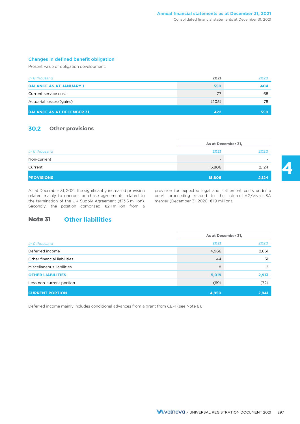### Changes in defined benefit obligation

Present value of obligation development:

| In $\epsilon$ thousand           | 2021  | 2020 |
|----------------------------------|-------|------|
| <b>BALANCE AS AT JANUARY 1</b>   | 550   | 404  |
| Current service cost             | 77    | 68   |
| Actuarial losses/(gains)         | (205) | 78   |
| <b>BALANCE AS AT DECEMBER 31</b> | 422   | 550  |

### **30.2 Other provisions**

|                        |                          | As at December 31, |  |  |
|------------------------|--------------------------|--------------------|--|--|
| In $\epsilon$ thousand | 2021                     | 2020               |  |  |
| Non-current            | $\overline{\phantom{a}}$ | -                  |  |  |
| Current                | 15,806                   | 2,124              |  |  |
| <b>PROVISIONS</b>      | 15,806                   | 2,124              |  |  |

related mainly to onerous purchase agreements related to court proceeding related to the Intercell AG/Vivalis SA the termination of the UK Supply Agreement (€13.5 million). merger (December 31, 2020: €1.9 million). the termination of the UK Supply Agreement (€13.5 million). Secondly, the position comprised €2.1 million from a

As at December 31, 2021, the significantly increased provision provision for expected legal and settlement costs under a

### **Note 31 Other liabilities**

|                             | As at December 31, |       |  |
|-----------------------------|--------------------|-------|--|
| In $\epsilon$ thousand      | 2021               | 2020  |  |
| Deferred income             | 4,966              | 2,861 |  |
| Other financial liabilities | 44                 | 51    |  |
| Miscellaneous liabilities   | 8                  | 2     |  |
| <b>OTHER LIABILITIES</b>    | 5,019              | 2,913 |  |
| Less non-current portion    | (69)               | (72)  |  |
| <b>CURRENT PORTION</b>      | 4,950              | 2,841 |  |

Deferred income mainly includes conditional advances from a grant from CEPI (see Note 8).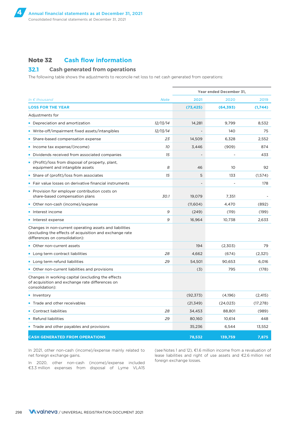### **Note 32 Cash flow information**

### **32.1 Cash generated from operations**

The following table shows the adjustments to reconcile net loss to net cash generated from operations:

|                                                                                                                                                      |             | Year ended December 31, |           |           |
|------------------------------------------------------------------------------------------------------------------------------------------------------|-------------|-------------------------|-----------|-----------|
| In $\epsilon$ thousand                                                                                                                               | <b>Note</b> | 2021                    | 2020      | 2019      |
| <b>LOSS FOR THE YEAR</b>                                                                                                                             |             | (73, 425)               | (64, 393) | (1,744)   |
| Adjustments for                                                                                                                                      |             |                         |           |           |
| • Depreciation and amortization                                                                                                                      | 12/13/14    | 14,281                  | 9,799     | 8,532     |
| ■ Write-off/impairment fixed assets/intangibles                                                                                                      | 12/13/14    |                         | 140       | 75        |
| • Share-based compensation expense                                                                                                                   | 23          | 14,509                  | 6,328     | 2,552     |
| lncome tax expense/(income)                                                                                                                          | 10          | 3,446                   | (909)     | 874       |
| Dividends received from associated companies                                                                                                         | 15          |                         |           | 433       |
| • (Profit)/loss from disposal of property, plant,<br>equipment and intangible assets                                                                 | 8           | 46                      | 10        | 92        |
| • Share of (profit)/loss from associates                                                                                                             | 15          | 5                       | 133       | (1, 574)  |
| • Fair value losses on derivative financial instruments                                                                                              |             |                         |           | 178       |
| • Provision for employer contribution costs on<br>share-based compensation plans                                                                     | 30.1        | 19,079                  | 7,351     |           |
| • Other non-cash (income)/expense                                                                                                                    |             | (11,604)                | 4,470     | (892)     |
| • Interest income                                                                                                                                    | 9           | (249)                   | (119)     | (199)     |
| Interest expense                                                                                                                                     | 9           | 16,964                  | 10,738    | 2,633     |
| Changes in non-current operating assets and liabilities<br>(excluding the effects of acquisition and exchange rate<br>differences on consolidation): |             |                         |           |           |
| • Other non-current assets                                                                                                                           |             | 194                     | (2,303)   | 79        |
| • Long term contract liabilities                                                                                                                     | 28          | 4,662                   | (674)     | (2,321)   |
| • Long term refund liabilities                                                                                                                       | 29          | 54,501                  | 90,653    | 6,016     |
| • Other non-current liabilities and provisions                                                                                                       |             | (3)                     | 795       | (178)     |
| Changes in working capital (excluding the effects<br>of acquisition and exchange rate differences on<br>consolidation):                              |             |                         |           |           |
| • Inventory                                                                                                                                          |             | (92, 373)               | (4,196)   | (2, 415)  |
| Trade and other receivables                                                                                                                          |             | (21, 349)               | (24, 023) | (17, 278) |
| • Contract liabilities                                                                                                                               | 28          | 34,453                  | 88,801    | (989)     |
| • Refund liabilities                                                                                                                                 | 29          | 80,160                  | 10,614    | 448       |
| Trade and other payables and provisions                                                                                                              |             | 35,236                  | 6,544     | 13,552    |
| <b>CASH GENERATED FROM OPERATIONS</b>                                                                                                                |             | 78.532                  | 139,759   | 7,875     |

In 2021, other non-cash (income)/expense mainly related to net foreign exchange gains.

In 2020, other non-cash (income)/expense included €3.3 million expenses from disposal of Lyme VLA15

(see Notes 1 and 12), €1.6 million income from a revaluation of lease liabilities and right of use assets and €2.6 million net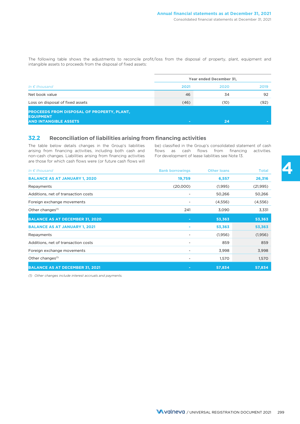The following table shows the adjustments to reconcile profit/loss from the disposal of property, plant, equipment and intangible assets to proceeds from the disposal of fixed assets:

|                                                                                                       |                          | Year ended December 31, |      |  |
|-------------------------------------------------------------------------------------------------------|--------------------------|-------------------------|------|--|
| In $\epsilon$ thousand                                                                                | 2021                     | 2020                    | 2019 |  |
| Net book value                                                                                        | 46                       | 34                      | 92   |  |
| Loss on disposal of fixed assets                                                                      | (46)                     | (10)                    | (92) |  |
| <b>PROCEEDS FROM DISPOSAL OF PROPERTY, PLANT,</b><br><b>EQUIPMENT</b><br><b>AND INTANGIBLE ASSETS</b> | $\overline{\phantom{a}}$ | 24                      |      |  |

### **32.2 Reconciliation of liabilities arising from financing activities**

The table below details changes in the Group's liabilities be) classified in the Group's consolidated statement of cash arising from financing activities, including both cash and flows as cash flows from financing activities. non-cash changes. Liabilities arising from financing activities For development of lease liabilities see Note 13. are those for which cash flows were (or future cash flows will

| In $\epsilon$ thousand                 | <b>Bank borrowings</b>   | <b>Other loans</b> | <b>Total</b> |
|----------------------------------------|--------------------------|--------------------|--------------|
| <b>BALANCE AS AT JANUARY 1, 2020</b>   | 19,759                   | 6,557              | 26,316       |
| Repayments                             | (20,000)                 | (1,995)            | (21, 995)    |
| Additions, net of transaction costs    |                          | 50,266             | 50,266       |
| Foreign exchange movements             |                          | (4, 556)           | (4,556)      |
| Other changes <sup>(1)</sup>           | 241                      | 3,090              | 3,331        |
| <b>BALANCE AS AT DECEMBER 31, 2020</b> | $\blacksquare$           | 53,363             | 53,363       |
| <b>BALANCE AS AT JANUARY 1, 2021</b>   |                          | 53,363             | 53,363       |
| Repayments                             |                          | (1,956)            | (1,956)      |
| Additions, net of transaction costs    |                          | 859                | 859          |
| Foreign exchange movements             | $\overline{\phantom{0}}$ | 3,998              | 3,998        |
| Other changes <sup>(1)</sup>           |                          | 1,570              | 1,570        |
| <b>BALANCE AS AT DECEMBER 31, 2021</b> |                          | 57,834             | 57,834       |

*(1) Other changes include interest accruals and payments.*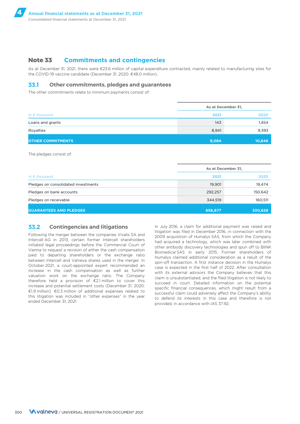### **Note 33 Commitments and contingencies**

As at December 31, 2021, there were €23.6 million of capital expenditure contracted, mainly related to manufacturing sites for the COVID-19 vaccine candidate (December 31, 2020: €48.0 million).

### **33.1 Other commitments, pledges and guarantees**

The other commitments relate to minimum payments consist of:

|                          | As at December 31, |        |
|--------------------------|--------------------|--------|
| In $\epsilon$ thousand   | 2021               | 2020   |
| Loans and grants         | 143                | 1,454  |
| Royalties                | 8,941              | 9,393  |
| <b>OTHER COMMITMENTS</b> | 9,084              | 10,846 |

The pledges consist of:

|                                     | As at December 31, |         |
|-------------------------------------|--------------------|---------|
| In $\epsilon$ thousand              | 2021               | 2020    |
| Pledges on consolidated investments | 19,901             | 19,474  |
| Pledges on bank accounts            | 292,257            | 150,642 |
| Pledges on receivable               | 344,519            | 160,511 |
| <b>GUARANTEES AND PLEDGES</b>       | 656,677            | 330,626 |

### **33.2 Contingencies and litigations**

Following the merger between the companies Vivalis SA and Intercell AG in 2013, certain former Intercell shareholders initiated legal proceedings before the Commercial Court of Vienna to request a revision of either the cash compensation paid to departing shareholders or the exchange ratio between Intercell and Valneva shares used in the merger. In October 2021, a court-appointed expert recommended an increase in the cash compensation as well as further valuation work on the exchange ratio. The Company therefore held a provision of €2.1 million to cover this increase and potential settlement costs (December 31, 2020: €1.9 million). €0.3 million of additional expenses related to this litigation was included in "other expenses" in the year ended December 31, 2021.

In July 2016, a claim for additional payment was raised and litigation was filed in December 2016, in connection with the 2009 acquisition of Humalys SAS, from which the Company had acquired a technology, which was later combined with other antibody discovery technologies and spun off to BliNK Biomedical SAS in early 2015. Former shareholders of Humalys claimed additional consideration as a result of the spin-off transaction. A first instance decision in the Humalys case is expected in the first half of 2022. After consultation with its external advisors the Company believes that this claim is unsubstantiated, and the filed litigation is not likely to succeed in court. Detailed information on the potential specific financial consequences, which might result from a successful claim could adversely affect the Company's ability to defend its interests in this case and therefore is not provided, in accordance with IAS 37.92.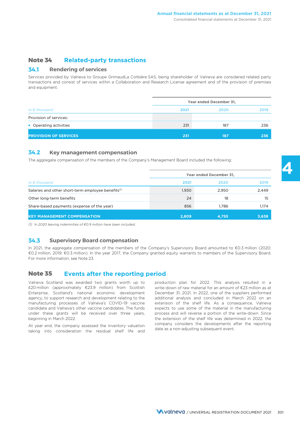### **Note 34 Related-party transactions**

### **34.1 Rendering of services**

Services provided by Valneva to Groupe GrimaudLa Corbière SAS, being shareholder of Valneva are considered related party transactions and consist of services within a Collaboration and Research License agreement and of the provision of premises and equipment.

|                              |      | Year ended December 31, |      |
|------------------------------|------|-------------------------|------|
| In $\epsilon$ thousand       | 2021 | 2020                    | 2019 |
| Provision of services:       |      |                         |      |
| • Operating activities       | 231  | 187                     | 236  |
| <b>PROVISION OF SERVICES</b> | 231  | 187                     | 236  |

### **34.2 Key management compensation**

The aggregate compensation of the members of the Company's Management Board included the following:

|                                                                | Year ended December 31, |       |       |
|----------------------------------------------------------------|-------------------------|-------|-------|
| In $\epsilon$ thousand                                         | 2021                    | 2020  | 2019  |
| Salaries and other short-term employee benefits <sup>(1)</sup> | 1,930                   | 2.950 | 2,449 |
| Other long-term benefits                                       | 24                      | 18    | 15    |
| Share-based payments (expense of the year)                     | 856                     | 1.786 | 1.174 |
| <b>KEY MANAGEMENT COMPENSATION</b>                             | 2,809                   | 4,755 | 3,638 |

*(1) In 2020 leaving indemnities of €0.9 million have been included.*

### **34.3 Supervisory Board compensation**

In 2021, the aggregate compensation of the members of the Company's Supervisory Board amounted to €0.3 million (2020: €0.2 million, 2019: €0.3 million). In the year 2017, the Company granted equity warrants to members of the Supervisory Board. For more information, see Note 23.

### **Note 35 Events after the reporting period**

Valneva Scotland was awarded two grants worth up to £20 million (approximately €23.9 million) from Scottish Enterprise, Scotland's national economic development agency, to support research and development relating to the manufacturing processes of Valneva's COVID-19 vaccine candidate and Valneva's other vaccine candidates. The funds under these grants will be received over three years, beginning in March 2022.

production plan for 2022. This analysis resulted in a write-down of raw material for an amount of €23 million as at December 31, 2021. In 2022, one of the suppliers performed additional analysis and concluded in March 2022 on an extension of the shelf life. As a consequence, Valneva expects to use some of the material in the manufacturing process and will reverse a portion of the write-down. Since the extension of the shelf life was determined in 2022, the At year end, the company assessed the inventory valuation company considers the developments after the reporting taking into consideration the residual shelf life and date as a non-adjusting subsequent event.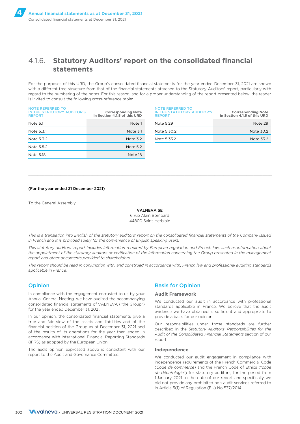## 4.1.6. **Statutory Auditors' report on the consolidated financial statements**

For the purposes of this URD, the Group's consolidated financial statements for the year ended December 31, 2021 are shown with a different tree structure from that of the financial statements attached to the Statutory Auditors' report, particularly with regard to the numbering of the notes. For this reason, and for a proper understanding of the report presented below, the reader is invited to consult the following cross-reference table:

| <b>NOTE REFERRED TO</b><br>IN THE STATUTORY AUDITOR'S<br><b>REPORT</b> | <b>Corresponding Note</b><br>in Section 4.1.5 of this URD | NOTE REFERRED TO<br>IN THE STATUTORY AUDITOR'S<br><b>REPORT</b> |
|------------------------------------------------------------------------|-----------------------------------------------------------|-----------------------------------------------------------------|
| Note 5.1                                                               | Note 1                                                    | Note 5.29                                                       |
| Note 5.3.1                                                             | Note 3.1                                                  | Note 5.30.2                                                     |
| Note 5.3.2                                                             | Note 3.2                                                  | Note 5.33.2                                                     |
| Note 5.5.2                                                             | Note 5.2                                                  |                                                                 |
| Note 5.18                                                              | Note 18                                                   |                                                                 |

| <b>Corresponding Note</b><br>in Section 4.1.5 of this URD | <b>NOTE REFERRED TO</b><br>IN THE STATUTORY AUDITOR'S<br><b>REPORT</b> | <b>Corresponding Note</b><br>in Section 4.1.5 of this URD |
|-----------------------------------------------------------|------------------------------------------------------------------------|-----------------------------------------------------------|
| Note 1                                                    | Note 5.29                                                              | Note 29                                                   |
| Note 3.1                                                  | Note 5.30.2                                                            | Note 30.2                                                 |
| Note $3.2$                                                | Note 5.33.2                                                            | Note 33.2                                                 |
|                                                           |                                                                        |                                                           |

#### (For the year ended 31 December 2021)

To the General Assembly

VALNEVA SE 6 rue Alain Bombard 44800 Saint-Herblain

 $\_$  ,  $\_$  ,  $\_$  ,  $\_$  ,  $\_$  ,  $\_$  ,  $\_$  ,  $\_$  ,  $\_$  ,  $\_$  ,  $\_$  ,  $\_$  ,  $\_$  ,  $\_$  ,  $\_$  ,  $\_$  ,  $\_$  ,  $\_$  ,  $\_$  ,  $\_$  ,  $\_$  ,  $\_$  ,  $\_$  ,  $\_$  ,  $\_$  ,  $\_$  ,  $\_$  ,  $\_$  ,  $\_$  ,  $\_$  ,  $\_$  ,  $\_$  ,  $\_$  ,  $\_$  ,  $\_$  ,  $\_$  ,  $\_$  ,

*This is a translation into English of the statutory auditors' report on the consolidated financial statements of the Company issued in French and it is provided solely for the convenience of English speaking users.*

*This statutory auditors' report includes information required by European regulation and French law, such as information about the appointment of the statutory auditors or verification of the information concerning the Group presented in the management report and other documents provided to shareholders.*

*This report should be read in conjunction with, and construed in accordance with, French law and professional auditing standards applicable in France.*

#### **Opinion**

In compliance with the engagement entrusted to us by your Annual General Neeting, we have audited the accompanying consolidated financial statements of VALNEVA ("the Group") for the year ended December 31, 2021.

In our opinion, the consolidated financial statements give a true and fair view of the assets and liabilities and of the financial position of the Group as at December 31, 2021 and of the results of its operations for the year then ended in accordance with International Financial Reporting Standards (IFRS) as adopted by the European Union.

The audit opinion expressed above is consistent with our report to the Audit and Governance Committee.

### Basis for Opinion

#### **Audit Framework**

We conducted our audit in accordance with professional standards applicable in France. We believe that the audit evidence we have obtained is sufficient and appropriate to provide a basis for our opinion.

Our responsibilities under those standards are further described in the *Statutory Auditors' Responsibilities for the Audit of the Consolidated Financial Statements* section of our report.

#### **Independence**

We conducted our audit engagement in compliance with independence requirements of the French Commercial Code (*Code de commerce*) and the French Code of Ethics ("*code de déontologie*") for statutory auditors, for the period from 1 January 2021 to the date of our report and specifically we did not provide any prohibited non-audit services referred to in Article 5(1) of Regulation (EU) No 537/2014.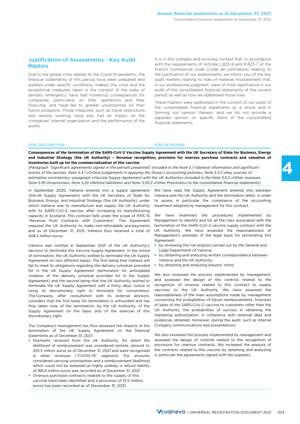### Justification of Assessments - Key Audit **Matters**

Due to the global crisis related to the Covid-19 pandemic, the financial statements of this period have been prepared and audited under specific conditions. Indeed, this crisis and the exceptional measures taken in the context of the state of sanitary emergency have had numerous consequences for companies, particularly on their operations and their financing, and have led to greater uncertainties on their future prospects. Those measures, such as travel restrictions and remote working, have also had an impact on the companies' internal organization and the performance of the audits.

It is in this complex and evolving context that, in accordance with the requirements of Articles L.823-9 and R.823-7 of the French Commercial Code (*Code de commerce*) relating to the justification of our assessments, we inform you of the key audit matters relating to risks of material misstatement that, in our professional judgment, were of most significance in our audit of the consolidated financial statements of the current period, as well as how we addressed those risks.

These matters were addressed in the context of our audit of the consolidated financial statements as a whole and in forming our opinion thereon, and we do not provide a separate opinion on specific items of the consolidated financial statements.

#### RISK DESCRIPTION RISK RESPONSE

**Consequences of the termination of the SARS-CoV-2 Vaccine Supply Agreement with the UK Secretary of State for Business, Energy and Industrial Strategy (the UK Authority) – Revenue recognition, provision for onerous purchase contracts and valuation of inventories built up for the commercialization of this vaccine**

*(Paragraph "Significant agreements signed in the periods presented" included in the Note 5.1 «General information and significant events of the period», Note 5.3.1 «Critical judgements in applying the Group's accounting policies», Note 5.3.2 «Key sources of estimation uncertainty», paragraph «Vaccine Supply Agreement with the UK Authority» included in the Note 5.5.2 «Other revenues, Note 5.18 «Inventories», Note 5.29 «Refund liabilities» and Note 5.30.2 «Other Provisions» to the consolidated financial statements)* 

In September 2020, Valneva entered into a supply agreement (the UK Supply Agreement) with the UK Secretary of State for Business, Energy, and Industrial Strategy (the UK Authority), under which Valneva was to manufacture and supply the UK Authority with its SARS-CoV-2 vaccine, after increasing its manufacturing capacity in Scotland. This contract falls under the scope of IFRS 15 "Revenue from Contracts with Customers". This Agreement required the UK Authority to make non-refundable pre-payments and as of December 31, 2021, Valneva thus received a total of 408.3 million euros.

Valneva was notified in September 2021 of the UK Authority's decision to terminate this Vaccine Supply Agreement. In the notice of termination, the UK Authority wished to terminate the UK Supply Agreement on two different bases. The first being that Valneva will fail to meet its obligations regarding the delivery schedule provided for in the UK Supply Agreement (termination for anticipated violation of the delivery schedule provided for in the Supply Agreement) and the second being that the UK Authority wished to terminate the UK Supply Agreement with a thirty days' notice in using its discretionary right to terminate for convenience. The Company, after consultation with its external advisors, considers that the first basis for termination is unfounded and has thus taken note of the termination, by the UK Authority, of the Supply Agreement on the basis only of the exercise of this discretionary right.

The Company's management has thus assessed the impacts of the termination of the UK Supply Agreement on the financial statements as of December 31, 2021:

- Payments received from the UK Authority, for which the likelihood of reimbursement was considered remote, amount to 253.3 million euros as of December 31, 2021 and were recognized in other revenues ("COVID-19" segment). For amounts considered carrying uncertainties and a reimbursement likelihood which could not be assessed as highly unlikely, a refund liability of 166.9 million euros was recorded as of December 31, 2021.
- Onerous purchase contracts related to the supply of this vaccine have been identified and a provision of 13.5 million euros has been recorded as of December 31, 2021.

We have read the Supply Agreement entered into between Valneva and the UK Authority and the termination letter, in order to assess in particular the compliance of the accounting treatment adopted by management for this contract.

We have examined the procedures implemented by Management to identify and list all the risks associated with the termination of the SARS-CoV-2 vaccine supply contract with the UK Authority. We have assessed the reasonableness of Management's estimate of the legal basis for terminating this Agreement:

- by reviewing the risk analysis carried out by the General and Legal Department of Valneva;
- by obtaining and analyzing written correspondence between Valneva and the UK Authority;
- by obtaining and analyzing lawyers' notes.

We also reviewed the process implemented by management. and assessed the design of the controls related to the recognition of revenue related to this contract to supply vaccines to the UK Authority. We have assessed the reasonableness of the main assumptions made by management concerning the probabilities of future reimbursements, forecasts of sales of the SARS-CoV-2 vaccine to customers other than the UK Authority, the probabilities of success in obtaining the marketing authorization, in coherence with external data and evidences obtained, moreover, during the audit, such as internal Company communications and presentations.

We also reviewed the process implemented by management and assessed the design of controls related to the recognition of provisions for onerous contracts. We reviewed the analysis of the contracts related to this vaccine by obtaining and analyzing in particular the agreements signed with the suppliers.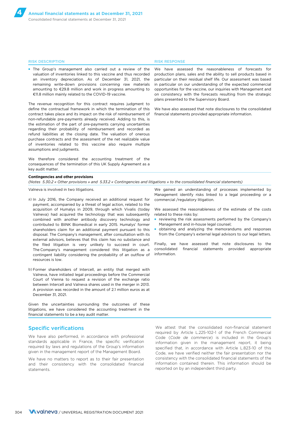■ The Group's management also carried out a review of the valuation of inventories linked to this vaccine and thus recorded an inventory depreciation. As of December 31, 2021, the remaining write-down provisions concerning raw materials amounting to €29.8 million and work in progress amounting to €11.8 million mainly related to the COVID-19 vaccine.

The revenue recognition for this contract requires judgment to define the contractual framework in which the termination of this contract takes place and its impact on the risk of reimbursement of non-refundable pre-payments already received. Adding to this, is the estimation of the part of pre-payments carrying uncertainties regarding their probability of reimbursement and recorded as refund liabilities at the closing date. The valuation of onerous purchase contracts and the assessment of the net realizable value of inventories related to this vaccine also require multiple assumptions and judgments.

We therefore considered the accounting treatment of the consequences of the termination of this UK Supply Agreement as a key audit matter.

#### **Contingencies and other provisions**

*(Notes 5.30.2 « Other provisions » and 5.33.2 « Contingencies and litigations » to the consolidated financial statements)*

Valneva is involved in two litigations.

- a) In July 2016, the Company received an additional request for payment, accompanied by a threat of legal action, related to the acquisition of Humalys in 2009, through which Vivalis (today Valneva) had acquired the technology that was subsequently combined with another antibody discovery technology and contributed to BliNK Biomedical in early 2015. Humalys' former shareholders claim for an additional payment pursuant to this disposal. The Company's management, after consultation with its external advisors, believes that this claim has no substance and the filed litigation is very unlikely to succeed in court. The Company's management considered this litigation as a contingent liability considering the probability of an outflow of resources is low.
- b) Former shareholders of Intercell, an entity that merged with Valneva, have initiated legal proceedings before the Commercial Court of Vienna to request a revision of the exchange ratio between Intercell and Valneva shares used in the merger in 2013. A provision was recorded in the amount of 2.1 million euros as at December 31, 2021.

Given the uncertainties surrounding the outcomes of these litigations, we have considered the accounting treatment in the financial statements to be a key audit matter.

### Specific verifications

We have also performed, in accordance with professional standards applicable in France, the specific verification required by laws and regulations of the Group's information given in the management report of the Management Board.

We have no matters to report as to their fair presentation and their consistency with the consolidated financial statements.

#### We gained an understanding of processes implemented by Management identify risks linked to a legal proceeding or a commercial /regulatory litigation.

We assessed the reasonableness of the estimate of the costs related to these risks by:

- reviewing the risk assessments performed by the Company's Management and in-house legal counsel;
- obtaining and analyzing the memorandums and responses from the Company's external legal advisors to our legal letters.

Finally, we have assessed that note disclosures to the consolidated financial statements provided appropriate information.

We attest that the consolidated non-financial statement required by Article L.225-102-1 of the French Commercial Code (*Code de commerce*) is included in the Group's information given in the management report, it being specified that, in accordance with Article L.823-10 of this Code, we have verified neither the fair presentation nor the consistency with the consolidated financial statements of the information contained therein. This information should be reported on by an independent third party.

#### RISK DESCRIPTION RISK RESPONSE

We have assessed the reasonableness of forecasts for production plans, sales and the ability to sell products based in particular on their residual shelf life. Our assessment was based in particular on our understanding of the expected commercial opportunities for the vaccine, our inquiries with Management and on consistency with the forecasts resulting from the strategic plans presented to the Supervisory Board.

We have also assessed that note disclosures to the consolidated financial statements provided appropriate information.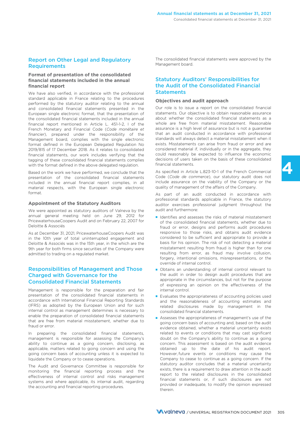### Report on Other Legal and Regulatory **Requirements**

#### **Format of presentation of the consolidated financial statements included in the annual financial report**

We have also verified, in accordance with the professional standard applicable in France relating to the procedures performed by the statutory auditor relating to the annual and consolidated financial statements presented in the European single electronic format, that the presentation of the consolidated financial statements included in the annual financial report mentioned in Article L. 451-1-2, I of the French Monetary and Financial Code (*Code monétaire et financier*), prepared under the responsibility of the Management board, complies with the single electronic format defined in the European Delegated Regulation No 2019/815 of 17 December 2018. As it relates to consolidated financial statements, our work includes verifying that the tagging of these consolidated financial statements complies with the format defined in the above delegated regulation.

Based on the work we have performed, we conclude that the presentation of the consolidated financial statements included in the annual financial report complies, in all material respects, with the European single electronic format.

#### **Appointment of the Statutory Auditors**

We were appointed as statutory auditors of Valneva by the annual general meeting held on June 29, 2012 for PricewaterhouseCoopers Audit and on February 22, 2007 for Deloitte & Associés

As at December 31, 2021, PricewaterhouseCoopers Audit was in the 10th year of total uninterrupted engagement and Deloitte & Associés was in the 15th year, in the which are the 9th year for both firms since securities of the Company were admitted to trading on a regulated market.

### Responsibilities of Management and Those Charged with Governance for the Consolidated Financial Statements

Management is responsible for the preparation and fair presentation of the consolidated financial statements in accordance with International Financial Reporting Standards (IFRS) as adopted by the European Union and for such internal control as management determines is necessary to enable the preparation of consolidated financial statements that are free from material misstatement, whether due to fraud or error.

In preparing the consolidated financial statements, management is responsible for assessing the Company's ability to continue as a going concern, disclosing, as applicable, matters related to going concern and using the going concern basis of accounting unless it is expected to liquidate the Company or to cease operations.

The Audit and Governance Committee is responsible for monitoring the financial reporting process and the effectiveness of internal control and risks management systems and where applicable, its internal audit, regarding the accounting and financial reporting procedures.

The consolidated financial statements were approved by the Management board.

### Statutory Auditors' Responsibilities for the Audit of the Consolidated Financial **Statements**

#### **Objectives and audit approach**

Our role is to issue a report on the consolidated financial statements. Our objective is to obtain reasonable assurance about whether the consolidated financial statements as a whole are free from material misstatement. Reasonable assurance is a high level of assurance but is not a guarantee that an audit conducted in accordance with professional standards will always detect a material misstatement when it exists. Misstatements can arise from fraud or error and are considered material if, individually or in the aggregate, they could reasonably be expected to influence the economic decisions of users taken on the basis of these consolidated financial statements.

As specified in Article L.823-10-1 of the French Commercial Code (*Code de commerce*), our statutory audit does not include assurance on the viability of the Company or the quality of management of the affairs of the Company.

As part of an audit conducted in accordance with professional standards applicable in France, the statutory auditor exercises professional judgment throughout the audit and furthermore:

- Identifies and assesses the risks of material misstatement of the consolidated financial statements, whether due to fraud or error, designs and performs audit procedures responsive to those risks, and obtains audit evidence considered to be sufficient and appropriate to provide a basis for his opinion. The risk of not detecting a material misstatement resulting from fraud is higher than for one resulting from error, as fraud may involve collusion, forgery, intentional omissions, misrepresentations, or the override of internal control.
- Obtains an understanding of internal control relevant to the audit in order to design audit procedures that are appropriate in the circumstances, but not for the purpose of expressing an opinion on the effectiveness of the internal control.
- Evaluates the appropriateness of accounting policies used and the reasonableness of accounting estimates and related disclosures made by management in the consolidated financial statements.
- Assesses the appropriateness of management's use of the going concern basis of accounting and, based on the audit evidence obtained, whether a material uncertainty exists related to events or conditions that may cast significant doubt on the Company's ability to continue as a going concern. This assessment is based on the audit evidence obtained up to the date of his audit report. However, future events or conditions may cause the Company to cease to continue as a going concern. If the statutory auditor concludes that a material uncertainty exists, there is a requirement to draw attention in the audit report to the related disclosures in the consolidated financial statements or, if such disclosures are not provided or inadequate, to modify the opinion expressed therein.